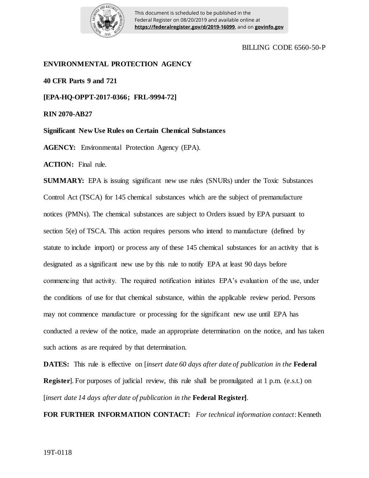

This document is scheduled to be published in the Federal Register on 08/20/2019 and available online at **https://federalregister.gov/d/2019-16099**, and on **govinfo.gov**

## BILLING CODE 6560-50-P

## **ENVIRONMENTAL PROTECTION AGENCY**

**40 CFR Parts 9 and 721**

**[EPA-HQ-OPPT-2017-0366; FRL-9994-72]**

**RIN 2070-AB27**

**Significant New Use Rules on Certain Chemical Substances** 

**AGENCY:** Environmental Protection Agency (EPA).

**ACTION:** Final rule.

**SUMMARY:** EPA is issuing significant new use rules (SNURs) under the Toxic Substances Control Act (TSCA) for 145 chemical substances which are the subject of premanufacture notices (PMNs). The chemical substances are subject to Orders issued by EPA pursuant to section 5(e) of TSCA. This action requires persons who intend to manufacture (defined by statute to include import) or process any of these 145 chemical substances for an activity that is designated as a significant new use by this rule to notify EPA at least 90 days before commencing that activity. The required notification initiates EPA's evaluation of the use, under the conditions of use for that chemical substance, within the applicable review period. Persons may not commence manufacture or processing for the significant new use until EPA has conducted a review of the notice, made an appropriate determination on the notice, and has taken such actions as are required by that determination.

**DATES:** This rule is effective on [*insert date 60 days after date of publication in the* **Federal Register**]. For purposes of judicial review, this rule shall be promulgated at 1 p.m. (e.s.t.) on [*insert date 14 days after date of publication in the* **Federal Register]**.

**FOR FURTHER INFORMATION CONTACT:** *For technical information contact*: Kenneth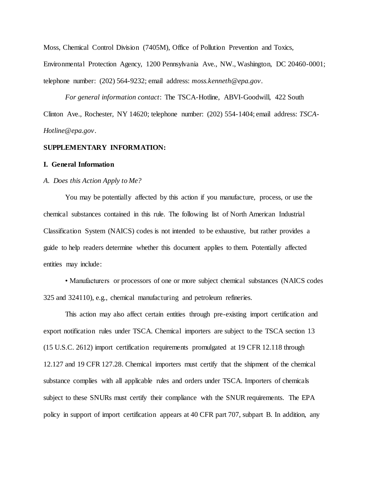Moss, Chemical Control Division (7405M), Office of Pollution Prevention and Toxics,

Environmental Protection Agency, 1200 Pennsylvania Ave., NW., Washington, DC 20460-0001; telephone number: (202) 564-9232; email address: *moss.kenneth@epa.gov*.

*For general information contact*: The TSCA-Hotline, ABVI-Goodwill, 422 South Clinton Ave., Rochester, NY 14620; telephone number: (202) 554-1404; email address: *TSCA-Hotline@epa.gov*.

# **SUPPLEMENTARY INFORMATION:**

## **I. General Information**

#### *A. Does this Action Apply to Me?*

You may be potentially affected by this action if you manufacture, process, or use the chemical substances contained in this rule. The following list of North American Industrial Classification System (NAICS) codes is not intended to be exhaustive, but rather provides a guide to help readers determine whether this document applies to them. Potentially affected entities may include:

• Manufacturers or processors of one or more subject chemical substances (NAICS codes 325 and 324110), e.g., chemical manufacturing and petroleum refineries.

This action may also affect certain entities through pre-existing import certification and export notification rules under TSCA. Chemical importers are subject to the TSCA section 13 (15 U.S.C. 2612) import certification requirements promulgated at 19 CFR 12.118 through 12.127 and 19 CFR 127.28. Chemical importers must certify that the shipment of the chemical substance complies with all applicable rules and orders under TSCA. Importers of chemicals subject to these SNURs must certify their compliance with the SNUR requirements. The EPA policy in support of import certification appears at 40 CFR part 707, subpart B. In addition, any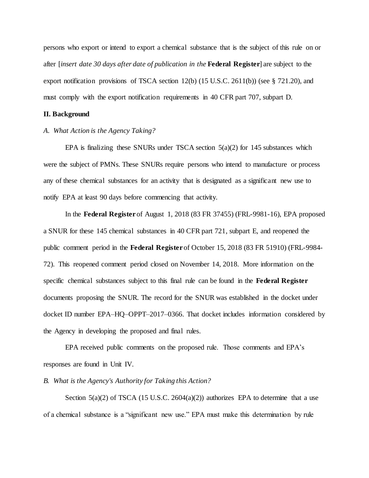persons who export or intend to export a chemical substance that is the subject of this rule on or after [*insert date 30 days after date of publication in the* **Federal Register**] are subject to the export notification provisions of TSCA section 12(b) (15 U.S.C. 2611(b)) (see § 721.20), and must comply with the export notification requirements in 40 CFR part 707, subpart D.

## **II. Background**

# *A. What Action is the Agency Taking?*

EPA is finalizing these SNURs under TSCA section  $5(a)(2)$  for 145 substances which were the subject of PMNs. These SNURs require persons who intend to manufacture or process any of these chemical substances for an activity that is designated as a significant new use to notify EPA at least 90 days before commencing that activity.

In the **Federal Register** of August 1, 2018 (83 FR 37455) (FRL-9981-16), EPA proposed a SNUR for these 145 chemical substances in 40 CFR part 721, subpart E, and reopened the public comment period in the **Federal Register** of October 15, 2018 (83 FR 51910) (FRL-9984- 72). This reopened comment period closed on November 14, 2018. More information on the specific chemical substances subject to this final rule can be found in the **Federal Register**  documents proposing the SNUR. The record for the SNUR was established in the docket under docket ID number EPA–HQ–OPPT–2017–0366. That docket includes information considered by the Agency in developing the proposed and final rules.

EPA received public comments on the proposed rule. Those comments and EPA's responses are found in Unit IV.

## *B. What is the Agency's Authority for Taking this Action?*

Section  $5(a)(2)$  of TSCA (15 U.S.C. 2604 $(a)(2)$ ) authorizes EPA to determine that a use of a chemical substance is a "significant new use." EPA must make this determination by rule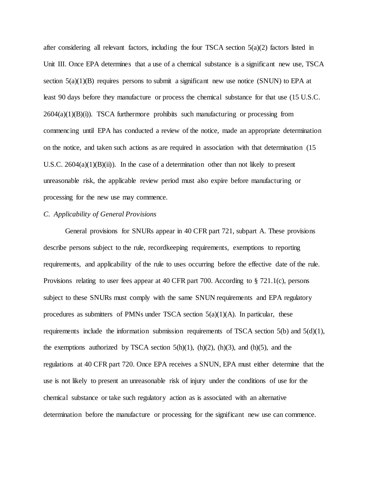after considering all relevant factors, including the four TSCA section  $5(a)(2)$  factors listed in Unit III. Once EPA determines that a use of a chemical substance is a significant new use, TSCA section  $5(a)(1)(B)$  requires persons to submit a significant new use notice (SNUN) to EPA at least 90 days before they manufacture or process the chemical substance for that use (15 U.S.C.  $2604(a)(1)(B)(i)$ . TSCA furthermore prohibits such manufacturing or processing from commencing until EPA has conducted a review of the notice, made an appropriate determination on the notice, and taken such actions as are required in association with that determination (15 U.S.C. 2604(a)(1)(B)(ii)). In the case of a determination other than not likely to present unreasonable risk, the applicable review period must also expire before manufacturing or processing for the new use may commence.

## *C. Applicability of General Provisions*

General provisions for SNURs appear in 40 CFR part 721, subpart A. These provisions describe persons subject to the rule, recordkeeping requirements, exemptions to reporting requirements, and applicability of the rule to uses occurring before the effective date of the rule. Provisions relating to user fees appear at 40 CFR part 700. According to § 721.1(c), persons subject to these SNURs must comply with the same SNUN requirements and EPA regulatory procedures as submitters of PMNs under TSCA section  $5(a)(1)(A)$ . In particular, these requirements include the information submission requirements of TSCA section  $5(b)$  and  $5(d)(1)$ , the exemptions authorized by TSCA section  $5(h)(1)$ ,  $(h)(2)$ ,  $(h)(3)$ , and  $(h)(5)$ , and the regulations at 40 CFR part 720. Once EPA receives a SNUN, EPA must either determine that the use is not likely to present an unreasonable risk of injury under the conditions of use for the chemical substance or take such regulatory action as is associated with an alternative determination before the manufacture or processing for the significant new use can commence.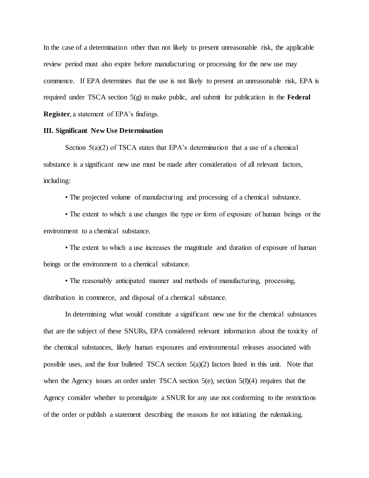In the case of a determination other than not likely to present unreasonable risk, the applicable review period must also expire before manufacturing or processing for the new use may commence. If EPA determines that the use is not likely to present an unreasonable risk, EPA is required under TSCA section 5(g) to make public, and submit for publication in the **Federal Register**, a statement of EPA's findings.

# **III. Significant New Use Determination**

Section  $5(a)(2)$  of TSCA states that EPA's determination that a use of a chemical substance is a significant new use must be made after consideration of all relevant factors, including:

• The projected volume of manufacturing and processing of a chemical substance.

• The extent to which a use changes the type or form of exposure of human beings or the environment to a chemical substance.

• The extent to which a use increases the magnitude and duration of exposure of human beings or the environment to a chemical substance.

• The reasonably anticipated manner and methods of manufacturing, processing, distribution in commerce, and disposal of a chemical substance.

In determining what would constitute a significant new use for the chemical substances that are the subject of these SNURs, EPA considered relevant information about the toxicity of the chemical substances, likely human exposures and environmental releases associated with possible uses, and the four bulleted TSCA section  $5(a)(2)$  factors listed in this unit. Note that when the Agency issues an order under TSCA section  $5(e)$ , section  $5(f)(4)$  requires that the Agency consider whether to promulgate a SNUR for any use not conforming to the restrictions of the order or publish a statement describing the reasons for not initiating the rulemaking.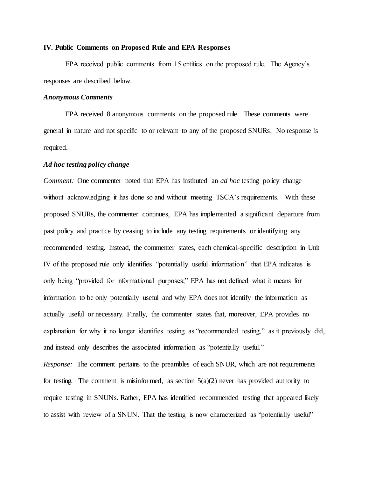## **IV. Public Comments on Proposed Rule and EPA Responses**

EPA received public comments from 15 entities on the proposed rule. The Agency's responses are described below.

## *Anonymous Comments*

EPA received 8 anonymous comments on the proposed rule. These comments were general in nature and not specific to or relevant to any of the proposed SNURs. No response is required.

# *Ad hoc testing policy change*

*Comment:*One commenter noted that EPA has instituted an *ad hoc* testing policy change without acknowledging it has done so and without meeting TSCA's requirements.With these proposed SNURs, the commenter continues, EPA has implemented a significant departure from past policy and practice by ceasing to include any testing requirements or identifying any recommended testing. Instead, the commenter states, each chemical-specific description in Unit IV of the proposed rule only identifies "potentially useful information" that EPA indicates is only being "provided for informational purposes;" EPA has not defined what it means for information to be only potentially useful and why EPA does not identify the information as actually useful or necessary. Finally, the commenter states that, moreover, EPA provides no explanation for why it no longer identifies testing as "recommended testing," as it previously did, and instead only describes the associated information as "potentially useful." *Response:* The comment pertains to the preambles of each SNUR, which are not requirements for testing. The comment is misinformed, as section  $5(a)(2)$  never has provided authority to require testing in SNUNs. Rather, EPA has identified recommended testing that appeared likely to assist with review of a SNUN. That the testing is now characterized as "potentially useful"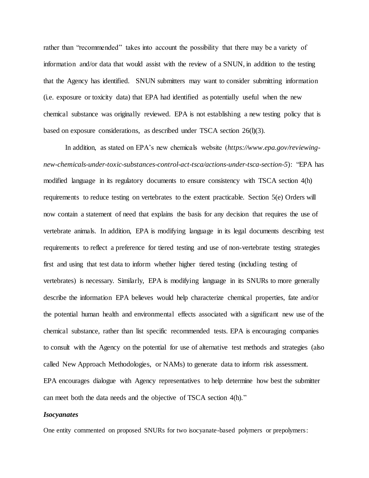rather than "recommended" takes into account the possibility that there may be a variety of information and/or data that would assist with the review of a SNUN, in addition to the testing that the Agency has identified. SNUN submitters may want to consider submitting information (i.e. exposure or toxicity data) that EPA had identified as potentially useful when the new chemical substance was originally reviewed. EPA is not establishing a new testing policy that is based on exposure considerations, as described under TSCA section 26(l)(3).

In addition, as stated on EPA's new chemicals website (*https://www.epa.gov/reviewingnew-chemicals-under-toxic-substances-control-act-tsca/actions-under-tsca-section-5*): "EPA has modified language in its regulatory documents to ensure consistency with TSCA section 4(h) requirements to reduce testing on vertebrates to the extent practicable. Section 5(e) Orders will now contain a statement of need that explains the basis for any decision that requires the use of vertebrate animals. In addition, EPA is modifying language in its legal documents describing test requirements to reflect a preference for tiered testing and use of non-vertebrate testing strategies first and using that test data to inform whether higher tiered testing (including testing of vertebrates) is necessary. Similarly, EPA is modifying language in its SNURs to more generally describe the information EPA believes would help characterize chemical properties, fate and/or the potential human health and environmental effects associated with a significant new use of the chemical substance, rather than list specific recommended tests. EPA is encouraging companies to consult with the Agency on the potential for use of alternative test methods and strategies (also called New Approach Methodologies, or NAMs) to generate data to inform risk assessment. EPA encourages dialogue with Agency representatives to help determine how best the submitter can meet both the data needs and the objective of TSCA section 4(h)."

## *Isocyanates*

One entity commented on proposed SNURs for two isocyanate-based polymers or prepolymers: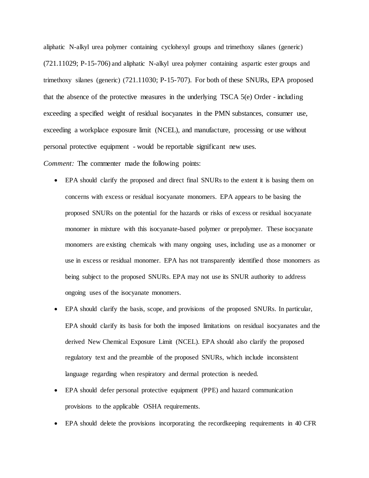aliphatic N-alkyl urea polymer containing cyclohexyl groups and trimethoxy silanes (generic) (721.11029; P-15-706) and aliphatic N-alkyl urea polymer containing aspartic ester groups and trimethoxy silanes (generic) (721.11030; P-15-707). For both of these SNURs, EPA proposed that the absence of the protective measures in the underlying TSCA  $5(e)$  Order - including exceeding a specified weight of residual isocyanates in the PMN substances, consumer use, exceeding a workplace exposure limit (NCEL), and manufacture, processing or use without personal protective equipment - would be reportable significant new uses.

*Comment:* The commenter made the following points:

- EPA should clarify the proposed and direct final SNURs to the extent it is basing them on concerns with excess or residual isocyanate monomers. EPA appears to be basing the proposed SNURs on the potential for the hazards or risks of excess or residual isocyanate monomer in mixture with this isocyanate-based polymer or prepolymer. These isocyanate monomers are existing chemicals with many ongoing uses, including use as a monomer or use in excess or residual monomer. EPA has not transparently identified those monomers as being subject to the proposed SNURs. EPA may not use its SNUR authority to address ongoing uses of the isocyanate monomers.
- EPA should clarify the basis, scope, and provisions of the proposed SNURs. In particular, EPA should clarify its basis for both the imposed limitations on residual isocyanates and the derived New Chemical Exposure Limit (NCEL). EPA should also clarify the proposed regulatory text and the preamble of the proposed SNURs, which include inconsistent language regarding when respiratory and dermal protection is needed.
- EPA should defer personal protective equipment (PPE) and hazard communication provisions to the applicable OSHA requirements.
- EPA should delete the provisions incorporating the recordkeeping requirements in 40 CFR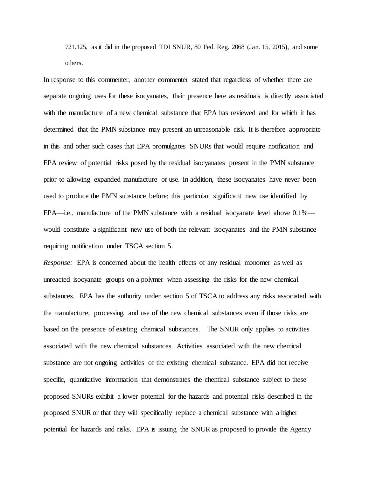721.125, as it did in the proposed TDI SNUR, 80 Fed. Reg. 2068 (Jan. 15, 2015), and some others.

In response to this commenter, another commenter stated that regardless of whether there are separate ongoing uses for these isocyanates, their presence here as residuals is directly associated with the manufacture of a new chemical substance that EPA has reviewed and for which it has determined that the PMN substance may present an unreasonable risk. It is therefore appropriate in this and other such cases that EPA promulgates SNURs that would require notification and EPA review of potential risks posed by the residual isocyanates present in the PMN substance prior to allowing expanded manufacture or use. In addition, these isocyanates have never been used to produce the PMN substance before; this particular significant new use identified by EPA—i.e., manufacture of the PMN substance with a residual isocyanate level above  $0.1\%$  would constitute a significant new use of both the relevant isocyanates and the PMN substance requiring notification under TSCA section 5.

*Response:* EPA is concerned about the health effects of any residual monomer as well as unreacted isocyanate groups on a polymer when assessing the risks for the new chemical substances. EPA has the authority under section 5 of TSCA to address any risks associated with the manufacture, processing, and use of the new chemical substances even if those risks are based on the presence of existing chemical substances. The SNUR only applies to activities associated with the new chemical substances. Activities associated with the new chemical substance are not ongoing activities of the existing chemical substance. EPA did not receive specific, quantitative information that demonstrates the chemical substance subject to these proposed SNURs exhibit a lower potential for the hazards and potential risks described in the proposed SNUR or that they will specifically replace a chemical substance with a higher potential for hazards and risks. EPA is issuing the SNUR as proposed to provide the Agency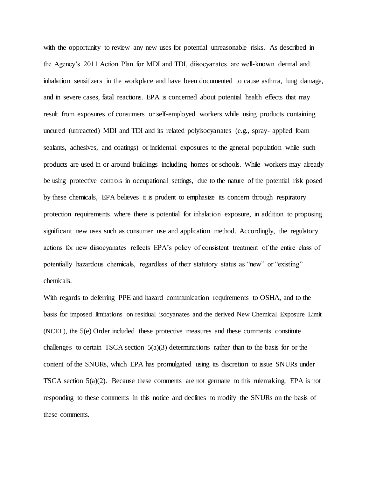with the opportunity to review any new uses for potential unreasonable risks. As described in the Agency's 2011 Action Plan for MDI and TDI, diisocyanates are well-known dermal and inhalation sensitizers in the workplace and have been documented to cause asthma, lung damage, and in severe cases, fatal reactions. EPA is concerned about potential health effects that may result from exposures of consumers or self-employed workers while using products containing uncured (unreacted) MDI and TDI and its related polyisocyanates (e.g., spray- applied foam sealants, adhesives, and coatings) or incidental exposures to the general population while such products are used in or around buildings including homes or schools. While workers may already be using protective controls in occupational settings, due to the nature of the potential risk posed by these chemicals, EPA believes it is prudent to emphasize its concern through respiratory protection requirements where there is potential for inhalation exposure, in addition to proposing significant new uses such as consumer use and application method. Accordingly, the regulatory actions for new diisocyanates reflects EPA's policy of consistent treatment of the entire class of potentially hazardous chemicals, regardless of their statutory status as "new" or "existing" chemicals.

With regards to deferring PPE and hazard communication requirements to OSHA, and to the basis for imposed limitations on residual isocyanates and the derived New Chemical Exposure Limit (NCEL), the 5(e) Order included these protective measures and these comments constitute challenges to certain TSCA section  $5(a)(3)$  determinations rather than to the basis for or the content of the SNURs, which EPA has promulgated using its discretion to issue SNURs under TSCA section 5(a)(2). Because these comments are not germane to this rulemaking, EPA is not responding to these comments in this notice and declines to modify the SNURs on the basis of these comments.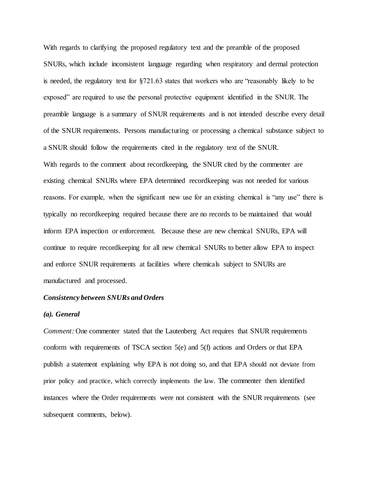With regards to clarifying the proposed regulatory text and the preamble of the proposed SNURs, which include inconsistent language regarding when respiratory and dermal protection is needed, the regulatory text for §721.63 states that workers who are "reasonably likely to be exposed" are required to use the personal protective equipment identified in the SNUR. The preamble language is a summary of SNUR requirements and is not intended describe every detail of the SNUR requirements. Persons manufacturing or processing a chemical substance subject to a SNUR should follow the requirements cited in the regulatory text of the SNUR. With regards to the comment about recordkeeping, the SNUR cited by the commenter are existing chemical SNURs where EPA determined recordkeeping was not needed for various reasons. For example, when the significant new use for an existing chemical is "any use" there is typically no recordkeeping required because there are no records to be maintained that would inform EPA inspection or enforcement. Because these are new chemical SNURs, EPA will continue to require recordkeeping for all new chemical SNURs to better allow EPA to inspect and enforce SNUR requirements at facilities where chemicals subject to SNURs are manufactured and processed.

## *Consistency between SNURs and Orders*

#### *(a). General*

*Comment:* One commenter stated that the Lautenberg Act requires that SNUR requirements conform with requirements of TSCA section 5(e) and 5(f) actions and Orders or that EPA publish a statement explaining why EPA is not doing so, and that EPA should not deviate from prior policy and practice, which correctly implements the law. The commenter then identified instances where the Order requirements were not consistent with the SNUR requirements (see subsequent comments, below).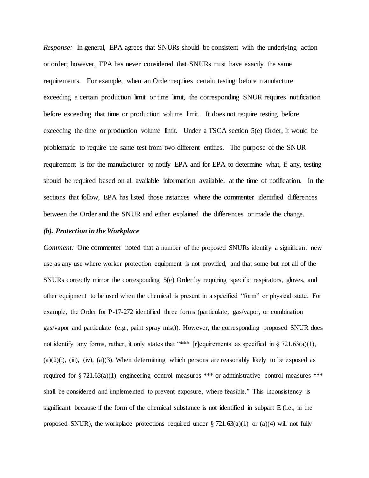*Response:* In general, EPA agrees that SNURs should be consistent with the underlying action or order; however, EPA has never considered that SNURs must have exactly the same requirements. For example, when an Order requires certain testing before manufacture exceeding a certain production limit or time limit, the corresponding SNUR requires notification before exceeding that time or production volume limit. It does not require testing before exceeding the time or production volume limit. Under a TSCA section 5(e) Order, It would be problematic to require the same test from two different entities. The purpose of the SNUR requirement is for the manufacturer to notify EPA and for EPA to determine what, if any, testing should be required based on all available information available. at the time of notification. In the sections that follow, EPA has listed those instances where the commenter identified differences between the Order and the SNUR and either explained the differences or made the change.

# *(b). Protection in the Workplace*

*Comment:* One commenter noted that a number of the proposed SNURs identify a significant new use as any use where worker protection equipment is not provided, and that some but not all of the SNURs correctly mirror the corresponding 5(e) Order by requiring specific respirators, gloves, and other equipment to be used when the chemical is present in a specified "form" or physical state. For example, the Order for P-17-272 identified three forms (particulate, gas/vapor, or combination gas/vapor and particulate (e.g., paint spray mist)). However, the corresponding proposed SNUR does not identify any forms, rather, it only states that "\*\*\* [r] equirements as specified in § 721.63(a)(1),  $(a)(2)(i)$ ,  $(iii)$ ,  $(iv)$ ,  $(a)(3)$ . When determining which persons are reasonably likely to be exposed as required for § 721.63(a)(1) engineering control measures \*\*\* or administrative control measures \*\*\* shall be considered and implemented to prevent exposure, where feasible." This inconsistency is significant because if the form of the chemical substance is not identified in subpart E (i.e., in the proposed SNUR), the workplace protections required under § 721.63(a)(1) or (a)(4) will not fully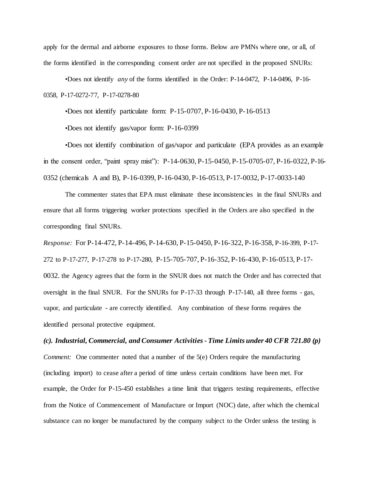apply for the dermal and airborne exposures to those forms. Below are PMNs where one, or all, of the forms identified in the corresponding consent order are not specified in the proposed SNURs:

•Does not identify *any* of the forms identified in the Order: P-14-0472, P-14-0496, P-16- 0358, P-17-0272-77, P-17-0278-80

•Does not identify particulate form: P-15-0707, P-16-0430, P-16-0513

•Does not identify gas/vapor form: P-16-0399

•Does not identify combination of gas/vapor and particulate (EPA provides as an example in the consent order, "paint spray mist"): P-14-0630, P-15-0450, P-15-0705-07, P-16-0322, P-16- 0352 (chemicals A and B), P-16-0399, P-16-0430, P-16-0513, P-17-0032, P-17-0033-140

The commenter states that EPA must eliminate these inconsistencies in the final SNURs and ensure that all forms triggering worker protections specified in the Orders are also specified in the corresponding final SNURs.

*Response:* For P-14-472, P-14-496, P-14-630, P-15-0450, P-16-322, P-16-358, P-16-399, P-17- 272 to P-17-277, P-17-278 to P-17-280, P-15-705-707, P-16-352, P-16-430, P-16-0513, P-17- 0032. the Agency agrees that the form in the SNUR does not match the Order and has corrected that oversight in the final SNUR. For the SNURs for P-17-33 through P-17-140, all three forms - gas, vapor, and particulate - are correctly identified. Any combination of these forms requires the identified personal protective equipment.

# *(c). Industrial, Commercial, and Consumer Activities - Time Limits under 40 CFR 721.80 (p)*

*Comment:* One commenter noted that a number of the 5(e) Orders require the manufacturing (including import) to cease after a period of time unless certain conditions have been met. For example, the Order for P-15-450 establishes a time limit that triggers testing requirements, effective from the Notice of Commencement of Manufacture or Import (NOC) date, after which the chemical substance can no longer be manufactured by the company subject to the Order unless the testing is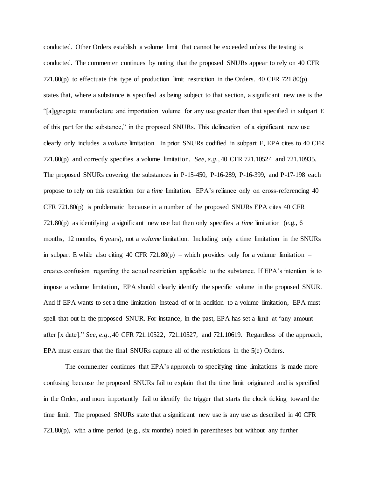conducted. Other Orders establish a volume limit that cannot be exceeded unless the testing is conducted. The commenter continues by noting that the proposed SNURs appear to rely on 40 CFR 721.80(p) to effectuate this type of production limit restriction in the Orders. 40 CFR 721.80(p) states that, where a substance is specified as being subject to that section, a significant new use is the "[a]ggregate manufacture and importation volume for any use greater than that specified in subpart E of this part for the substance," in the proposed SNURs. This delineation of a significant new use clearly only includes a *volume* limitation. In prior SNURs codified in subpart E, EPA cites to 40 CFR 721.80(p) and correctly specifies a volume limitation. *See, e.g.*, 40 CFR 721.10524 and 721.10935. The proposed SNURs covering the substances in P-15-450, P-16-289, P-16-399, and P-17-198 each propose to rely on this restriction for a *time* limitation. EPA's reliance only on cross-referencing 40 CFR 721.80(p) is problematic because in a number of the proposed SNURs EPA cites 40 CFR 721.80(p) as identifying a significant new use but then only specifies a *time* limitation (e.g., 6 months, 12 months, 6 years), not a *volume* limitation. Including only a time limitation in the SNURs in subpart E while also citing 40 CFR 721.80(p) – which provides only for a volume limitation – creates confusion regarding the actual restriction applicable to the substance. If EPA's intention is to impose a volume limitation, EPA should clearly identify the specific volume in the proposed SNUR. And if EPA wants to set a time limitation instead of or in addition to a volume limitation, EPA must spell that out in the proposed SNUR. For instance, in the past, EPA has set a limit at "any amount after [x date]." *See, e.g.*, 40 CFR 721.10522, 721.10527, and 721.10619. Regardless of the approach, EPA must ensure that the final SNURs capture all of the restrictions in the 5(e) Orders.

The commenter continues that EPA's approach to specifying time limitations is made more confusing because the proposed SNURs fail to explain that the time limit originated and is specified in the Order, and more importantly fail to identify the trigger that starts the clock ticking toward the time limit. The proposed SNURs state that a significant new use is any use as described in 40 CFR 721.80(p), with a time period (e.g., six months) noted in parentheses but without any further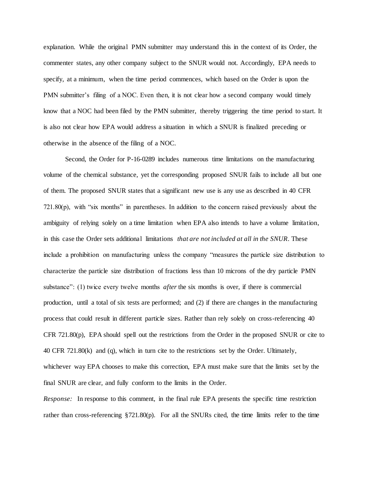explanation. While the original PMN submitter may understand this in the context of its Order, the commenter states, any other company subject to the SNUR would not. Accordingly, EPA needs to specify, at a minimum, when the time period commences, which based on the Order is upon the PMN submitter's filing of a NOC. Even then, it is not clear how a second company would timely know that a NOC had been filed by the PMN submitter, thereby triggering the time period to start. It is also not clear how EPA would address a situation in which a SNUR is finalized preceding or otherwise in the absence of the filing of a NOC.

Second, the Order for P-16-0289 includes numerous time limitations on the manufacturing volume of the chemical substance, yet the corresponding proposed SNUR fails to include all but one of them. The proposed SNUR states that a significant new use is any use as described in 40 CFR 721.80(p), with "six months" in parentheses. In addition to the concern raised previously about the ambiguity of relying solely on a time limitation when EPA also intends to have a volume limitation, in this case the Order sets additional limitations *that are not included at all in the SNUR*. These include a prohibition on manufacturing unless the company "measures the particle size distribution to characterize the particle size distribution of fractions less than 10 microns of the dry particle PMN substance": (1) twice every twelve months *after* the six months is over, if there is commercial production, until a total of six tests are performed; and (2) if there are changes in the manufacturing process that could result in different particle sizes. Rather than rely solely on cross-referencing 40 CFR 721.80(p), EPA should spell out the restrictions from the Order in the proposed SNUR or cite to 40 CFR 721.80(k) and (q), which in turn cite to the restrictions set by the Order. Ultimately, whichever way EPA chooses to make this correction, EPA must make sure that the limits set by the final SNUR are clear, and fully conform to the limits in the Order.

*Response:* In response to this comment, in the final rule EPA presents the specific time restriction rather than cross-referencing §721.80(p). For all the SNURs cited, the time limits refer to the time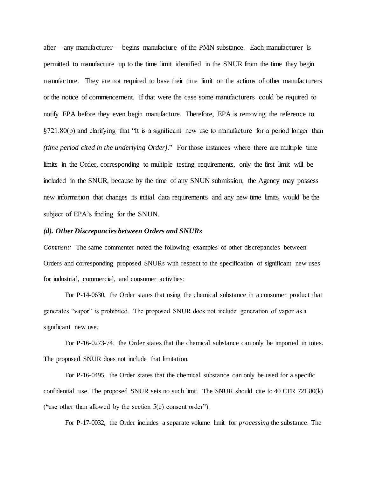after – any manufacturer – begins manufacture of the PMN substance. Each manufacturer is permitted to manufacture up to the time limit identified in the SNUR from the time they begin manufacture. They are not required to base their time limit on the actions of other manufacturers or the notice of commencement. If that were the case some manufacturers could be required to notify EPA before they even begin manufacture. Therefore, EPA is removing the reference to  $\S721.80(p)$  and clarifying that "It is a significant new use to manufacture for a period longer than *(time period cited in the underlying Order)*." For those instances where there are multiple time limits in the Order, corresponding to multiple testing requirements, only the first limit will be included in the SNUR, because by the time of any SNUN submission, the Agency may possess new information that changes its initial data requirements and any new time limits would be the subject of EPA's finding for the SNUN.

#### *(d). Other Discrepancies between Orders and SNURs*

*Comment:* The same commenter noted the following examples of other discrepancies between Orders and corresponding proposed SNURs with respect to the specification of significant new uses for industrial, commercial, and consumer activities:

For P-14-0630, the Order states that using the chemical substance in a consumer product that generates "vapor" is prohibited. The proposed SNUR does not include generation of vapor as a significant new use.

For P-16-0273-74, the Order states that the chemical substance can only be imported in totes. The proposed SNUR does not include that limitation.

For P-16-0495, the Order states that the chemical substance can only be used for a specific confidential use. The proposed SNUR sets no such limit. The SNUR should cite to 40 CFR 721.80(k) ("use other than allowed by the section 5(e) consent order").

For P-17-0032, the Order includes a separate volume limit for *processing* the substance. The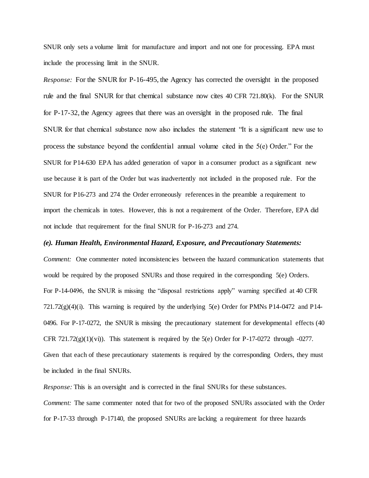SNUR only sets a volume limit for manufacture and import and not one for processing. EPA must include the processing limit in the SNUR.

*Response:* For the SNUR for P-16-495, the Agency has corrected the oversight in the proposed rule and the final SNUR for that chemical substance now cites 40 CFR 721.80(k). For the SNUR for P-17-32, the Agency agrees that there was an oversight in the proposed rule. The final SNUR for that chemical substance now also includes the statement "It is a significant new use to process the substance beyond the confidential annual volume cited in the 5(e) Order." For the SNUR for P14-630 EPA has added generation of vapor in a consumer product as a significant new use because it is part of the Order but was inadvertently not included in the proposed rule. For the SNUR for P16-273 and 274 the Order erroneously references in the preamble a requirement to import the chemicals in totes. However, this is not a requirement of the Order. Therefore, EPA did not include that requirement for the final SNUR for P-16-273 and 274.

## *(e). Human Health, Environmental Hazard, Exposure, and Precautionary Statements:*

*Comment:* One commenter noted inconsistencies between the hazard communication statements that would be required by the proposed SNURs and those required in the corresponding 5(e) Orders. For P-14-0496, the SNUR is missing the "disposal restrictions apply" warning specified at 40 CFR  $721.72(g)(4)(i)$ . This warning is required by the underlying  $5(e)$  Order for PMNs P14-0472 and P14-0496. For P-17-0272, the SNUR is missing the precautionary statement for developmental effects (40 CFR 721.72(g)(1)(vi)). This statement is required by the  $5(e)$  Order for P-17-0272 through -0277. Given that each of these precautionary statements is required by the corresponding Orders, they must be included in the final SNURs.

*Response:* This is an oversight and is corrected in the final SNURs for these substances. *Comment:* The same commenter noted that for two of the proposed SNURs associated with the Order for P-17-33 through P-17140, the proposed SNURs are lacking a requirement for three hazards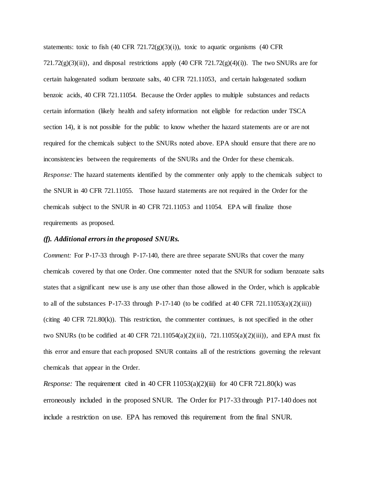statements: toxic to fish  $(40 \text{ CFR } 721.72(g)(3)(i))$ , toxic to aquatic organisms  $(40 \text{ CFR } 721.72(g)(3)(i))$ 721.72(g)(3)(ii)), and disposal restrictions apply (40 CFR 721.72(g)(4)(i)). The two SNURs are for certain halogenated sodium benzoate salts, 40 CFR 721.11053, and certain halogenated sodium benzoic acids, 40 CFR 721.11054. Because the Order applies to multiple substances and redacts certain information (likely health and safety information not eligible for redaction under TSCA section 14), it is not possible for the public to know whether the hazard statements are or are not required for the chemicals subject to the SNURs noted above. EPA should ensure that there are no inconsistencies between the requirements of the SNURs and the Order for these chemicals. *Response:* The hazard statements identified by the commenter only apply to the chemicals subject to the SNUR in 40 CFR 721.11055. Those hazard statements are not required in the Order for the chemicals subject to the SNUR in 40 CFR 721.11053 and 11054. EPA will finalize those requirements as proposed.

# *(f). Additional errors in the proposed SNURs.*

*Comment:* For P-17-33 through P-17-140, there are three separate SNURs that cover the many chemicals covered by that one Order. One commenter noted that the SNUR for sodium benzoate salts states that a significant new use is any use other than those allowed in the Order, which is applicable to all of the substances P-17-33 through P-17-140 (to be codified at 40 CFR 721.11053(a)(2)(iii)) (citing  $40$  CFR  $721.80(k)$ ). This restriction, the commenter continues, is not specified in the other two SNURs (to be codified at 40 CFR 721.11054(a)(2)(iii), 721.11055(a)(2)(iii)), and EPA must fix this error and ensure that each proposed SNUR contains all of the restrictions governing the relevant chemicals that appear in the Order.

*Response:* The requirement cited in 40 CFR  $11053(a)(2)(iii)$  for 40 CFR  $721.80(k)$  was erroneously included in the proposed SNUR. The Order for P17-33 through P17-140 does not include a restriction on use. EPA has removed this requirement from the final SNUR.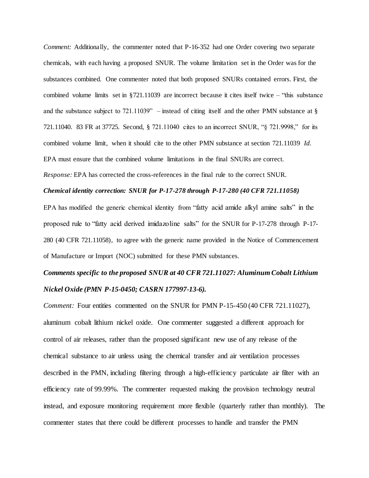*Comment:* Additionally, the commenter noted that P-16-352 had one Order covering two separate chemicals, with each having a proposed SNUR. The volume limitation set in the Order was for the substances combined. One commenter noted that both proposed SNURs contained errors. First, the combined volume limits set in  $\S721.11039$  are incorrect because it cites itself twice – "this substance" and the substance subject to  $721.11039$ " – instead of citing itself and the other PMN substance at § 721.11040. 83 FR at 37725. Second, § 721.11040 cites to an incorrect SNUR, "§ 721.9998," for its combined volume limit, when it should cite to the other PMN substance at section 721.11039 *Id.*  EPA must ensure that the combined volume limitations in the final SNURs are correct. *Response:* EPA has corrected the cross-references in the final rule to the correct SNUR.

#### *Chemical identity correction: SNUR for P-17-278 through P-17-280 (40 CFR 721.11058)*

EPA has modified the generic chemical identity from "fatty acid amide alkyl amine salts" in the proposed rule to "fatty acid derived imidazoline salts" for the SNUR for P-17-278 through P-17- 280 (40 CFR 721.11058), to agree with the generic name provided in the Notice of Commencement of Manufacture or Import (NOC) submitted for these PMN substances.

# *Comments specific to the proposed SNUR at 40 CFR 721.11027: Aluminum Cobalt Lithium Nickel Oxide (PMN P-15-0450; CASRN 177997-13-6).*

*Comment:* Four entities commented on the SNUR for PMN P-15-450 (40 CFR 721.11027), aluminum cobalt lithium nickel oxide. One commenter suggested a different approach for control of air releases, rather than the proposed significant new use of any release of the chemical substance to air unless using the chemical transfer and air ventilation processes described in the PMN, including filtering through a high-efficiency particulate air filter with an efficiency rate of 99.99%. The commenter requested making the provision technology neutral instead, and exposure monitoring requirement more flexible (quarterly rather than monthly). The commenter states that there could be different processes to handle and transfer the PMN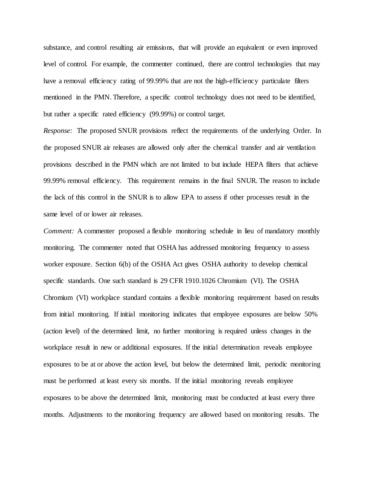substance, and control resulting air emissions, that will provide an equivalent or even improved level of control. For example, the commenter continued, there are control technologies that may have a removal efficiency rating of 99.99% that are not the high-efficiency particulate filters mentioned in the PMN. Therefore, a specific control technology does not need to be identified, but rather a specific rated efficiency (99.99%) or control target.

*Response:* The proposed SNUR provisions reflect the requirements of the underlying Order. In the proposed SNUR air releases are allowed only after the chemical transfer and air ventilation provisions described in the PMN which are not limited to but include HEPA filters that achieve 99.99% removal efficiency. This requirement remains in the final SNUR. The reason to include the lack of this control in the SNUR is to allow EPA to assess if other processes result in the same level of or lower air releases.

*Comment:* A commenter proposed a flexible monitoring schedule in lieu of mandatory monthly monitoring. The commenter noted that OSHA has addressed monitoring frequency to assess worker exposure. Section 6(b) of the OSHA Act gives OSHA authority to develop chemical specific standards. One such standard is 29 CFR 1910.1026 Chromium (VI). The OSHA Chromium (VI) workplace standard contains a flexible monitoring requirement based on results from initial monitoring. If initial monitoring indicates that employee exposures are below 50% (action level) of the determined limit, no further monitoring is required unless changes in the workplace result in new or additional exposures. If the initial determination reveals employee exposures to be at or above the action level, but below the determined limit, periodic monitoring must be performed at least every six months. If the initial monitoring reveals employee exposures to be above the determined limit, monitoring must be conducted at least every three months. Adjustments to the monitoring frequency are allowed based on monitoring results. The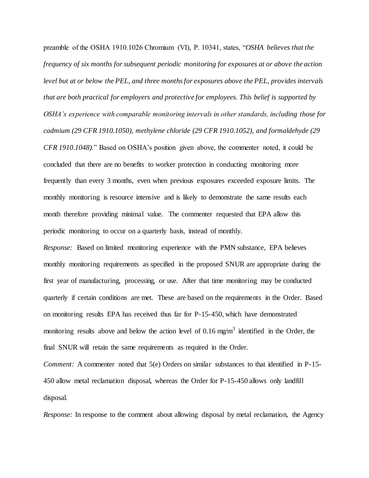preamble of the OSHA 1910.1026 Chromium (VI), P. 10341, states, "*OSHA believes that the frequency of six months for subsequent periodic monitoring for exposures at or above the action level but at or below the PEL, and three months for exposures above the PEL, provides intervals that are both practical for employers and protective for employees. This belief is supported by OSHA's experience with comparable monitoring intervals in other standards, including those for cadmium (29 CFR 1910.1050), methylene chloride (29 CFR 1910.1052), and formaldehyde (29 CFR 1910.1048).*" Based on OSHA's position given above, the commenter noted, it could be concluded that there are no benefits to worker protection in conducting monitoring more frequently than every 3 months, even when previous exposures exceeded exposure limits. The monthly monitoring is resource intensive and is likely to demonstrate the same results each month therefore providing minimal value. The commenter requested that EPA allow this periodic monitoring to occur on a quarterly basis, instead of monthly.

*Response:* Based on limited monitoring experience with the PMN substance, EPA believes monthly monitoring requirements as specified in the proposed SNUR are appropriate during the first year of manufacturing, processing, or use. After that time monitoring may be conducted quarterly if certain conditions are met. These are based on the requirements in the Order. Based on monitoring results EPA has received thus far for P-15-450, which have demonstrated monitoring results above and below the action level of 0.16 mg/m<sup>3</sup> identified in the Order, the final SNUR will retain the same requirements as required in the Order.

*Comment:* A commenter noted that 5(e) Orders on similar substances to that identified in P-15-450 allow metal reclamation disposal, whereas the Order for P-15-450 allows only landfill disposal.

*Response:* In response to the comment about allowing disposal by metal reclamation, the Agency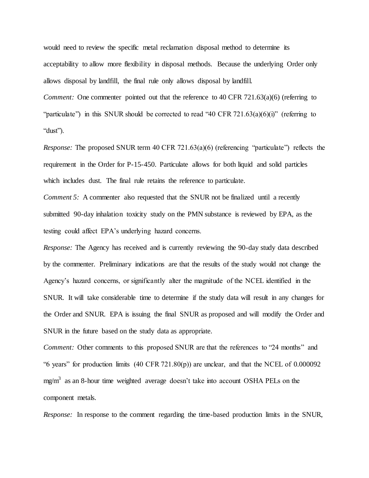would need to review the specific metal reclamation disposal method to determine its acceptability to allow more flexibility in disposal methods. Because the underlying Order only allows disposal by landfill, the final rule only allows disposal by landfill. *Comment:* One commenter pointed out that the reference to 40 CFR 721.63(a)(6) (referring to "particulate") in this SNUR should be corrected to read "40 CFR  $721.63(a)(6)(i)$ " (referring to "dust").

*Response:* The proposed SNUR term 40 CFR 721.63(a)(6) (referencing "particulate") reflects the requirement in the Order for P-15-450. Particulate allows for both liquid and solid particles which includes dust. The final rule retains the reference to particulate.

*Comment 5:* A commenter also requested that the SNUR not be finalized until a recently submitted 90-day inhalation toxicity study on the PMN substance is reviewed by EPA, as the testing could affect EPA's underlying hazard concerns.

*Response:* The Agency has received and is currently reviewing the 90-day study data described by the commenter. Preliminary indications are that the results of the study would not change the Agency's hazard concerns, or significantly alter the magnitude of the NCEL identified in the SNUR. It will take considerable time to determine if the study data will result in any changes for the Order and SNUR. EPA is issuing the final SNUR as proposed and will modify the Order and SNUR in the future based on the study data as appropriate.

*Comment:* Other comments to this proposed SNUR are that the references to "24 months" and "6 years" for production limits  $(40 \text{ CFR } 721.80(p))$  are unclear, and that the NCEL of 0.000092  $mg/m<sup>3</sup>$  as an 8-hour time weighted average doesn't take into account OSHA PELs on the component metals.

*Response:* In response to the comment regarding the time-based production limits in the SNUR,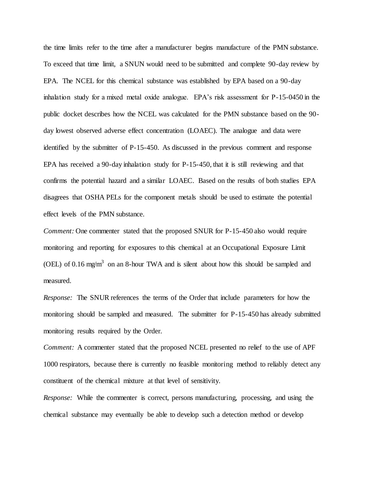the time limits refer to the time after a manufacturer begins manufacture of the PMN substance. To exceed that time limit, a SNUN would need to be submitted and complete 90-day review by EPA. The NCEL for this chemical substance was established by EPA based on a 90-day inhalation study for a mixed metal oxide analogue. EPA's risk assessment for P-15-0450 in the public docket describes how the NCEL was calculated for the PMN substance based on the 90 day lowest observed adverse effect concentration (LOAEC). The analogue and data were identified by the submitter of P-15-450. As discussed in the previous comment and response EPA has received a 90-day inhalation study for P-15-450, that it is still reviewing and that confirms the potential hazard and a similar LOAEC. Based on the results of both studies EPA disagrees that OSHA PELs for the component metals should be used to estimate the potential effect levels of the PMN substance.

*Comment:* One commenter stated that the proposed SNUR for P-15-450 also would require monitoring and reporting for exposures to this chemical at an Occupational Exposure Limit (OEL) of 0.16 mg/m<sup>3</sup> on an 8-hour TWA and is silent about how this should be sampled and measured.

*Response:* The SNUR references the terms of the Order that include parameters for how the monitoring should be sampled and measured. The submitter for P-15-450 has already submitted monitoring results required by the Order.

*Comment:* A commenter stated that the proposed NCEL presented no relief to the use of APF 1000 respirators, because there is currently no feasible monitoring method to reliably detect any constituent of the chemical mixture at that level of sensitivity.

*Response:* While the commenter is correct, persons manufacturing, processing, and using the chemical substance may eventually be able to develop such a detection method or develop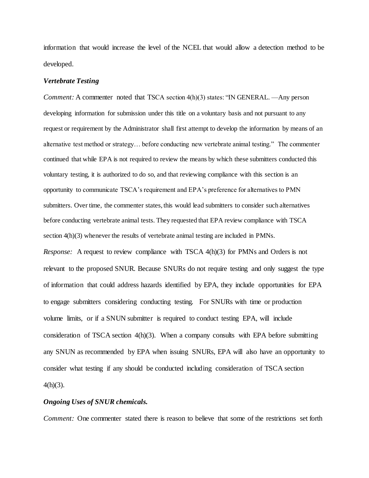information that would increase the level of the NCEL that would allow a detection method to be developed.

## *Vertebrate Testing*

*Comment:* A commenter noted that TSCA section  $4(h)(3)$  states: "IN GENERAL. —Any person developing information for submission under this title on a voluntary basis and not pursuant to any request or requirement by the Administrator shall first attempt to develop the information by means of an alternative test method or strategy… before conducting new vertebrate animal testing." The commenter continued that while EPA is not required to review the means by which these submitters conducted this voluntary testing, it is authorized to do so, and that reviewing compliance with this section is an opportunity to communicate TSCA's requirement and EPA's preference for alternatives to PMN submitters. Over time, the commenter states, this would lead submitters to consider such alternatives before conducting vertebrate animal tests. They requested that EPA review compliance with TSCA section 4(h)(3) whenever the results of vertebrate animal testing are included in PMNs. *Response:* A request to review compliance with TSCA 4(h)(3) for PMNs and Orders is not relevant to the proposed SNUR. Because SNURs do not require testing and only suggest the type of information that could address hazards identified by EPA, they include opportunities for EPA to engage submitters considering conducting testing. For SNURs with time or production volume limits, or if a SNUN submitter is required to conduct testing EPA, will include consideration of TSCA section 4(h)(3). When a company consults with EPA before submitting any SNUN as recommended by EPA when issuing SNURs, EPA will also have an opportunity to consider what testing if any should be conducted including consideration of TSCA section  $4(h)(3)$ .

# *Ongoing Uses of SNUR chemicals.*

*Comment:* One commenter stated there is reason to believe that some of the restrictions set forth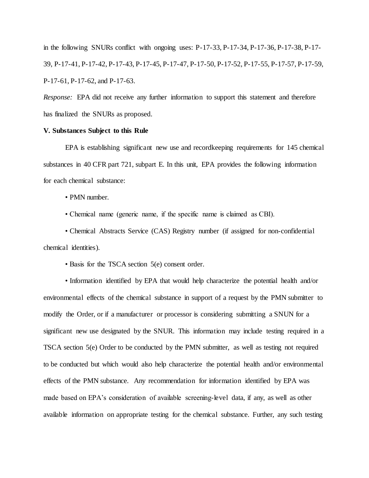in the following SNURs conflict with ongoing uses:  $P-17-33$ ,  $P-17-34$ ,  $P-17-36$ ,  $P-17-38$ ,  $P-17-38$ 39, P-17-41, P-17-42, P-17-43, P-17-45, P-17-47, P-17-50, P-17-52, P-17-55, P-17-57, P-17-59, P-17-61, P-17-62, and P-17-63.

*Response:* EPA did not receive any further information to support this statement and therefore has finalized the SNURs as proposed.

# **V. Substances Subject to this Rule**

EPA is establishing significant new use and recordkeeping requirements for 145 chemical substances in 40 CFR part 721, subpart E. In this unit, EPA provides the following information for each chemical substance:

• PMN number.

• Chemical name (generic name, if the specific name is claimed as CBI).

• Chemical Abstracts Service (CAS) Registry number (if assigned for non-confidential chemical identities).

• Basis for the TSCA section 5(e) consent order.

• Information identified by EPA that would help characterize the potential health and/or environmental effects of the chemical substance in support of a request by the PMN submitter to modify the Order, or if a manufacturer or processor is considering submitting a SNUN for a significant new use designated by the SNUR. This information may include testing required in a TSCA section 5(e) Order to be conducted by the PMN submitter, as well as testing not required to be conducted but which would also help characterize the potential health and/or environmental effects of the PMN substance. Any recommendation for information identified by EPA was made based on EPA's consideration of available screening-level data, if any, as well as other available information on appropriate testing for the chemical substance. Further, any such testing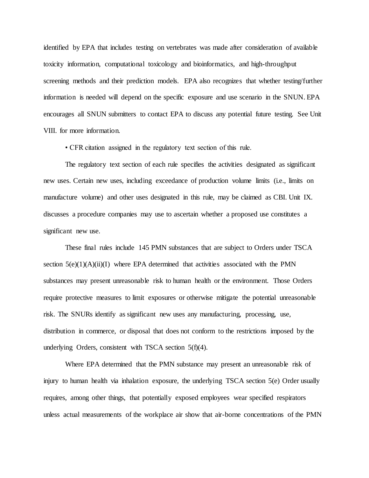identified by EPA that includes testing on vertebrates was made after consideration of available toxicity information, computational toxicology and bioinformatics, and high-throughput screening methods and their prediction models. EPA also recognizes that whether testing/further information is needed will depend on the specific exposure and use scenario in the SNUN. EPA encourages all SNUN submitters to contact EPA to discuss any potential future testing. See Unit VIII. for more information.

• CFR citation assigned in the regulatory text section of this rule.

The regulatory text section of each rule specifies the activities designated as significant new uses. Certain new uses, including exceedance of production volume limits (i.e., limits on manufacture volume) and other uses designated in this rule, may be claimed as CBI. Unit IX. discusses a procedure companies may use to ascertain whether a proposed use constitutes a significant new use.

These final rules include 145 PMN substances that are subject to Orders under TSCA section  $5(e)(1)(A)(ii)(I)$  where EPA determined that activities associated with the PMN substances may present unreasonable risk to human health or the environment. Those Orders require protective measures to limit exposures or otherwise mitigate the potential unreasonable risk. The SNURs identify as significant new uses any manufacturing, processing, use, distribution in commerce, or disposal that does not conform to the restrictions imposed by the underlying Orders, consistent with TSCA section  $5(f)(4)$ .

Where EPA determined that the PMN substance may present an unreasonable risk of injury to human health via inhalation exposure, the underlying TSCA section 5(e) Order usually requires, among other things, that potentially exposed employees wear specified respirators unless actual measurements of the workplace air show that air-borne concentrations of the PMN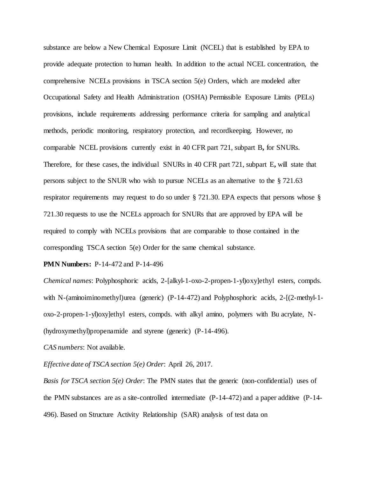substance are below a New Chemical Exposure Limit (NCEL) that is established by EPA to provide adequate protection to human health. In addition to the actual NCEL concentration, the comprehensive NCELs provisions in TSCA section 5(e) Orders, which are modeled after Occupational Safety and Health Administration (OSHA) Permissible Exposure Limits (PELs) provisions, include requirements addressing performance criteria for sampling and analytical methods, periodic monitoring, respiratory protection, and recordkeeping. However, no comparable NCEL provisions currently exist in 40 CFR part 721, subpart B**,** for SNURs. Therefore, for these cases, the individual SNURs in 40 CFR part 721, subpart E**,** will state that persons subject to the SNUR who wish to pursue NCELs as an alternative to the § 721.63 respirator requirements may request to do so under § 721.30. EPA expects that persons whose § 721.30 requests to use the NCELs approach for SNURs that are approved by EPA will be required to comply with NCELs provisions that are comparable to those contained in the corresponding TSCA section 5(e) Order for the same chemical substance.

## **PMN Numbers:** P-14-472 and P-14-496

*Chemical names*: Polyphosphoric acids, 2-[alkyl-1-oxo-2-propen-1-yl)oxy]ethyl esters, compds. with N-(aminoiminomethyl)urea (generic) (P-14-472) and Polyphosphoric acids, 2-[(2-methyl-1oxo-2-propen-1-yl)oxy]ethyl esters, compds. with alkyl amino, polymers with Bu acrylate, N- (hydroxymethyl)propenamide and styrene (generic) (P-14-496).

*CAS numbers*: Not available.

*Effective date of TSCA section 5(e) Order*: April 26, 2017.

*Basis for TSCA section 5(e) Order*: The PMN states that the generic (non-confidential) uses of the PMN substances are as a site-controlled intermediate (P-14-472) and a paper additive (P-14- 496). Based on Structure Activity Relationship (SAR) analysis of test data on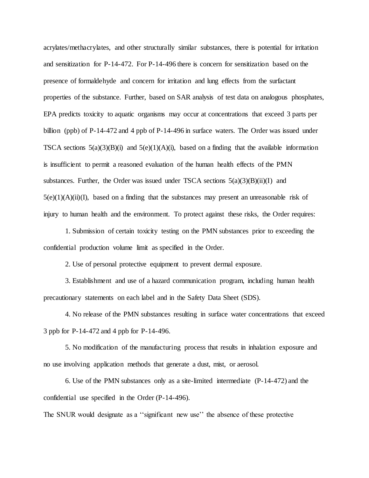acrylates/methacrylates, and other structurally similar substances, there is potential for irritation and sensitization for P-14-472. For P-14-496 there is concern for sensitization based on the presence of formaldehyde and concern for irritation and lung effects from the surfactant properties of the substance. Further, based on SAR analysis of test data on analogous phosphates, EPA predicts toxicity to aquatic organisms may occur at concentrations that exceed 3 parts per billion (ppb) of P-14-472 and 4 ppb of P-14-496 in surface waters. The Order was issued under TSCA sections  $5(a)(3)(B)(i)$  and  $5(e)(1)(A)(i)$ , based on a finding that the available information is insufficient to permit a reasoned evaluation of the human health effects of the PMN substances. Further, the Order was issued under TSCA sections  $5(a)(3)(B)(ii)(I)$  and  $5(e)(1)(A)(ii)(I)$ , based on a finding that the substances may present an unreasonable risk of injury to human health and the environment. To protect against these risks, the Order requires:

1. Submission of certain toxicity testing on the PMN substances prior to exceeding the confidential production volume limit as specified in the Order.

2. Use of personal protective equipment to prevent dermal exposure.

3. Establishment and use of a hazard communication program, including human health precautionary statements on each label and in the Safety Data Sheet (SDS).

4. No release of the PMN substances resulting in surface water concentrations that exceed 3 ppb for P-14-472 and 4 ppb for P-14-496.

5. No modification of the manufacturing process that results in inhalation exposure and no use involving application methods that generate a dust, mist, or aerosol.

6. Use of the PMN substances only as a site-limited intermediate (P-14-472) and the confidential use specified in the Order (P-14-496).

The SNUR would designate as a ''significant new use'' the absence of these protective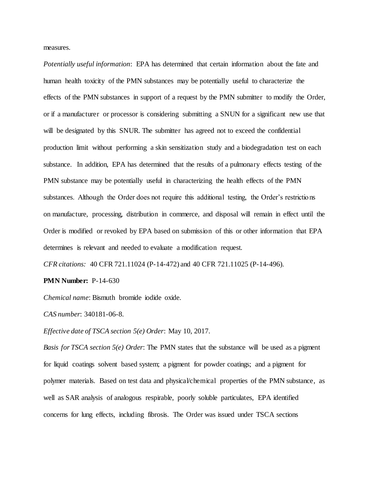measures.

*Potentially useful information*: EPA has determined that certain information about the fate and human health toxicity of the PMN substances may be potentially useful to characterize the effects of the PMN substances in support of a request by the PMN submitter to modify the Order, or if a manufacturer or processor is considering submitting a SNUN for a significant new use that will be designated by this SNUR. The submitter has agreed not to exceed the confidential production limit without performing a skin sensitization study and a biodegradation test on each substance. In addition, EPA has determined that the results of a pulmonary effects testing of the PMN substance may be potentially useful in characterizing the health effects of the PMN substances. Although the Order does not require this additional testing, the Order's restrictions on manufacture, processing, distribution in commerce, and disposal will remain in effect until the Order is modified or revoked by EPA based on submission of this or other information that EPA determines is relevant and needed to evaluate a modification request.

*CFR citations:* 40 CFR 721.11024 (P-14-472) and 40 CFR 721.11025 (P-14-496).

**PMN Number: P-14-630** 

*Chemical name*: Bismuth bromide iodide oxide.

*CAS number*: 340181-06-8.

*Effective date of TSCA section 5(e) Order*: May 10, 2017.

*Basis for TSCA section 5(e) Order*: The PMN states that the substance will be used as a pigment for liquid coatings solvent based system; a pigment for powder coatings; and a pigment for polymer materials. Based on test data and physical/chemical properties of the PMN substance, as well as SAR analysis of analogous respirable, poorly soluble particulates, EPA identified concerns for lung effects, including fibrosis. The Order was issued under TSCA sections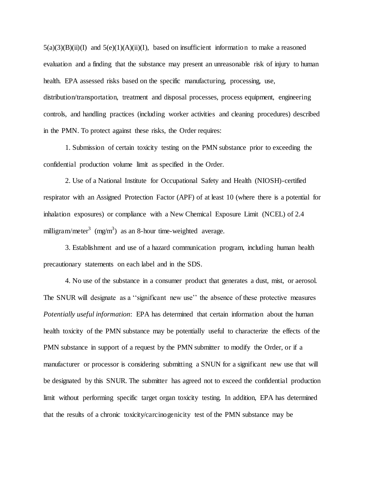$5(a)(3)(B)(ii)(I)$  and  $5(e)(1)(A)(ii)(I)$ , based on insufficient information to make a reasoned evaluation and a finding that the substance may present an unreasonable risk of injury to human health. EPA assessed risks based on the specific manufacturing, processing, use, distribution/transportation, treatment and disposal processes, process equipment, engineering controls, and handling practices (including worker activities and cleaning procedures) described in the PMN. To protect against these risks, the Order requires:

1. Submission of certain toxicity testing on the PMN substance prior to exceeding the confidential production volume limit as specified in the Order.

2. Use of a National Institute for Occupational Safety and Health (NIOSH)-certified respirator with an Assigned Protection Factor (APF) of at least 10 (where there is a potential for inhalation exposures) or compliance with a New Chemical Exposure Limit (NCEL) of 2.4 milligram/meter<sup>3</sup> (mg/m<sup>3</sup>) as an 8-hour time-weighted average.

3. Establishment and use of a hazard communication program, including human health precautionary statements on each label and in the SDS.

4. No use of the substance in a consumer product that generates a dust, mist, or aerosol. The SNUR will designate as a ''significant new use'' the absence of these protective measures *Potentially useful information*: EPA has determined that certain information about the human health toxicity of the PMN substance may be potentially useful to characterize the effects of the PMN substance in support of a request by the PMN submitter to modify the Order, or if a manufacturer or processor is considering submitting a SNUN for a significant new use that will be designated by this SNUR. The submitter has agreed not to exceed the confidential production limit without performing specific target organ toxicity testing. In addition, EPA has determined that the results of a chronic toxicity/carcinogenicity test of the PMN substance may be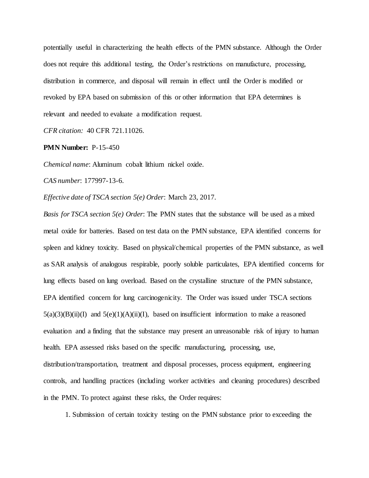potentially useful in characterizing the health effects of the PMN substance. Although the Order does not require this additional testing, the Order's restrictions on manufacture, processing, distribution in commerce, and disposal will remain in effect until the Order is modified or revoked by EPA based on submission of this or other information that EPA determines is relevant and needed to evaluate a modification request.

*CFR citation:* 40 CFR 721.11026.

## **PMN Number:** P-15-450

*Chemical name*: Aluminum cobalt lithium nickel oxide.

*CAS number*: 177997-13-6.

*Effective date of TSCA section 5(e) Order*: March 23, 2017.

*Basis for TSCA section 5(e) Order*: The PMN states that the substance will be used as a mixed metal oxide for batteries. Based on test data on the PMN substance, EPA identified concerns for spleen and kidney toxicity. Based on physical/chemical properties of the PMN substance, as well as SAR analysis of analogous respirable, poorly soluble particulates, EPA identified concerns for lung effects based on lung overload. Based on the crystalline structure of the PMN substance, EPA identified concern for lung carcinogenicity. The Order was issued under TSCA sections  $5(a)(3)(B)(ii)(I)$  and  $5(e)(1)(A)(ii)(I)$ , based on insufficient information to make a reasoned evaluation and a finding that the substance may present an unreasonable risk of injury to human health. EPA assessed risks based on the specific manufacturing, processing, use, distribution/transportation, treatment and disposal processes, process equipment, engineering controls, and handling practices (including worker activities and cleaning procedures) described in the PMN. To protect against these risks, the Order requires:

1. Submission of certain toxicity testing on the PMN substance prior to exceeding the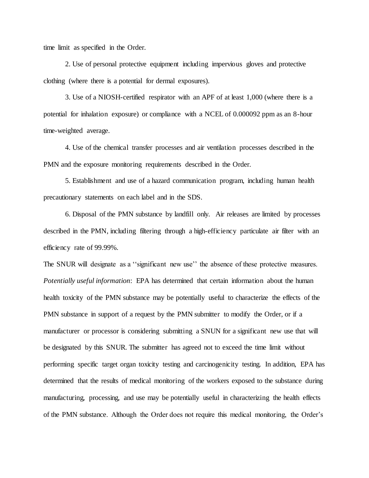time limit as specified in the Order.

2. Use of personal protective equipment including impervious gloves and protective clothing (where there is a potential for dermal exposures).

3. Use of a NIOSH-certified respirator with an APF of at least 1,000 (where there is a potential for inhalation exposure) or compliance with a NCEL of 0.000092 ppm as an 8-hour time-weighted average.

4. Use of the chemical transfer processes and air ventilation processes described in the PMN and the exposure monitoring requirements described in the Order.

5. Establishment and use of a hazard communication program, including human health precautionary statements on each label and in the SDS.

6. Disposal of the PMN substance by landfill only. Air releases are limited by processes described in the PMN, including filtering through a high-efficiency particulate air filter with an efficiency rate of 99.99%.

The SNUR will designate as a ''significant new use'' the absence of these protective measures. *Potentially useful information*: EPA has determined that certain information about the human health toxicity of the PMN substance may be potentially useful to characterize the effects of the PMN substance in support of a request by the PMN submitter to modify the Order, or if a manufacturer or processor is considering submitting a SNUN for a significant new use that will be designated by this SNUR. The submitter has agreed not to exceed the time limit without performing specific target organ toxicity testing and carcinogenicity testing. In addition, EPA has determined that the results of medical monitoring of the workers exposed to the substance during manufacturing, processing, and use may be potentially useful in characterizing the health effects of the PMN substance. Although the Order does not require this medical monitoring, the Order's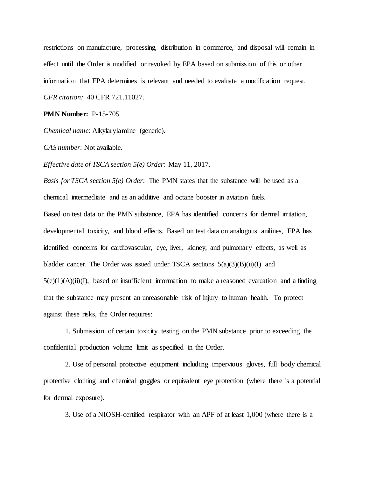restrictions on manufacture, processing, distribution in commerce, and disposal will remain in effect until the Order is modified or revoked by EPA based on submission of this or other information that EPA determines is relevant and needed to evaluate a modification request. *CFR citation:* 40 CFR 721.11027.

**PMN Number:** P-15-705

*Chemical name*: Alkylarylamine (generic).

*CAS number*: Not available.

*Effective date of TSCA section 5(e) Order*: May 11, 2017.

*Basis for TSCA section 5(e) Order*: The PMN states that the substance will be used as a chemical intermediate and as an additive and octane booster in aviation fuels. Based on test data on the PMN substance, EPA has identified concerns for dermal irritation, developmental toxicity, and blood effects. Based on test data on analogous anilines, EPA has identified concerns for cardiovascular, eye, liver, kidney, and pulmonary effects, as well as bladder cancer. The Order was issued under TSCA sections  $5(a)(3)(B)(ii)(I)$  and  $5(e)(1)(A)(ii)(I)$ , based on insufficient information to make a reasoned evaluation and a finding that the substance may present an unreasonable risk of injury to human health. To protect against these risks, the Order requires:

1. Submission of certain toxicity testing on the PMN substance prior to exceeding the confidential production volume limit as specified in the Order.

2. Use of personal protective equipment including impervious gloves, full body chemical protective clothing and chemical goggles or equivalent eye protection (where there is a potential for dermal exposure).

3. Use of a NIOSH-certified respirator with an APF of at least 1,000 (where there is a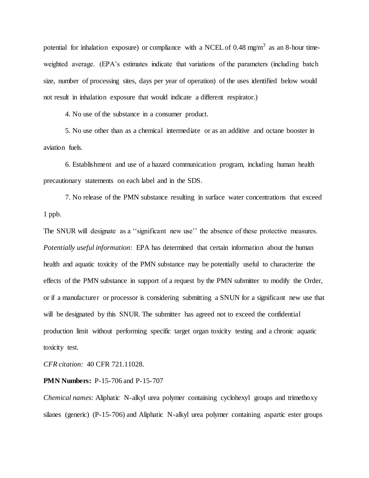potential for inhalation exposure) or compliance with a NCEL of 0.48 mg/m<sup>3</sup> as an 8-hour timeweighted average. (EPA's estimates indicate that variations of the parameters (including batch size, number of processing sites, days per year of operation) of the uses identified below would not result in inhalation exposure that would indicate a different respirator.)

4. No use of the substance in a consumer product.

5. No use other than as a chemical intermediate or as an additive and octane booster in aviation fuels.

6. Establishment and use of a hazard communication program, including human health precautionary statements on each label and in the SDS.

7. No release of the PMN substance resulting in surface water concentrations that exceed 1 ppb.

The SNUR will designate as a ''significant new use'' the absence of these protective measures. *Potentially useful information*: EPA has determined that certain information about the human health and aquatic toxicity of the PMN substance may be potentially useful to characterize the effects of the PMN substance in support of a request by the PMN submitter to modify the Order, or if a manufacturer or processor is considering submitting a SNUN for a significant new use that will be designated by this SNUR. The submitter has agreed not to exceed the confidential production limit without performing specific target organ toxicity testing and a chronic aquatic toxicity test.

*CFR citation:* 40 CFR 721.11028.

#### **PMN Numbers:** P-15-706 and P-15-707

*Chemical names*: Aliphatic N-alkyl urea polymer containing cyclohexyl groups and trimethoxy silanes (generic) (P-15-706) and Aliphatic N-alkyl urea polymer containing aspartic ester groups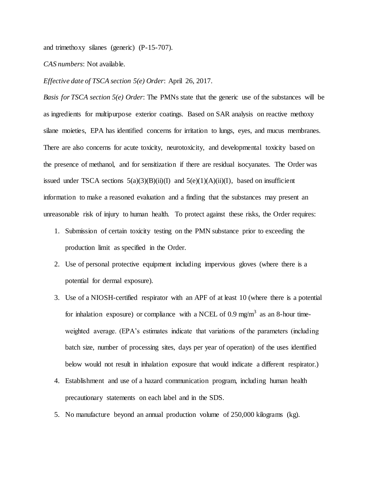and trimethoxy silanes (generic) (P-15-707).

*CAS numbers*: Not available.

*Effective date of TSCA section 5(e) Order*: April 26, 2017.

*Basis for TSCA section 5(e) Order*: The PMNs state that the generic use of the substances will be as ingredients for multipurpose exterior coatings. Based on SAR analysis on reactive methoxy silane moieties, EPA has identified concerns for irritation to lungs, eyes, and mucus membranes. There are also concerns for acute toxicity, neurotoxicity, and developmental toxicity based on the presence of methanol, and for sensitization if there are residual isocyanates. The Order was issued under TSCA sections  $5(a)(3)(B)(ii)(I)$  and  $5(e)(1)(A)(ii)(I)$ , based on insufficient information to make a reasoned evaluation and a finding that the substances may present an unreasonable risk of injury to human health. To protect against these risks, the Order requires:

- 1. Submission of certain toxicity testing on the PMN substance prior to exceeding the production limit as specified in the Order.
- 2. Use of personal protective equipment including impervious gloves (where there is a potential for dermal exposure).
- 3. Use of a NIOSH-certified respirator with an APF of at least 10 (where there is a potential for inhalation exposure) or compliance with a NCEL of 0.9 mg/m<sup>3</sup> as an 8-hour timeweighted average. (EPA's estimates indicate that variations of the parameters (including batch size, number of processing sites, days per year of operation) of the uses identified below would not result in inhalation exposure that would indicate a different respirator.)
- 4. Establishment and use of a hazard communication program, including human health precautionary statements on each label and in the SDS.
- 5. No manufacture beyond an annual production volume of 250,000 kilograms (kg).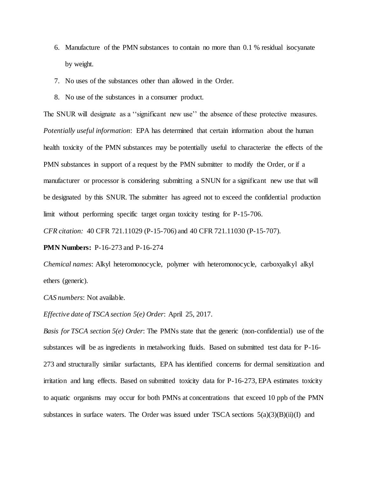- 6. Manufacture of the PMN substances to contain no more than 0.1 % residual isocyanate by weight.
- 7. No uses of the substances other than allowed in the Order.
- 8. No use of the substances in a consumer product.

The SNUR will designate as a ''significant new use'' the absence of these protective measures. *Potentially useful information*: EPA has determined that certain information about the human health toxicity of the PMN substances may be potentially useful to characterize the effects of the PMN substances in support of a request by the PMN submitter to modify the Order, or if a manufacturer or processor is considering submitting a SNUN for a significant new use that will be designated by this SNUR. The submitter has agreed not to exceed the confidential production limit without performing specific target organ toxicity testing for P-15-706.

*CFR citation:* 40 CFR 721.11029 (P-15-706) and 40 CFR 721.11030 (P-15-707).

**PMN Numbers:** P-16-273 and P-16-274

*Chemical names*: Alkyl heteromonocycle, polymer with heteromonocycle, carboxyalkyl alkyl ethers (generic).

*CAS numbers*: Not available.

*Effective date of TSCA section 5(e) Order*: April 25, 2017.

*Basis for TSCA section 5(e) Order*: The PMNs state that the generic (non-confidential) use of the substances will be as ingredients in metalworking fluids. Based on submitted test data for P-16- 273 and structurally similar surfactants, EPA has identified concerns for dermal sensitization and irritation and lung effects. Based on submitted toxicity data for P-16-273, EPA estimates toxicity to aquatic organisms may occur for both PMNs at concentrations that exceed 10 ppb of the PMN substances in surface waters. The Order was issued under TSCA sections  $5(a)(3)(B)(ii)(I)$  and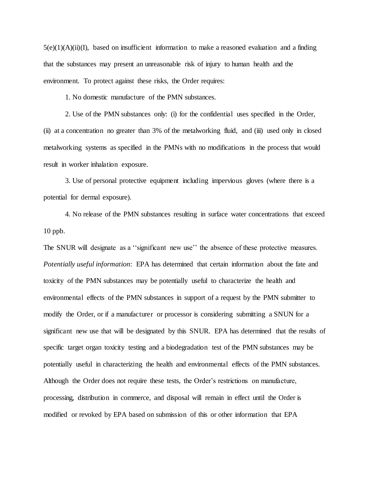$5(e)(1)(A)(ii)(I)$ , based on insufficient information to make a reasoned evaluation and a finding that the substances may present an unreasonable risk of injury to human health and the environment. To protect against these risks, the Order requires:

1. No domestic manufacture of the PMN substances.

2. Use of the PMN substances only: (i) for the confidential uses specified in the Order, (ii) at a concentration no greater than 3% of the metalworking fluid, and (iii) used only in closed metalworking systems as specified in the PMNs with no modifications in the process that would result in worker inhalation exposure.

3. Use of personal protective equipment including impervious gloves (where there is a potential for dermal exposure).

4. No release of the PMN substances resulting in surface water concentrations that exceed 10 ppb.

The SNUR will designate as a ''significant new use'' the absence of these protective measures. *Potentially useful information*: EPA has determined that certain information about the fate and toxicity of the PMN substances may be potentially useful to characterize the health and environmental effects of the PMN substances in support of a request by the PMN submitter to modify the Order, or if a manufacturer or processor is considering submitting a SNUN for a significant new use that will be designated by this SNUR. EPA has determined that the results of specific target organ toxicity testing and a biodegradation test of the PMN substances may be potentially useful in characterizing the health and environmental effects of the PMN substances. Although the Order does not require these tests, the Order's restrictions on manufacture, processing, distribution in commerce, and disposal will remain in effect until the Order is modified or revoked by EPA based on submission of this or other information that EPA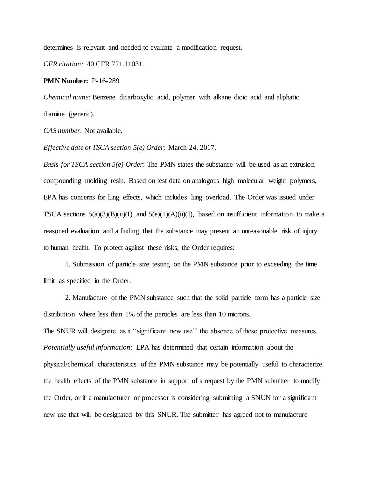determines is relevant and needed to evaluate a modification request.

*CFR citation:* 40 CFR 721.11031.

**PMN Number:** P-16-289

*Chemical name*: Benzene dicarboxylic acid, polymer with alkane dioic acid and aliphatic diamine (generic).

*CAS number*: Not available.

*Effective date of TSCA section 5(e) Order*: March 24, 2017.

*Basis for TSCA section 5(e) Order*: The PMN states the substance will be used as an extrusion compounding molding resin. Based on test data on analogous high molecular weight polymers, EPA has concerns for lung effects, which includes lung overload. The Order was issued under TSCA sections  $5(a)(3)(B)(ii)(I)$  and  $5(e)(1)(A)(ii)(I)$ , based on insufficient information to make a reasoned evaluation and a finding that the substance may present an unreasonable risk of injury to human health. To protect against these risks, the Order requires:

1. Submission of particle size testing on the PMN substance prior to exceeding the time limit as specified in the Order.

2. Manufacture of the PMN substance such that the solid particle form has a particle size distribution where less than 1% of the particles are less than 10 microns.

The SNUR will designate as a ''significant new use'' the absence of these protective measures. *Potentially useful information*: EPA has determined that certain information about the physical/chemical characteristics of the PMN substance may be potentially useful to characterize the health effects of the PMN substance in support of a request by the PMN submitter to modify the Order, or if a manufacturer or processor is considering submitting a SNUN for a significant new use that will be designated by this SNUR. The submitter has agreed not to manufacture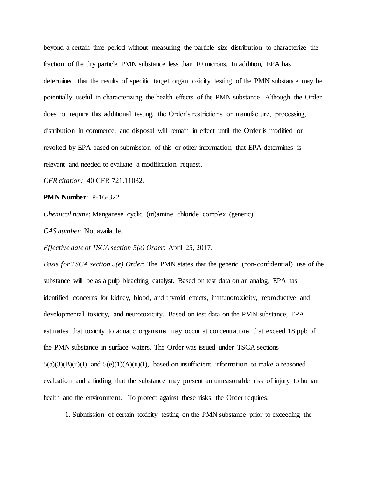beyond a certain time period without measuring the particle size distribution to characterize the fraction of the dry particle PMN substance less than 10 microns. In addition, EPA has determined that the results of specific target organ toxicity testing of the PMN substance may be potentially useful in characterizing the health effects of the PMN substance. Although the Order does not require this additional testing, the Order's restrictions on manufacture, processing, distribution in commerce, and disposal will remain in effect until the Order is modified or revoked by EPA based on submission of this or other information that EPA determines is relevant and needed to evaluate a modification request.

*CFR citation:* 40 CFR 721.11032.

# **PMN Number:** P-16-322

*Chemical name*: Manganese cyclic (tri)amine chloride complex (generic).

*CAS number*: Not available.

*Effective date of TSCA section 5(e) Order*: April 25, 2017.

*Basis for TSCA section 5(e) Order*: The PMN states that the generic (non-confidential) use of the substance will be as a pulp bleaching catalyst. Based on test data on an analog, EPA has identified concerns for kidney, blood, and thyroid effects, immunotoxicity, reproductive and developmental toxicity, and neurotoxicity. Based on test data on the PMN substance, EPA estimates that toxicity to aquatic organisms may occur at concentrations that exceed 18 ppb of the PMN substance in surface waters. The Order was issued under TSCA sections  $5(a)(3)(B)(ii)(I)$  and  $5(e)(1)(A)(ii)(I)$ , based on insufficient information to make a reasoned evaluation and a finding that the substance may present an unreasonable risk of injury to human health and the environment. To protect against these risks, the Order requires:

1. Submission of certain toxicity testing on the PMN substance prior to exceeding the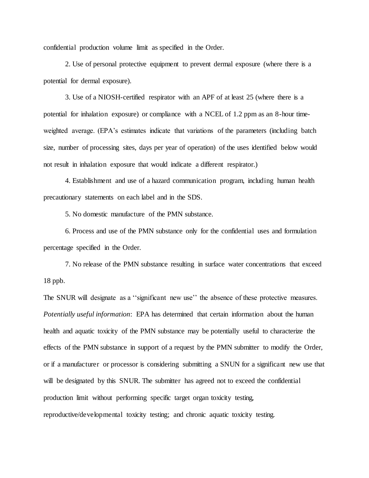confidential production volume limit as specified in the Order.

2. Use of personal protective equipment to prevent dermal exposure (where there is a potential for dermal exposure).

3. Use of a NIOSH-certified respirator with an APF of at least 25 (where there is a potential for inhalation exposure) or compliance with a NCEL of 1.2 ppm as an 8-hour timeweighted average. (EPA's estimates indicate that variations of the parameters (including batch size, number of processing sites, days per year of operation) of the uses identified below would not result in inhalation exposure that would indicate a different respirator.)

4. Establishment and use of a hazard communication program, including human health precautionary statements on each label and in the SDS.

5. No domestic manufacture of the PMN substance.

6. Process and use of the PMN substance only for the confidential uses and formulation percentage specified in the Order.

7. No release of the PMN substance resulting in surface water concentrations that exceed 18 ppb.

The SNUR will designate as a ''significant new use'' the absence of these protective measures. *Potentially useful information*: EPA has determined that certain information about the human health and aquatic toxicity of the PMN substance may be potentially useful to characterize the effects of the PMN substance in support of a request by the PMN submitter to modify the Order, or if a manufacturer or processor is considering submitting a SNUN for a significant new use that will be designated by this SNUR. The submitter has agreed not to exceed the confidential production limit without performing specific target organ toxicity testing, reproductive/developmental toxicity testing; and chronic aquatic toxicity testing.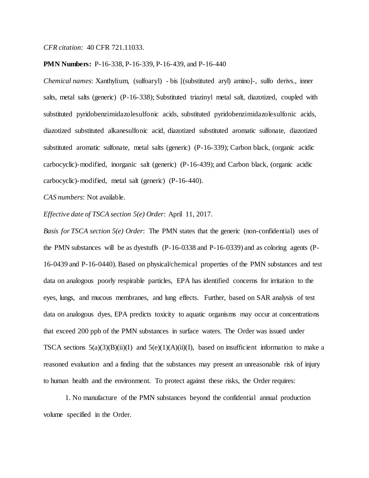*CFR citation:* 40 CFR 721.11033.

### **PMN Numbers:** P-16-338, P-16-339, P-16-439, and P-16-440

*Chemical names*: Xanthylium, (sulfoaryl) - bis [(substituted aryl) amino]-, sulfo derivs., inner salts, metal salts (generic) (P-16-338); Substituted triazinyl metal salt, diazotized, coupled with substituted pyridobenzimidazolesulfonic acids, substituted pyridobenzimidazolesulfonic acids, diazotized substituted alkanesulfonic acid, diazotized substituted aromatic sulfonate, diazotized substituted aromatic sulfonate, metal salts (generic) (P-16-339); Carbon black, (organic acidic carbocyclic)-modified, inorganic salt (generic) (P-16-439); and Carbon black, (organic acidic carbocyclic)-modified, metal salt (generic) (P-16-440).

*CAS numbers*: Not available.

*Effective date of TSCA section 5(e) Order*: April 11, 2017.

*Basis for TSCA section 5(e) Order*: The PMN states that the generic (non-confidential) uses of the PMN substances will be as dyestuffs (P-16-0338 and P-16-0339) and as coloring agents (P-16-0439 and P-16-0440). Based on physical/chemical properties of the PMN substances and test data on analogous poorly respirable particles, EPA has identified concerns for irritation to the eyes, lungs, and mucous membranes, and lung effects. Further, based on SAR analysis of test data on analogous dyes, EPA predicts toxicity to aquatic organisms may occur at concentrations that exceed 200 ppb of the PMN substances in surface waters. The Order was issued under TSCA sections  $5(a)(3)(B)(ii)(I)$  and  $5(e)(1)(A)(ii)(I)$ , based on insufficient information to make a reasoned evaluation and a finding that the substances may present an unreasonable risk of injury to human health and the environment. To protect against these risks, the Order requires:

1. No manufacture of the PMN substances beyond the confidential annual production volume specified in the Order.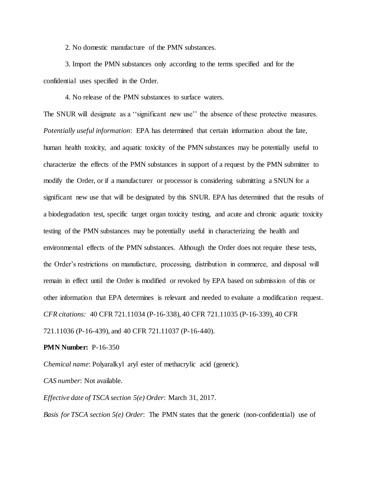2. No domestic manufacture of the PMN substances.

3. Import the PMN substances only according to the terms specified and for the confidential uses specified in the Order.

4. No release of the PMN substances to surface waters.

The SNUR will designate as a ''significant new use'' the absence of these protective measures. *Potentially useful information*: EPA has determined that certain information about the fate, human health toxicity, and aquatic toxicity of the PMN substances may be potentially useful to characterize the effects of the PMN substances in support of a request by the PMN submitter to modify the Order, or if a manufacturer or processor is considering submitting a SNUN for a significant new use that will be designated by this SNUR. EPA has determined that the results of a biodegradation test, specific target organ toxicity testing, and acute and chronic aquatic toxicity testing of the PMN substances may be potentially useful in characterizing the health and environmental effects of the PMN substances. Although the Order does not require these tests, the Order's restrictions on manufacture, processing, distribution in commerce, and disposal will remain in effect until the Order is modified or revoked by EPA based on submission of this or other information that EPA determines is relevant and needed to evaluate a modification request. *CFR citations:* 40 CFR 721.11034 (P-16-338), 40 CFR 721.11035 (P-16-339), 40 CFR

721.11036 (P-16-439), and 40 CFR 721.11037 (P-16-440).

**PMN Number:** P-16-350

*Chemical name*: Polyaralkyl aryl ester of methacrylic acid (generic).

*CAS number*: Not available.

*Effective date of TSCA section 5(e) Order*: March 31, 2017.

*Basis for TSCA section 5(e) Order*: The PMN states that the generic (non-confidential) use of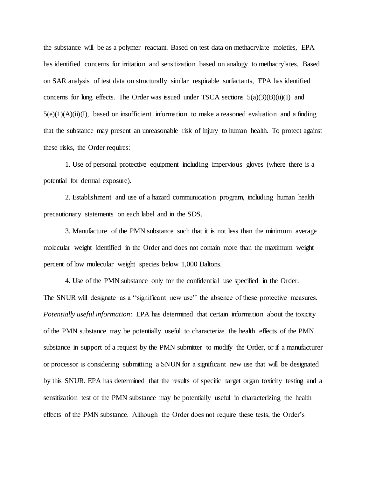the substance will be as a polymer reactant. Based on test data on methacrylate moieties, EPA has identified concerns for irritation and sensitization based on analogy to methacrylates. Based on SAR analysis of test data on structurally similar respirable surfactants, EPA has identified concerns for lung effects. The Order was issued under TSCA sections  $5(a)(3)(B)(ii)(I)$  and  $5(e)(1)(A)(ii)(I)$ , based on insufficient information to make a reasoned evaluation and a finding that the substance may present an unreasonable risk of injury to human health. To protect against these risks, the Order requires:

1. Use of personal protective equipment including impervious gloves (where there is a potential for dermal exposure).

2. Establishment and use of a hazard communication program, including human health precautionary statements on each label and in the SDS.

3. Manufacture of the PMN substance such that it is not less than the minimum average molecular weight identified in the Order and does not contain more than the maximum weight percent of low molecular weight species below 1,000 Daltons.

4. Use of the PMN substance only for the confidential use specified in the Order. The SNUR will designate as a ''significant new use'' the absence of these protective measures. *Potentially useful information*: EPA has determined that certain information about the toxicity of the PMN substance may be potentially useful to characterize the health effects of the PMN substance in support of a request by the PMN submitter to modify the Order, or if a manufacturer or processor is considering submitting a SNUN for a significant new use that will be designated by this SNUR. EPA has determined that the results of specific target organ toxicity testing and a sensitization test of the PMN substance may be potentially useful in characterizing the health effects of the PMN substance. Although the Order does not require these tests, the Order's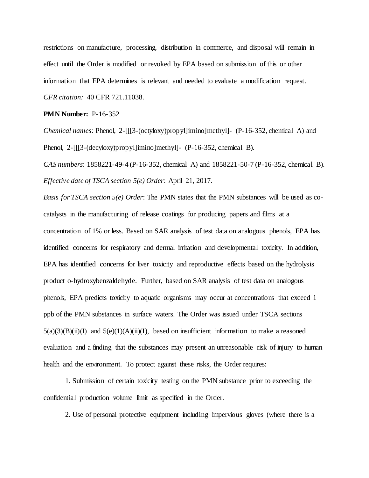restrictions on manufacture, processing, distribution in commerce, and disposal will remain in effect until the Order is modified or revoked by EPA based on submission of this or other information that EPA determines is relevant and needed to evaluate a modification request. *CFR citation:* 40 CFR 721.11038.

## **PMN Number:** P-16-352

*Chemical names*: Phenol, 2-[[[3-(octyloxy)propyl]imino]methyl]- (P-16-352, chemical A) and Phenol, 2-[[[3-(decyloxy)propyl]imino]methyl]- (P-16-352, chemical B).

*CAS numbers*: 1858221-49-4 (P-16-352, chemical A) and 1858221-50-7 (P-16-352, chemical B). *Effective date of TSCA section 5(e) Order*: April 21, 2017.

*Basis for TSCA section 5(e) Order*: The PMN states that the PMN substances will be used as cocatalysts in the manufacturing of release coatings for producing papers and films at a concentration of 1% or less. Based on SAR analysis of test data on analogous phenols, EPA has identified concerns for respiratory and dermal irritation and developmental toxicity. In addition, EPA has identified concerns for liver toxicity and reproductive effects based on the hydrolysis product o-hydroxybenzaldehyde. Further, based on SAR analysis of test data on analogous phenols, EPA predicts toxicity to aquatic organisms may occur at concentrations that exceed 1 ppb of the PMN substances in surface waters. The Order was issued under TSCA sections  $5(a)(3)(B)(ii)(I)$  and  $5(e)(1)(A)(ii)(I)$ , based on insufficient information to make a reasoned evaluation and a finding that the substances may present an unreasonable risk of injury to human health and the environment. To protect against these risks, the Order requires:

1. Submission of certain toxicity testing on the PMN substance prior to exceeding the confidential production volume limit as specified in the Order.

2. Use of personal protective equipment including impervious gloves (where there is a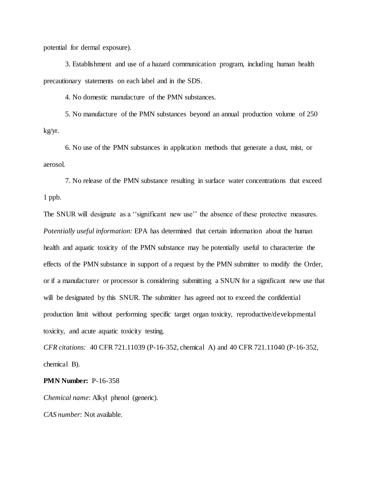potential for dermal exposure).

3. Establishment and use of a hazard communication program, including human health precautionary statements on each label and in the SDS.

4. No domestic manufacture of the PMN substances.

5. No manufacture of the PMN substances beyond an annual production volume of 250 kg/yr.

6. No use of the PMN substances in application methods that generate a dust, mist, or aerosol.

7. No release of the PMN substance resulting in surface water concentrations that exceed 1 ppb.

The SNUR will designate as a ''significant new use'' the absence of these protective measures. *Potentially useful information:* EPA has determined that certain information about the human health and aquatic toxicity of the PMN substance may be potentially useful to characterize the effects of the PMN substance in support of a request by the PMN submitter to modify the Order, or if a manufacturer or processor is considering submitting a SNUN for a significant new use that will be designated by this SNUR. The submitter has agreed not to exceed the confidential production limit without performing specific target organ toxicity, reproductive/developmental toxicity, and acute aquatic toxicity testing.

*CFR citations:* 40 CFR 721.11039 (P-16-352, chemical A) and 40 CFR 721.11040 (P-16-352, chemical B).

### **PMN Number:** P-16-358

*Chemical name*: Alkyl phenol (generic).

*CAS number*: Not available.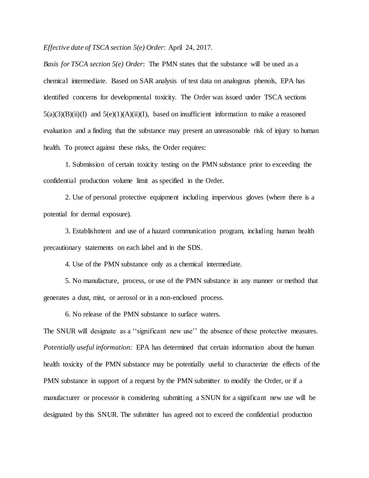*Effective date of TSCA section 5(e) Order*: April 24, 2017.

*Basis for TSCA section 5(e) Order*: The PMN states that the substance will be used as a chemical intermediate. Based on SAR analysis of test data on analogous phenols, EPA has identified concerns for developmental toxicity. The Order was issued under TSCA sections  $5(a)(3)(B)(ii)(I)$  and  $5(e)(1)(A)(ii)(I)$ , based on insufficient information to make a reasoned evaluation and a finding that the substance may present an unreasonable risk of injury to human health. To protect against these risks, the Order requires:

1. Submission of certain toxicity testing on the PMN substance prior to exceeding the confidential production volume limit as specified in the Order.

2. Use of personal protective equipment including impervious gloves (where there is a potential for dermal exposure).

3. Establishment and use of a hazard communication program, including human health precautionary statements on each label and in the SDS.

4. Use of the PMN substance only as a chemical intermediate.

5. No manufacture, process, or use of the PMN substance in any manner or method that generates a dust, mist, or aerosol or in a non-enclosed process.

6. No release of the PMN substance to surface waters.

The SNUR will designate as a ''significant new use'' the absence of these protective measures. *Potentially useful information:* EPA has determined that certain information about the human health toxicity of the PMN substance may be potentially useful to characterize the effects of the PMN substance in support of a request by the PMN submitter to modify the Order, or if a manufacturer or processor is considering submitting a SNUN for a significant new use will be designated by this SNUR. The submitter has agreed not to exceed the confidential production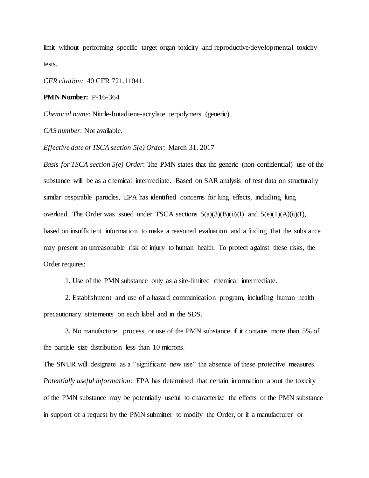limit without performing specific target organ toxicity and reproductive/developmental toxicity tests.

*CFR citation:* 40 CFR 721.11041.

**PMN Number:** P-16-364

*Chemical name*: Nitrile-butadiene-acrylate terpolymers (generic).

*CAS number*: Not available.

*Effective date of TSCA section 5(e) Order*: March 31, 2017

*Basis for TSCA section 5(e) Order*: The PMN states that the generic (non-confidential) use of the substance will be as a chemical intermediate. Based on SAR analysis of test data on structurally similar respirable particles, EPA has identified concerns for lung effects, including lung overload. The Order was issued under TSCA sections  $5(a)(3)(B)(ii)(I)$  and  $5(e)(1)(A)(ii)(I)$ , based on insufficient information to make a reasoned evaluation and a finding that the substance may present an unreasonable risk of injury to human health. To protect against these risks, the Order requires:

1. Use of the PMN substance only as a site-limited chemical intermediate.

2. Establishment and use of a hazard communication program, including human health precautionary statements on each label and in the SDS.

3. No manufacture, process, or use of the PMN substance if it contains more than 5% of the particle size distribution less than 10 microns.

The SNUR will designate as a ''significant new use" the absence of these protective measures. *Potentially useful information*: EPA has determined that certain information about the toxicity of the PMN substance may be potentially useful to characterize the effects of the PMN substance in support of a request by the PMN submitter to modify the Order, or if a manufacturer or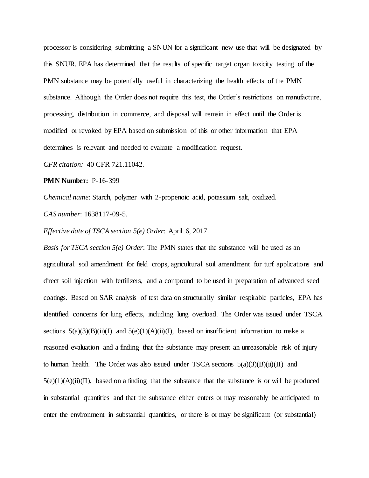processor is considering submitting a SNUN for a significant new use that will be designated by this SNUR. EPA has determined that the results of specific target organ toxicity testing of the PMN substance may be potentially useful in characterizing the health effects of the PMN substance. Although the Order does not require this test, the Order's restrictions on manufacture, processing, distribution in commerce, and disposal will remain in effect until the Order is modified or revoked by EPA based on submission of this or other information that EPA determines is relevant and needed to evaluate a modification request.

*CFR citation:* 40 CFR 721.11042.

**PMN Number:** P-16-399

*Chemical name*: Starch, polymer with 2-propenoic acid, potassium salt, oxidized. *CAS number*: 1638117-09-5.

*Effective date of TSCA section 5(e) Order*: April 6, 2017.

*Basis for TSCA section 5(e) Order*: The PMN states that the substance will be used as an agricultural soil amendment for field crops, agricultural soil amendment for turf applications and direct soil injection with fertilizers, and a compound to be used in preparation of advanced seed coatings. Based on SAR analysis of test data on structurally similar respirable particles, EPA has identified concerns for lung effects, including lung overload. The Order was issued under TSCA sections  $5(a)(3)(B)(ii)(I)$  and  $5(e)(1)(A)(ii)(I)$ , based on insufficient information to make a reasoned evaluation and a finding that the substance may present an unreasonable risk of injury to human health. The Order was also issued under TSCA sections  $5(a)(3)(B)(ii)(II)$  and  $5(e)(1)(A)(ii)(II)$ , based on a finding that the substance that the substance is or will be produced in substantial quantities and that the substance either enters or may reasonably be anticipated to enter the environment in substantial quantities, or there is or may be significant (or substantial)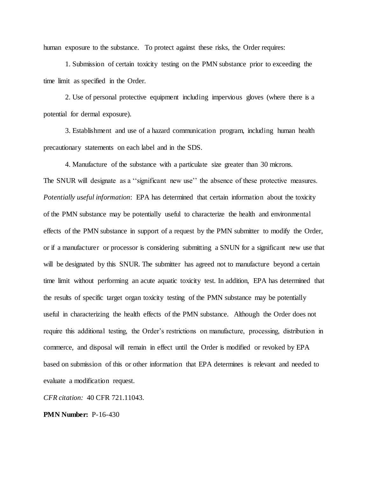human exposure to the substance. To protect against these risks, the Order requires:

1. Submission of certain toxicity testing on the PMN substance prior to exceeding the time limit as specified in the Order.

2. Use of personal protective equipment including impervious gloves (where there is a potential for dermal exposure).

3. Establishment and use of a hazard communication program, including human health precautionary statements on each label and in the SDS.

4. Manufacture of the substance with a particulate size greater than 30 microns. The SNUR will designate as a ''significant new use'' the absence of these protective measures. *Potentially useful information*: EPA has determined that certain information about the toxicity of the PMN substance may be potentially useful to characterize the health and environmental effects of the PMN substance in support of a request by the PMN submitter to modify the Order, or if a manufacturer or processor is considering submitting a SNUN for a significant new use that will be designated by this SNUR. The submitter has agreed not to manufacture beyond a certain time limit without performing an acute aquatic toxicity test. In addition, EPA has determined that the results of specific target organ toxicity testing of the PMN substance may be potentially useful in characterizing the health effects of the PMN substance. Although the Order does not require this additional testing, the Order's restrictions on manufacture, processing, distribution in commerce, and disposal will remain in effect until the Order is modified or revoked by EPA based on submission of this or other information that EPA determines is relevant and needed to evaluate a modification request.

*CFR citation:* 40 CFR 721.11043.

**PMN Number:** P-16-430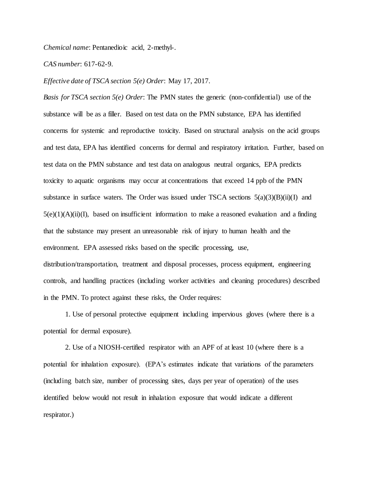*Chemical name*: Pentanedioic acid, 2-methyl-.

*CAS number*: 617-62-9.

*Effective date of TSCA section 5(e) Order*: May 17, 2017.

*Basis for TSCA section 5(e) Order*: The PMN states the generic (non-confidential) use of the substance will be as a filler. Based on test data on the PMN substance, EPA has identified concerns for systemic and reproductive toxicity. Based on structural analysis on the acid groups and test data, EPA has identified concerns for dermal and respiratory irritation. Further, based on test data on the PMN substance and test data on analogous neutral organics, EPA predicts toxicity to aquatic organisms may occur at concentrations that exceed 14 ppb of the PMN substance in surface waters. The Order was issued under TSCA sections  $5(a)(3)(B)(ii)(I)$  and  $5(e)(1)(A)(ii)(I)$ , based on insufficient information to make a reasoned evaluation and a finding that the substance may present an unreasonable risk of injury to human health and the environment. EPA assessed risks based on the specific processing, use, distribution/transportation, treatment and disposal processes, process equipment, engineering controls, and handling practices (including worker activities and cleaning procedures) described in the PMN. To protect against these risks, the Order requires:

1. Use of personal protective equipment including impervious gloves (where there is a potential for dermal exposure).

2. Use of a NIOSH-certified respirator with an APF of at least 10 (where there is a potential for inhalation exposure). (EPA's estimates indicate that variations of the parameters (including batch size, number of processing sites, days per year of operation) of the uses identified below would not result in inhalation exposure that would indicate a different respirator.)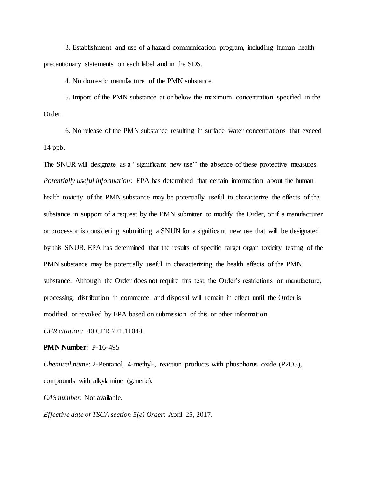3. Establishment and use of a hazard communication program, including human health precautionary statements on each label and in the SDS.

4. No domestic manufacture of the PMN substance.

5. Import of the PMN substance at or below the maximum concentration specified in the Order.

6. No release of the PMN substance resulting in surface water concentrations that exceed 14 ppb.

The SNUR will designate as a ''significant new use'' the absence of these protective measures. *Potentially useful information*: EPA has determined that certain information about the human health toxicity of the PMN substance may be potentially useful to characterize the effects of the substance in support of a request by the PMN submitter to modify the Order, or if a manufacturer or processor is considering submitting a SNUN for a significant new use that will be designated by this SNUR. EPA has determined that the results of specific target organ toxicity testing of the PMN substance may be potentially useful in characterizing the health effects of the PMN substance. Although the Order does not require this test, the Order's restrictions on manufacture, processing, distribution in commerce, and disposal will remain in effect until the Order is modified or revoked by EPA based on submission of this or other information.

*CFR citation:* 40 CFR 721.11044.

**PMN Number:** P-16-495

*Chemical name*: 2-Pentanol, 4-methyl-, reaction products with phosphorus oxide (P2O5), compounds with alkylamine (generic).

*CAS number*: Not available.

*Effective date of TSCA section 5(e) Order*: April 25, 2017.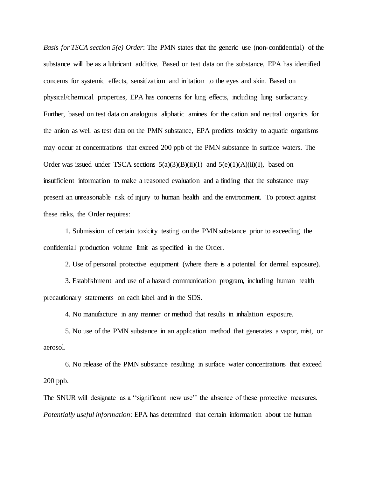*Basis for TSCA section 5(e) Order*: The PMN states that the generic use (non-confidential) of the substance will be as a lubricant additive. Based on test data on the substance, EPA has identified concerns for systemic effects, sensitization and irritation to the eyes and skin. Based on physical/chemical properties, EPA has concerns for lung effects, including lung surfactancy. Further, based on test data on analogous aliphatic amines for the cation and neutral organics for the anion as well as test data on the PMN substance, EPA predicts toxicity to aquatic organisms may occur at concentrations that exceed 200 ppb of the PMN substance in surface waters. The Order was issued under TSCA sections  $5(a)(3)(B)(ii)(I)$  and  $5(e)(1)(A)(ii)(I)$ , based on insufficient information to make a reasoned evaluation and a finding that the substance may present an unreasonable risk of injury to human health and the environment. To protect against these risks, the Order requires:

1. Submission of certain toxicity testing on the PMN substance prior to exceeding the confidential production volume limit as specified in the Order.

2. Use of personal protective equipment (where there is a potential for dermal exposure).

3. Establishment and use of a hazard communication program, including human health precautionary statements on each label and in the SDS.

4. No manufacture in any manner or method that results in inhalation exposure.

5. No use of the PMN substance in an application method that generates a vapor, mist, or aerosol.

6. No release of the PMN substance resulting in surface water concentrations that exceed 200 ppb.

The SNUR will designate as a ''significant new use'' the absence of these protective measures. *Potentially useful information*: EPA has determined that certain information about the human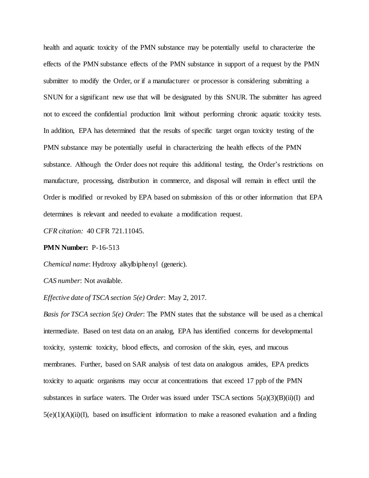health and aquatic toxicity of the PMN substance may be potentially useful to characterize the effects of the PMN substance effects of the PMN substance in support of a request by the PMN submitter to modify the Order, or if a manufacturer or processor is considering submitting a SNUN for a significant new use that will be designated by this SNUR. The submitter has agreed not to exceed the confidential production limit without performing chronic aquatic toxicity tests. In addition, EPA has determined that the results of specific target organ toxicity testing of the PMN substance may be potentially useful in characterizing the health effects of the PMN substance. Although the Order does not require this additional testing, the Order's restrictions on manufacture, processing, distribution in commerce, and disposal will remain in effect until the Order is modified or revoked by EPA based on submission of this or other information that EPA determines is relevant and needed to evaluate a modification request.

*CFR citation:* 40 CFR 721.11045.

### **PMN Number:** P-16-513

*Chemical name*: Hydroxy alkylbiphenyl (generic).

*CAS number*: Not available.

*Effective date of TSCA section 5(e) Order*: May 2, 2017.

*Basis for TSCA section 5(e) Order*: The PMN states that the substance will be used as a chemical intermediate. Based on test data on an analog, EPA has identified concerns for developmental toxicity, systemic toxicity, blood effects, and corrosion of the skin, eyes, and mucous membranes. Further, based on SAR analysis of test data on analogous amides, EPA predicts toxicity to aquatic organisms may occur at concentrations that exceed 17 ppb of the PMN substances in surface waters. The Order was issued under TSCA sections  $5(a)(3)(B)(ii)(I)$  and  $5(e)(1)(A)(ii)(I)$ , based on insufficient information to make a reasoned evaluation and a finding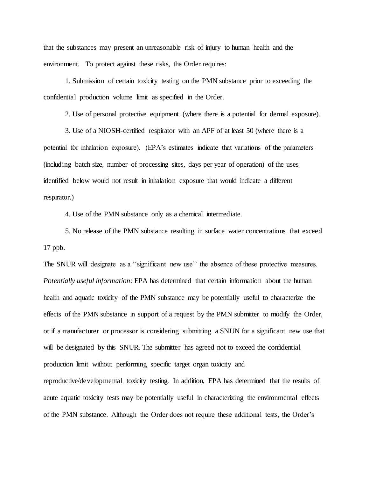that the substances may present an unreasonable risk of injury to human health and the environment. To protect against these risks, the Order requires:

1. Submission of certain toxicity testing on the PMN substance prior to exceeding the confidential production volume limit as specified in the Order.

2. Use of personal protective equipment (where there is a potential for dermal exposure).

3. Use of a NIOSH-certified respirator with an APF of at least 50 (where there is a potential for inhalation exposure). (EPA's estimates indicate that variations of the parameters (including batch size, number of processing sites, days per year of operation) of the uses identified below would not result in inhalation exposure that would indicate a different respirator.)

4. Use of the PMN substance only as a chemical intermediate.

5. No release of the PMN substance resulting in surface water concentrations that exceed 17 ppb.

The SNUR will designate as a ''significant new use'' the absence of these protective measures. *Potentially useful information*: EPA has determined that certain information about the human health and aquatic toxicity of the PMN substance may be potentially useful to characterize the effects of the PMN substance in support of a request by the PMN submitter to modify the Order, or if a manufacturer or processor is considering submitting a SNUN for a significant new use that will be designated by this SNUR. The submitter has agreed not to exceed the confidential production limit without performing specific target organ toxicity and reproductive/developmental toxicity testing. In addition, EPA has determined that the results of

of the PMN substance. Although the Order does not require these additional tests, the Order's

acute aquatic toxicity tests may be potentially useful in characterizing the environmental effects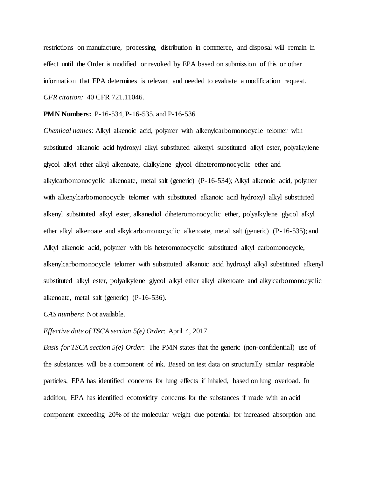restrictions on manufacture, processing, distribution in commerce, and disposal will remain in effect until the Order is modified or revoked by EPA based on submission of this or other information that EPA determines is relevant and needed to evaluate a modification request. *CFR citation:* 40 CFR 721.11046.

#### **PMN Numbers:** P-16-534, P-16-535, and P-16-536

*Chemical names*: Alkyl alkenoic acid, polymer with alkenylcarbomonocycle telomer with substituted alkanoic acid hydroxyl alkyl substituted alkenyl substituted alkyl ester, polyalkylene glycol alkyl ether alkyl alkenoate, dialkylene glycol diheteromonocyclic ether and alkylcarbomonocyclic alkenoate, metal salt (generic) (P-16-534); Alkyl alkenoic acid, polymer with alkenylcarbomonocycle telomer with substituted alkanoic acid hydroxyl alkyl substituted alkenyl substituted alkyl ester, alkanediol diheteromonocyclic ether, polyalkylene glycol alkyl ether alkyl alkenoate and alkylcarbomonocyclic alkenoate, metal salt (generic) (P-16-535); and Alkyl alkenoic acid, polymer with bis heteromonocyclic substituted alkyl carbomonocycle, alkenylcarbomonocycle telomer with substituted alkanoic acid hydroxyl alkyl substituted alkenyl substituted alkyl ester, polyalkylene glycol alkyl ether alkyl alkenoate and alkylcarbomonocyclic alkenoate, metal salt (generic) (P-16-536).

#### *CAS numbers*: Not available.

*Effective date of TSCA section 5(e) Order*: April 4, 2017.

*Basis for TSCA section 5(e) Order*: The PMN states that the generic (non-confidential) use of the substances will be a component of ink. Based on test data on structurally similar respirable particles, EPA has identified concerns for lung effects if inhaled, based on lung overload. In addition, EPA has identified ecotoxicity concerns for the substances if made with an acid component exceeding 20% of the molecular weight due potential for increased absorption and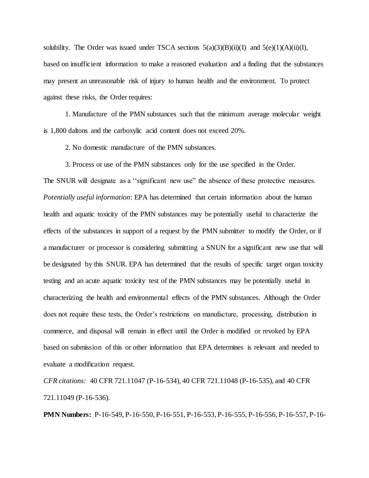solubility. The Order was issued under TSCA sections  $5(a)(3)(B)(ii)(I)$  and  $5(e)(1)(A)(ii)(I)$ , based on insufficient information to make a reasoned evaluation and a finding that the substances may present an unreasonable risk of injury to human health and the environment. To protect against these risks, the Order requires:

1. Manufacture of the PMN substances such that the minimum average molecular weight is 1,800 daltons and the carboxylic acid content does not exceed 20%.

2. No domestic manufacture of the PMN substances.

3. Process or use of the PMN substances only for the use specified in the Order. The SNUR will designate as a ''significant new use" the absence of these protective measures. *Potentially useful information*: EPA has determined that certain information about the human health and aquatic toxicity of the PMN substances may be potentially useful to characterize the effects of the substances in support of a request by the PMN submitter to modify the Order, or if a manufacturer or processor is considering submitting a SNUN for a significant new use that will be designated by this SNUR. EPA has determined that the results of specific target organ toxicity testing and an acute aquatic toxicity test of the PMN substances may be potentially useful in characterizing the health and environmental effects of the PMN substances. Although the Order does not require these tests, the Order's restrictions on manufacture, processing, distribution in commerce, and disposal will remain in effect until the Order is modified or revoked by EPA based on submission of this or other information that EPA determines is relevant and needed to evaluate a modification request.

*CFR citations:* 40 CFR 721.11047 (P-16-534), 40 CFR 721.11048 (P-16-535), and 40 CFR 721.11049 (P-16-536).

**PMN Numbers:** P-16-549, P-16-550, P-16-551, P-16-553, P-16-555, P-16-556, P-16-557, P-16-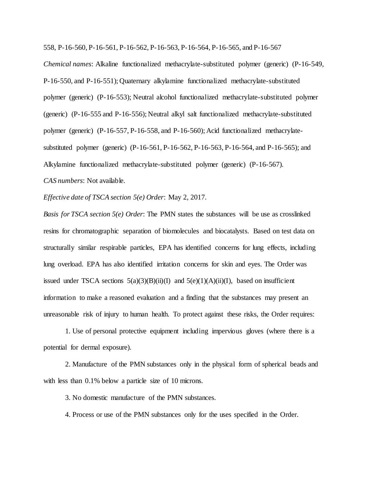558, P-16-560, P-16-561, P-16-562, P-16-563, P-16-564, P-16-565, and P-16-567

*Chemical names*: Alkaline functionalized methacrylate-substituted polymer (generic) (P-16-549, P-16-550, and P-16-551); Quaternary alkylamine functionalized methacrylate-substituted polymer (generic) (P-16-553); Neutral alcohol functionalized methacrylate-substituted polymer (generic) (P-16-555 and P-16-556); Neutral alkyl salt functionalized methacrylate-substituted polymer (generic) (P-16-557, P-16-558, and P-16-560); Acid functionalized methacrylatesubstituted polymer (generic) (P-16-561, P-16-562, P-16-563, P-16-564, and P-16-565); and Alkylamine functionalized methacrylate-substituted polymer (generic) (P-16-567). *CAS numbers*: Not available.

*Effective date of TSCA section 5(e) Order*: May 2, 2017.

*Basis for TSCA section 5(e) Order*: The PMN states the substances will be use as crosslinked resins for chromatographic separation of biomolecules and biocatalysts. Based on test data on structurally similar respirable particles, EPA has identified concerns for lung effects, including lung overload. EPA has also identified irritation concerns for skin and eyes. The Order was issued under TSCA sections  $5(a)(3)(B)(ii)(I)$  and  $5(e)(1)(A)(ii)(I)$ , based on insufficient information to make a reasoned evaluation and a finding that the substances may present an unreasonable risk of injury to human health. To protect against these risks, the Order requires:

1. Use of personal protective equipment including impervious gloves (where there is a potential for dermal exposure).

2. Manufacture of the PMN substances only in the physical form of spherical beads and with less than  $0.1\%$  below a particle size of 10 microns.

3. No domestic manufacture of the PMN substances.

4. Process or use of the PMN substances only for the uses specified in the Order.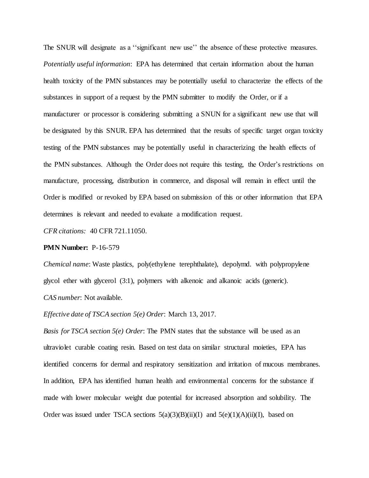The SNUR will designate as a ''significant new use'' the absence of these protective measures. *Potentially useful information*: EPA has determined that certain information about the human health toxicity of the PMN substances may be potentially useful to characterize the effects of the substances in support of a request by the PMN submitter to modify the Order, or if a manufacturer or processor is considering submitting a SNUN for a significant new use that will be designated by this SNUR. EPA has determined that the results of specific target organ toxicity testing of the PMN substances may be potentially useful in characterizing the health effects of the PMN substances. Although the Order does not require this testing, the Order's restrictions on manufacture, processing, distribution in commerce, and disposal will remain in effect until the Order is modified or revoked by EPA based on submission of this or other information that EPA determines is relevant and needed to evaluate a modification request.

*CFR citations:* 40 CFR 721.11050.

### **PMN Number:** P-16-579

*Chemical name*: Waste plastics, poly(ethylene terephthalate), depolymd. with polypropylene glycol ether with glycerol (3:1), polymers with alkenoic and alkanoic acids (generic). *CAS number*: Not available.

*Effective date of TSCA section 5(e) Order*: March 13, 2017.

*Basis for TSCA section 5(e) Order*: The PMN states that the substance will be used as an ultraviolet curable coating resin. Based on test data on similar structural moieties, EPA has identified concerns for dermal and respiratory sensitization and irritation of mucous membranes. In addition, EPA has identified human health and environmental concerns for the substance if made with lower molecular weight due potential for increased absorption and solubility. The Order was issued under TSCA sections  $5(a)(3)(B)(ii)(I)$  and  $5(e)(1)(A)(ii)(I)$ , based on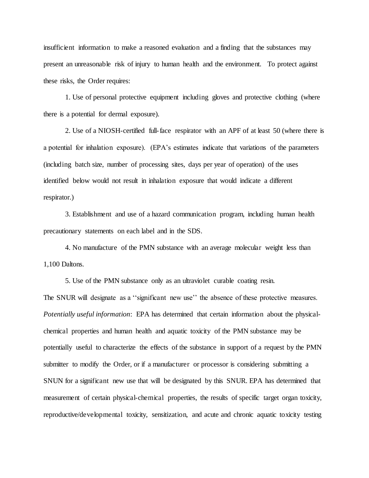insufficient information to make a reasoned evaluation and a finding that the substances may present an unreasonable risk of injury to human health and the environment. To protect against these risks, the Order requires:

1. Use of personal protective equipment including gloves and protective clothing (where there is a potential for dermal exposure).

2. Use of a NIOSH-certified full-face respirator with an APF of at least 50 (where there is a potential for inhalation exposure). (EPA's estimates indicate that variations of the parameters (including batch size, number of processing sites, days per year of operation) of the uses identified below would not result in inhalation exposure that would indicate a different respirator.)

3. Establishment and use of a hazard communication program, including human health precautionary statements on each label and in the SDS.

4. No manufacture of the PMN substance with an average molecular weight less than 1,100 Daltons.

5. Use of the PMN substance only as an ultraviolet curable coating resin.

The SNUR will designate as a ''significant new use'' the absence of these protective measures. *Potentially useful information*: EPA has determined that certain information about the physicalchemical properties and human health and aquatic toxicity of the PMN substance may be potentially useful to characterize the effects of the substance in support of a request by the PMN submitter to modify the Order, or if a manufacturer or processor is considering submitting a SNUN for a significant new use that will be designated by this SNUR. EPA has determined that measurement of certain physical-chemical properties, the results of specific target organ toxicity, reproductive/developmental toxicity, sensitization, and acute and chronic aquatic toxicity testing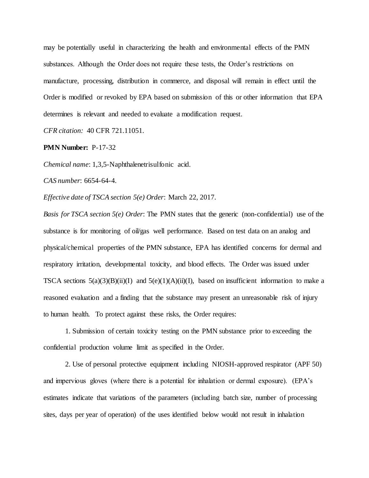may be potentially useful in characterizing the health and environmental effects of the PMN substances. Although the Order does not require these tests, the Order's restrictions on manufacture, processing, distribution in commerce, and disposal will remain in effect until the Order is modified or revoked by EPA based on submission of this or other information that EPA determines is relevant and needed to evaluate a modification request.

*CFR citation:* 40 CFR 721.11051.

## **PMN Number:** P-17-32

*Chemical name*: 1,3,5-Naphthalenetrisulfonic acid.

*CAS number*: 6654-64-4.

*Effective date of TSCA section 5(e) Order*: March 22, 2017.

*Basis for TSCA section 5(e) Order*: The PMN states that the generic (non-confidential) use of the substance is for monitoring of oil/gas well performance. Based on test data on an analog and physical/chemical properties of the PMN substance, EPA has identified concerns for dermal and respiratory irritation, developmental toxicity, and blood effects. The Order was issued under TSCA sections  $5(a)(3)(B)(ii)(I)$  and  $5(e)(1)(A)(ii)(I)$ , based on insufficient information to make a reasoned evaluation and a finding that the substance may present an unreasonable risk of injury to human health. To protect against these risks, the Order requires:

1. Submission of certain toxicity testing on the PMN substance prior to exceeding the confidential production volume limit as specified in the Order.

2. Use of personal protective equipment including NIOSH-approved respirator (APF 50) and impervious gloves (where there is a potential for inhalation or dermal exposure). (EPA's estimates indicate that variations of the parameters (including batch size, number of processing sites, days per year of operation) of the uses identified below would not result in inhalation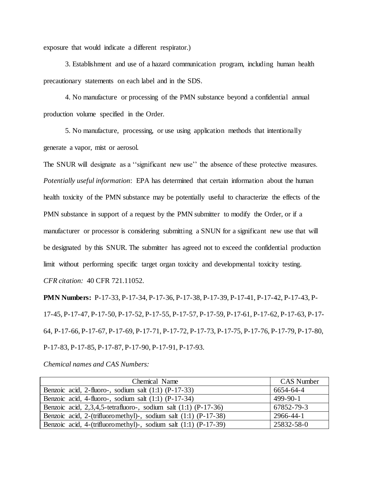exposure that would indicate a different respirator.)

3. Establishment and use of a hazard communication program, including human health precautionary statements on each label and in the SDS.

4. No manufacture or processing of the PMN substance beyond a confidential annual production volume specified in the Order.

5. No manufacture, processing, or use using application methods that intentionally generate a vapor, mist or aerosol.

The SNUR will designate as a ''significant new use'' the absence of these protective measures. *Potentially useful information*: EPA has determined that certain information about the human health toxicity of the PMN substance may be potentially useful to characterize the effects of the PMN substance in support of a request by the PMN submitter to modify the Order, or if a manufacturer or processor is considering submitting a SNUN for a significant new use that will be designated by this SNUR. The submitter has agreed not to exceed the confidential production limit without performing specific target organ toxicity and developmental toxicity testing. *CFR citation:* 40 CFR 721.11052.

**PMN Numbers:** P-17-33, P-17-34, P-17-36, P-17-38, P-17-39, P-17-41, P-17-42, P-17-43, P-17-45, P-17-47, P-17-50, P-17-52, P-17-55, P-17-57, P-17-59, P-17-61, P-17-62, P-17-63, P-17- 64, P-17-66, P-17-67, P-17-69, P-17-71, P-17-72, P-17-73, P-17-75, P-17-76, P-17-79, P-17-80, P-17-83, P-17-85, P-17-87, P-17-90, P-17-91, P-17-93.

*Chemical names and CAS Numbers:*

| Chemical Name                                                          | <b>CAS Number</b> |
|------------------------------------------------------------------------|-------------------|
| Benzoic acid, 2-fluoro-, sodium salt $(1:1)$ $(P-17-33)$               | 6654-64-4         |
| Benzoic acid, 4-fluoro-, sodium salt $(1:1)$ $(P-17-34)$               | $499-90-1$        |
| Benzoic acid, $2,3,4,5$ -tetrafluoro-, sodium salt $(1:1)$ $(P-17-36)$ | 67852-79-3        |
| Benzoic acid, 2-(trifluoromethyl)-, sodium salt (1:1) (P-17-38)        | 2966-44-1         |
| Benzoic acid, 4-(trifluoromethyl)-, sodium salt (1:1) (P-17-39)        | 25832-58-0        |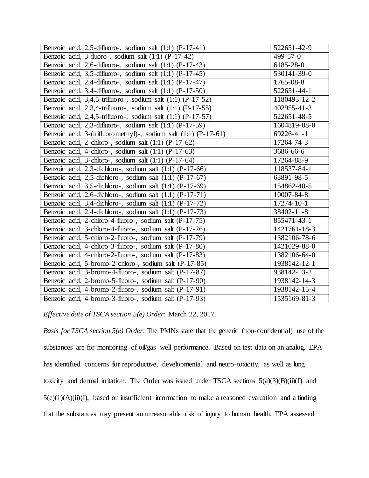| Benzoic acid, 2,5-difluoro-, sodium salt (1:1) (P-17-41)           | 522651-42-9  |
|--------------------------------------------------------------------|--------------|
| Benzoic acid, 3-fluoro-, sodium salt (1:1) (P-17-42)               | 499-57-0     |
| Benzoic acid, 2,6-difluoro-, sodium salt (1:1) (P-17-43)           | 6185-28-0    |
| Benzoic acid, 3,5-difluoro-, sodium salt (1:1) (P-17-45)           | 530141-39-0  |
| Benzoic acid, 2,4-difluoro-, sodium salt (1:1) (P-17-47)           | 1765-08-8    |
| Benzoic acid, 3,4-difluoro-, sodium salt (1:1) (P-17-50)           | 522651-44-1  |
| Benzoic acid, 3,4,5-trifluoro-, sodium salt (1:1) (P-17-52)        | 1180493-12-2 |
| Benzoic acid, 2,3,4-trifluoro-, sodium salt (1:1) (P-17-55)        | 402955-41-3  |
| Benzoic acid, $2,4,5$ -trifluoro-, sodium salt $(1:1)$ $(P-17-57)$ | 522651-48-5  |
| Benzoic acid, 2,3-difluoro-, sodium salt (1:1) (P-17-59)           | 1604819-08-0 |
| Benzoic acid, 3-(trifluoromethyl)-, sodium salt (1:1) (P-17-61)    | 69226-41-1   |
| Benzoic acid, 2-chloro-, sodium salt (1:1) (P-17-62)               | 17264-74-3   |
| Benzoic acid, 4-chloro-, sodium salt $(1:1)$ $(P-17-63)$           | 3686-66-6    |
| Benzoic acid, 3-chloro-, sodium salt (1:1) (P-17-64)               | 17264-88-9   |
| Benzoic acid, 2,3-dichloro-, sodium salt (1:1) (P-17-66)           | 118537-84-1  |
| Benzoic acid, 2,5-dichloro-, sodium salt (1:1) (P-17-67)           | 63891-98-5   |
| Benzoic acid, 3,5-dichloro-, sodium salt (1:1) (P-17-69)           | 154862-40-5  |
| Benzoic acid, 2,6-dichloro-, sodium salt (1:1) (P-17-71)           | 10007-84-8   |
| Benzoic acid, 3,4-dichloro-, sodium salt (1:1) (P-17-72)           | 17274-10-1   |
| Benzoic acid, 2,4-dichloro-, sodium salt $(1:1)$ $(P-17-73)$       | 38402-11-8   |
| Benzoic acid, 2-chloro-4-fluoro-, sodium salt (P-17-75)            | 855471-43-1  |
| Benzoic acid, 3-chloro-4-fluoro-, sodium salt (P-17-76)            | 1421761-18-3 |
| Benzoic acid, 5-chloro-2-fluoro-, sodium salt (P-17-79)            | 1382106-78-6 |
| Benzoic acid, 4-chloro-3-fluoro-, sodium salt (P-17-80)            | 1421029-88-0 |
| Benzoic acid, 4-chloro-2-fluoro-, sodium salt (P-17-83)            | 1382106-64-0 |
| Benzoic acid, 5-bromo-2-chloro-, sodium salt (P-17-85)             | 1938142-12-1 |
| Benzoic acid, 3-bromo-4-fluoro-, sodium salt (P-17-87)             | 938142-13-2  |
| Benzoic acid, 2-bromo-5-fluoro-, sodium salt (P-17-90)             | 1938142-14-3 |
| Benzoic acid, 4-bromo-2-fluoro-, sodium salt (P-17-91)             | 1938142-15-4 |
| Benzoic acid, 4-bromo-3-fluoro-, sodium salt (P-17-93)             | 1535169-81-3 |

*Effective date of TSCA section 5(e) Order*: March 22, 2017.

*Basis for TSCA section 5(e) Order*: The PMNs state that the generic (non-confidential) use of the substances are for monitoring of oil/gas well performance. Based on test data on an analog, EPA has identified concerns for reproductive, developmental and neuro-toxicity, as well as lung toxicity and dermal irritation. The Order was issued under TSCA sections  $5(a)(3)(B)(ii)(I)$  and  $5(e)(1)(A)(ii)(I)$ , based on insufficient information to make a reasoned evaluation and a finding that the substances may present an unreasonable risk of injury to human health. EPA assessed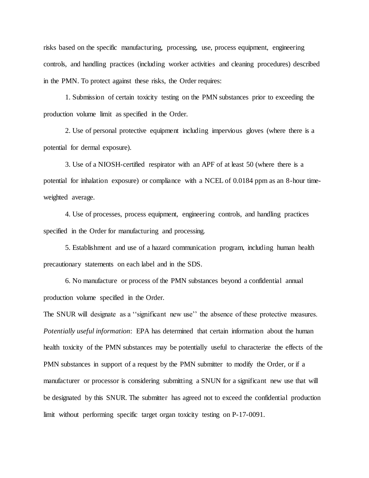risks based on the specific manufacturing, processing, use, process equipment, engineering controls, and handling practices (including worker activities and cleaning procedures) described in the PMN. To protect against these risks, the Order requires:

1. Submission of certain toxicity testing on the PMN substances prior to exceeding the production volume limit as specified in the Order.

2. Use of personal protective equipment including impervious gloves (where there is a potential for dermal exposure).

3. Use of a NIOSH-certified respirator with an APF of at least 50 (where there is a potential for inhalation exposure) or compliance with a NCEL of 0.0184 ppm as an 8-hour timeweighted average.

4. Use of processes, process equipment, engineering controls, and handling practices specified in the Order for manufacturing and processing.

5. Establishment and use of a hazard communication program, including human health precautionary statements on each label and in the SDS.

6. No manufacture or process of the PMN substances beyond a confidential annual production volume specified in the Order.

The SNUR will designate as a ''significant new use'' the absence of these protective measures. *Potentially useful information*: EPA has determined that certain information about the human health toxicity of the PMN substances may be potentially useful to characterize the effects of the PMN substances in support of a request by the PMN submitter to modify the Order, or if a manufacturer or processor is considering submitting a SNUN for a significant new use that will be designated by this SNUR. The submitter has agreed not to exceed the confidential production limit without performing specific target organ toxicity testing on P-17-0091.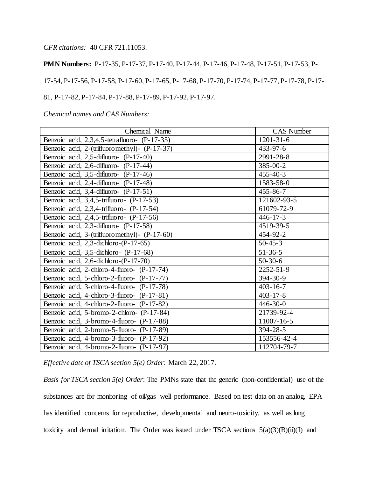*CFR citations:* 40 CFR 721.11053.

**PMN Numbers:** P-17-35, P-17-37, P-17-40, P-17-44, P-17-46, P-17-48, P-17-51, P-17-53, P-17-54, P-17-56, P-17-58, P-17-60, P-17-65, P-17-68, P-17-70, P-17-74, P-17-77, P-17-78, P-17- 81, P-17-82, P-17-84, P-17-88, P-17-89, P-17-92, P-17-97.

*Chemical names and CAS Numbers:*

| Chemical Name                                 | <b>CAS</b> Number |
|-----------------------------------------------|-------------------|
| Benzoic acid, 2,3,4,5-tetrafluoro- (P-17-35)  | $1201 - 31 - 6$   |
| Benzoic acid, 2-(trifluoromethyl)- (P-17-37)  | $433 - 97 - 6$    |
| Benzoic acid, 2,5-difluoro- (P-17-40)         | 2991-28-8         |
| Benzoic acid, 2,6-difluoro- (P-17-44)         | $385 - 00 - 2$    |
| Benzoic acid, 3,5-difluoro- (P-17-46)         | $455 - 40 - 3$    |
| Benzoic acid, 2,4-difluoro- (P-17-48)         | 1583-58-0         |
| Benzoic acid, 3,4-difluoro- (P-17-51)         | $455 - 86 - 7$    |
| Benzoic acid, 3,4,5-trifluoro- (P-17-53)      | 121602-93-5       |
| Benzoic acid, 2,3,4-trifluoro- (P-17-54)      | 61079-72-9        |
| Benzoic acid, $2,4,5$ -trifluoro- $(P-17-56)$ | $446 - 17 - 3$    |
| Benzoic acid, 2,3-difluoro- (P-17-58)         | 4519-39-5         |
| Benzoic acid, 3-(trifluoromethyl)- (P-17-60)  | 454-92-2          |
| Benzoic acid, 2,3-dichloro-(P-17-65)          | $50 - 45 - 3$     |
| Benzoic acid, 3,5-dichloro- (P-17-68)         | $51 - 36 - 5$     |
| Benzoic acid, 2,6-dichloro-(P-17-70)          | $50-30-6$         |
| Benzoic acid, 2-chloro-4-fluoro- (P-17-74)    | 2252-51-9         |
| Benzoic acid, 5-chloro-2-fluoro- (P-17-77)    | 394-30-9          |
| Benzoic acid, 3-chloro-4-fluoro- (P-17-78)    | $403 - 16 - 7$    |
| Benzoic acid, 4-chloro-3-fluoro- (P-17-81)    | $403 - 17 - 8$    |
| Benzoic acid, 4-chloro-2-fluoro- (P-17-82)    | $446 - 30 - 0$    |
| Benzoic acid, 5-bromo-2-chloro- (P-17-84)     | 21739-92-4        |
| Benzoic acid, 3-bromo-4-fluoro- (P-17-88)     | 11007-16-5        |
| Benzoic acid, 2-bromo-5-fluoro- (P-17-89)     | $394 - 28 - 5$    |
| Benzoic acid, 4-bromo-3-fluoro- (P-17-92)     | 153556-42-4       |
| Benzoic acid, 4-bromo-2-fluoro- (P-17-97)     | 112704-79-7       |

*Effective date of TSCA section 5(e) Order*: March 22, 2017.

*Basis for TSCA section 5(e) Order*: The PMNs state that the generic (non-confidential) use of the substances are for monitoring of oil/gas well performance. Based on test data on an analog, EPA has identified concerns for reproductive, developmental and neuro-toxicity, as well as lung toxicity and dermal irritation. The Order was issued under TSCA sections  $5(a)(3)(B)(ii)(I)$  and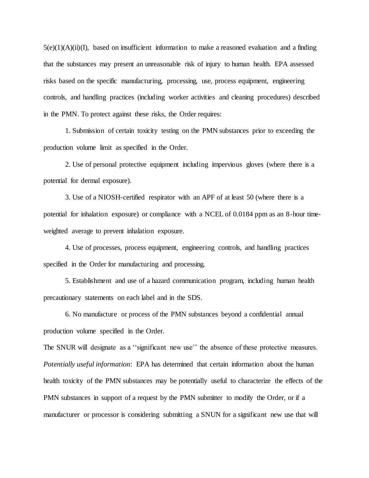$5(e)(1)(A)(ii)(I)$ , based on insufficient information to make a reasoned evaluation and a finding that the substances may present an unreasonable risk of injury to human health. EPA assessed risks based on the specific manufacturing, processing, use, process equipment, engineering controls, and handling practices (including worker activities and cleaning procedures) described in the PMN. To protect against these risks, the Order requires:

1. Submission of certain toxicity testing on the PMN substances prior to exceeding the production volume limit as specified in the Order.

2. Use of personal protective equipment including impervious gloves (where there is a potential for dermal exposure).

3. Use of a NIOSH-certified respirator with an APF of at least 50 (where there is a potential for inhalation exposure) or compliance with a NCEL of 0.0184 ppm as an 8-hour timeweighted average to prevent inhalation exposure.

4. Use of processes, process equipment, engineering controls, and handling practices specified in the Order for manufacturing and processing.

5. Establishment and use of a hazard communication program, including human health precautionary statements on each label and in the SDS.

6. No manufacture or process of the PMN substances beyond a confidential annual production volume specified in the Order.

The SNUR will designate as a ''significant new use'' the absence of these protective measures. *Potentially useful information*: EPA has determined that certain information about the human health toxicity of the PMN substances may be potentially useful to characterize the effects of the PMN substances in support of a request by the PMN submitter to modify the Order, or if a manufacturer or processor is considering submitting a SNUN for a significant new use that will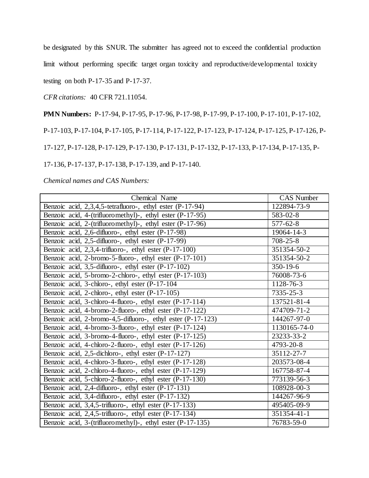be designated by this SNUR. The submitter has agreed not to exceed the confidential production

limit without performing specific target organ toxicity and reproductive/developmental toxicity

testing on both P-17-35 and P-17-37.

*CFR citations:* 40 CFR 721.11054.

**PMN Numbers:** P-17-94, P-17-95, P-17-96, P-17-98, P-17-99, P-17-100, P-17-101, P-17-102,

P-17-103, P-17-104, P-17-105, P-17-114, P-17-122, P-17-123, P-17-124, P-17-125, P-17-126, P-

17-127, P-17-128, P-17-129, P-17-130, P-17-131, P-17-132, P-17-133, P-17-134, P-17-135, P-

17-136, P-17-137, P-17-138, P-17-139, and P-17-140.

*Chemical names and CAS Numbers:*

| Chemical Name                                               | <b>CAS Number</b> |
|-------------------------------------------------------------|-------------------|
| Benzoic acid, 2,3,4,5-tetrafluoro-, ethyl ester (P-17-94)   | 122894-73-9       |
| Benzoic acid, 4-(trifluoromethyl)-, ethyl ester (P-17-95)   | 583-02-8          |
| Benzoic acid, 2-(trifluoromethyl)-, ethyl ester (P-17-96)   | $577 - 62 - 8$    |
| Benzoic acid, 2,6-difluoro-, ethyl ester (P-17-98)          | 19064-14-3        |
| Benzoic acid, 2,5-difluoro-, ethyl ester (P-17-99)          | $708 - 25 - 8$    |
| Benzoic acid, 2,3,4-trifluoro-, ethyl ester (P-17-100)      | 351354-50-2       |
| Benzoic acid, 2-bromo-5-fluoro-, ethyl ester (P-17-101)     | 351354-50-2       |
| Benzoic acid, 3,5-difluoro-, ethyl ester (P-17-102)         | $350 - 19 - 6$    |
| Benzoic acid, 5-bromo-2-chloro-, ethyl ester (P-17-103)     | $76008 - 73 - 6$  |
| Benzoic acid, 3-chloro-, ethyl ester (P-17-104)             | 1128-76-3         |
| Benzoic acid, 2-chloro-, ethyl ester (P-17-105)             | 7335-25-3         |
| Benzoic acid, 3-chloro-4-fluoro-, ethyl ester (P-17-114)    | 137521-81-4       |
| Benzoic acid, 4-bromo-2-fluoro-, ethyl ester (P-17-122)     | 474709-71-2       |
| Benzoic acid, 2-bromo-4,5-difluoro-, ethyl ester (P-17-123) | 144267-97-0       |
| Benzoic acid, 4-bromo-3-fluoro-, ethyl ester (P-17-124)     | 1130165-74-0      |
| Benzoic acid, 3-bromo-4-fluoro-, ethyl ester (P-17-125)     | 23233-33-2        |
| Benzoic acid, 4-chloro-2-fluoro-, ethyl ester (P-17-126)    | 4793-20-8         |
| Benzoic acid, 2,5-dichloro-, ethyl ester (P-17-127)         | 35112-27-7        |
| Benzoic acid, 4-chloro-3-fluoro-, ethyl ester (P-17-128)    | 203573-08-4       |
| Benzoic acid, 2-chloro-4-fluoro-, ethyl ester (P-17-129)    | 167758-87-4       |
| Benzoic acid, 5-chloro-2-fluoro-, ethyl ester (P-17-130)    | 773139-56-3       |
| Benzoic acid, 2,4-difluoro-, ethyl ester (P-17-131)         | 108928-00-3       |
| Benzoic acid, 3,4-difluoro-, ethyl ester (P-17-132)         | 144267-96-9       |
| Benzoic acid, 3,4,5-trifluoro-, ethyl ester (P-17-133)      | 495405-09-9       |
| Benzoic acid, 2,4,5-trifluoro-, ethyl ester (P-17-134)      | 351354-41-1       |
| Benzoic acid, 3-(trifluoromethyl)-, ethyl ester (P-17-135)  | 76783-59-0        |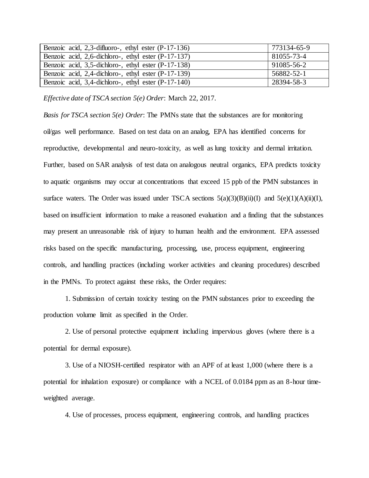| Benzoic acid, 2,3-difluoro-, ethyl ester (P-17-136)      | 773134-65-9 |
|----------------------------------------------------------|-------------|
| Benzoic acid, $2,6$ -dichloro-, ethyl ester $(P-17-137)$ | 81055-73-4  |
| Benzoic acid, 3,5-dichloro-, ethyl ester (P-17-138)      | 91085-56-2  |
| Benzoic acid, 2,4-dichloro-, ethyl ester (P-17-139)      | 56882-52-1  |
| Benzoic acid, 3,4-dichloro-, ethyl ester (P-17-140)      | 28394-58-3  |

*Effective date of TSCA section 5(e) Order*: March 22, 2017.

*Basis for TSCA section 5(e) Order*: The PMNs state that the substances are for monitoring oil/gas well performance. Based on test data on an analog, EPA has identified concerns for reproductive, developmental and neuro-toxicity, as well as lung toxicity and dermal irritation. Further, based on SAR analysis of test data on analogous neutral organics, EPA predicts toxicity to aquatic organisms may occur at concentrations that exceed 15 ppb of the PMN substances in surface waters. The Order was issued under TSCA sections  $5(a)(3)(B)(ii)(I)$  and  $5(e)(1)(A)(ii)(I)$ , based on insufficient information to make a reasoned evaluation and a finding that the substances may present an unreasonable risk of injury to human health and the environment. EPA assessed risks based on the specific manufacturing, processing, use, process equipment, engineering controls, and handling practices (including worker activities and cleaning procedures) described in the PMNs. To protect against these risks, the Order requires:

1. Submission of certain toxicity testing on the PMN substances prior to exceeding the production volume limit as specified in the Order.

2. Use of personal protective equipment including impervious gloves (where there is a potential for dermal exposure).

3. Use of a NIOSH-certified respirator with an APF of at least 1,000 (where there is a potential for inhalation exposure) or compliance with a NCEL of 0.0184 ppm as an 8-hour timeweighted average.

4. Use of processes, process equipment, engineering controls, and handling practices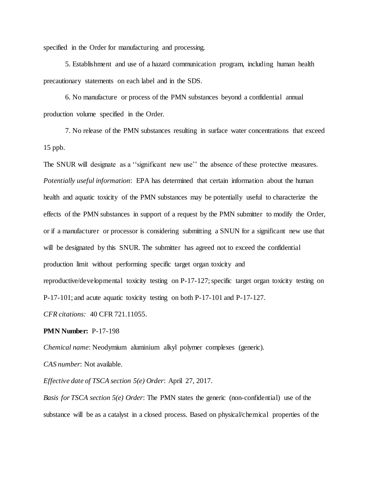specified in the Order for manufacturing and processing.

5. Establishment and use of a hazard communication program, including human health precautionary statements on each label and in the SDS.

6. No manufacture or process of the PMN substances beyond a confidential annual production volume specified in the Order.

7. No release of the PMN substances resulting in surface water concentrations that exceed 15 ppb.

The SNUR will designate as a ''significant new use'' the absence of these protective measures. *Potentially useful information*: EPA has determined that certain information about the human health and aquatic toxicity of the PMN substances may be potentially useful to characterize the effects of the PMN substances in support of a request by the PMN submitter to modify the Order, or if a manufacturer or processor is considering submitting a SNUN for a significant new use that will be designated by this SNUR. The submitter has agreed not to exceed the confidential production limit without performing specific target organ toxicity and reproductive/developmental toxicity testing on P-17-127; specific target organ toxicity testing on P-17-101; and acute aquatic toxicity testing on both P-17-101 and P-17-127. *CFR citations:* 40 CFR 721.11055.

### **PMN Number:** P-17-198

*Chemical name*: Neodymium aluminium alkyl polymer complexes (generic).

*CAS number*: Not available.

*Effective date of TSCA section 5(e) Order*: April 27, 2017.

*Basis for TSCA section 5(e) Order*: The PMN states the generic (non-confidential) use of the substance will be as a catalyst in a closed process. Based on physical/chemical properties of the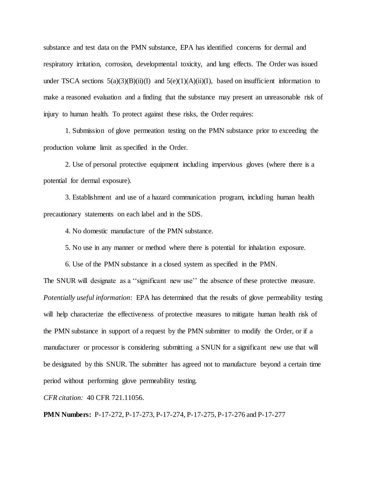substance and test data on the PMN substance, EPA has identified concerns for dermal and respiratory irritation, corrosion, developmental toxicity, and lung effects. The Order was issued under TSCA sections  $5(a)(3)(B)(ii)(I)$  and  $5(e)(1)(A)(ii)(I)$ , based on insufficient information to make a reasoned evaluation and a finding that the substance may present an unreasonable risk of injury to human health. To protect against these risks, the Order requires:

1. Submission of glove permeation testing on the PMN substance prior to exceeding the production volume limit as specified in the Order.

2. Use of personal protective equipment including impervious gloves (where there is a potential for dermal exposure).

3. Establishment and use of a hazard communication program, including human health precautionary statements on each label and in the SDS.

4. No domestic manufacture of the PMN substance.

5. No use in any manner or method where there is potential for inhalation exposure.

6. Use of the PMN substance in a closed system as specified in the PMN.

The SNUR will designate as a ''significant new use'' the absence of these protective measure. *Potentially useful information*: EPA has determined that the results of glove permeability testing will help characterize the effectiveness of protective measures to mitigate human health risk of the PMN substance in support of a request by the PMN submitter to modify the Order, or if a manufacturer or processor is considering submitting a SNUN for a significant new use that will be designated by this SNUR. The submitter has agreed not to manufacture beyond a certain time period without performing glove permeability testing.

*CFR citation:* 40 CFR 721.11056.

**PMN Numbers:** P-17-272, P-17-273, P-17-274, P-17-275, P-17-276 and P-17-277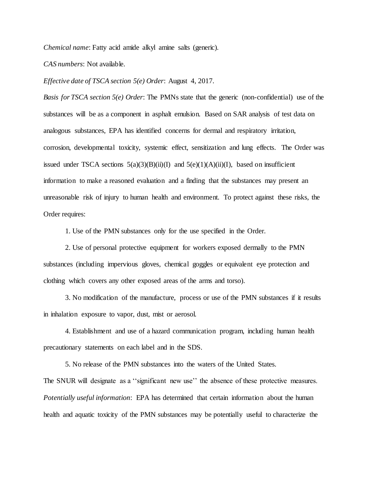*Chemical name*: Fatty acid amide alkyl amine salts (generic).

*CAS numbers*: Not available.

*Effective date of TSCA section 5(e) Order*: August 4, 2017.

*Basis for TSCA section 5(e) Order*: The PMNs state that the generic (non-confidential) use of the substances will be as a component in asphalt emulsion. Based on SAR analysis of test data on analogous substances, EPA has identified concerns for dermal and respiratory irritation, corrosion, developmental toxicity, systemic effect, sensitization and lung effects. The Order was issued under TSCA sections  $5(a)(3)(B)(ii)(I)$  and  $5(e)(1)(A)(ii)(I)$ , based on insufficient information to make a reasoned evaluation and a finding that the substances may present an unreasonable risk of injury to human health and environment. To protect against these risks, the Order requires:

1. Use of the PMN substances only for the use specified in the Order.

2. Use of personal protective equipment for workers exposed dermally to the PMN substances (including impervious gloves, chemical goggles or equivalent eye protection and clothing which covers any other exposed areas of the arms and torso).

3. No modification of the manufacture, process or use of the PMN substances if it results in inhalation exposure to vapor, dust, mist or aerosol.

4. Establishment and use of a hazard communication program, including human health precautionary statements on each label and in the SDS.

5. No release of the PMN substances into the waters of the United States. The SNUR will designate as a ''significant new use'' the absence of these protective measures. *Potentially useful information*: EPA has determined that certain information about the human health and aquatic toxicity of the PMN substances may be potentially useful to characterize the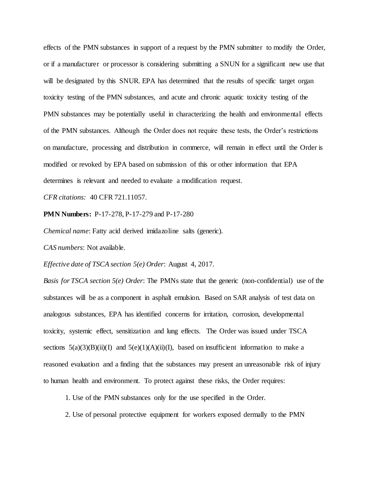effects of the PMN substances in support of a request by the PMN submitter to modify the Order, or if a manufacturer or processor is considering submitting a SNUN for a significant new use that will be designated by this SNUR. EPA has determined that the results of specific target organ toxicity testing of the PMN substances, and acute and chronic aquatic toxicity testing of the PMN substances may be potentially useful in characterizing the health and environmental effects of the PMN substances. Although the Order does not require these tests, the Order's restrictions on manufacture, processing and distribution in commerce, will remain in effect until the Order is modified or revoked by EPA based on submission of this or other information that EPA determines is relevant and needed to evaluate a modification request.

*CFR citations:* 40 CFR 721.11057.

**PMN Numbers:** P-17-278, P-17-279 and P-17-280

*Chemical name*: Fatty acid derived imidazoline salts (generic).

*CAS numbers*: Not available.

*Effective date of TSCA section 5(e) Order*: August 4, 2017.

*Basis for TSCA section 5(e) Order*: The PMNs state that the generic (non-confidential) use of the substances will be as a component in asphalt emulsion. Based on SAR analysis of test data on analogous substances, EPA has identified concerns for irritation, corrosion, developmental toxicity, systemic effect, sensitization and lung effects. The Order was issued under TSCA sections  $5(a)(3)(B)(ii)(I)$  and  $5(e)(1)(A)(ii)(I)$ , based on insufficient information to make a reasoned evaluation and a finding that the substances may present an unreasonable risk of injury to human health and environment. To protect against these risks, the Order requires:

1. Use of the PMN substances only for the use specified in the Order.

2. Use of personal protective equipment for workers exposed dermally to the PMN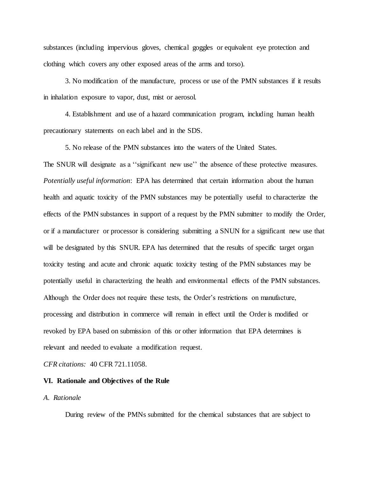substances (including impervious gloves, chemical goggles or equivalent eye protection and clothing which covers any other exposed areas of the arms and torso).

3. No modification of the manufacture, process or use of the PMN substances if it results in inhalation exposure to vapor, dust, mist or aerosol.

4. Establishment and use of a hazard communication program, including human health precautionary statements on each label and in the SDS.

5. No release of the PMN substances into the waters of the United States.

The SNUR will designate as a ''significant new use'' the absence of these protective measures. *Potentially useful information*: EPA has determined that certain information about the human health and aquatic toxicity of the PMN substances may be potentially useful to characterize the effects of the PMN substances in support of a request by the PMN submitter to modify the Order, or if a manufacturer or processor is considering submitting a SNUN for a significant new use that will be designated by this SNUR. EPA has determined that the results of specific target organ toxicity testing and acute and chronic aquatic toxicity testing of the PMN substances may be potentially useful in characterizing the health and environmental effects of the PMN substances. Although the Order does not require these tests, the Order's restrictions on manufacture, processing and distribution in commerce will remain in effect until the Order is modified or revoked by EPA based on submission of this or other information that EPA determines is relevant and needed to evaluate a modification request.

*CFR citations:* 40 CFR 721.11058.

#### **VI. Rationale and Objectives of the Rule**

## *A. Rationale*

During review of the PMNs submitted for the chemical substances that are subject to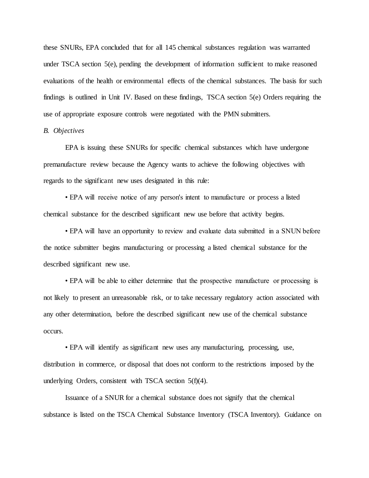these SNURs, EPA concluded that for all 145 chemical substances regulation was warranted under TSCA section 5(e), pending the development of information sufficient to make reasoned evaluations of the health or environmental effects of the chemical substances. The basis for such findings is outlined in Unit IV. Based on these findings, TSCA section 5(e) Orders requiring the use of appropriate exposure controls were negotiated with the PMN submitters.

# *B. Objectives*

EPA is issuing these SNURs for specific chemical substances which have undergone premanufacture review because the Agency wants to achieve the following objectives with regards to the significant new uses designated in this rule:

• EPA will receive notice of any person's intent to manufacture or process a listed chemical substance for the described significant new use before that activity begins.

• EPA will have an opportunity to review and evaluate data submitted in a SNUN before the notice submitter begins manufacturing or processing a listed chemical substance for the described significant new use.

• EPA will be able to either determine that the prospective manufacture or processing is not likely to present an unreasonable risk, or to take necessary regulatory action associated with any other determination, before the described significant new use of the chemical substance occurs.

• EPA will identify as significant new uses any manufacturing, processing, use, distribution in commerce, or disposal that does not conform to the restrictions imposed by the underlying Orders, consistent with TSCA section 5(f)(4).

Issuance of a SNUR for a chemical substance does not signify that the chemical substance is listed on the TSCA Chemical Substance Inventory (TSCA Inventory). Guidance on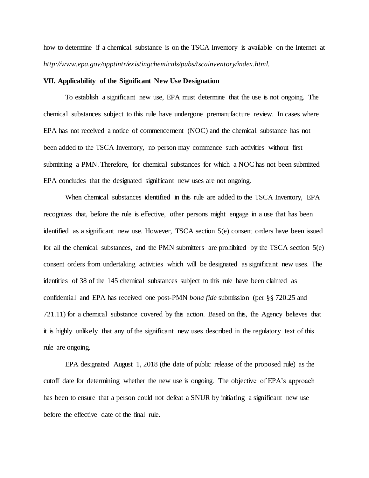how to determine if a chemical substance is on the TSCA Inventory is available on the Internet at *http://www.epa.gov/opptintr/existingchemicals/pubs/tscainventory/index.html.*

# **VII. Applicability of the Significant New Use Designation**

To establish a significant new use, EPA must determine that the use is not ongoing. The chemical substances subject to this rule have undergone premanufacture review. In cases where EPA has not received a notice of commencement (NOC) and the chemical substance has not been added to the TSCA Inventory, no person may commence such activities without first submitting a PMN. Therefore, for chemical substances for which a NOC has not been submitted EPA concludes that the designated significant new uses are not ongoing.

When chemical substances identified in this rule are added to the TSCA Inventory, EPA recognizes that, before the rule is effective, other persons might engage in a use that has been identified as a significant new use. However, TSCA section 5(e) consent orders have been issued for all the chemical substances, and the PMN submitters are prohibited by the TSCA section 5(e) consent orders from undertaking activities which will be designated as significant new uses. The identities of 38 of the 145 chemical substances subject to this rule have been claimed as confidential and EPA has received one post-PMN *bona fide* submission (per §§ 720.25 and 721.11) for a chemical substance covered by this action. Based on this, the Agency believes that it is highly unlikely that any of the significant new uses described in the regulatory text of this rule are ongoing.

EPA designated August 1, 2018 (the date of public release of the proposed rule) as the cutoff date for determining whether the new use is ongoing. The objective of EPA's approach has been to ensure that a person could not defeat a SNUR by initiating a significant new use before the effective date of the final rule.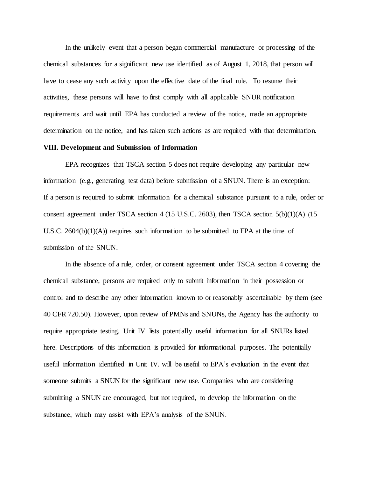In the unlikely event that a person began commercial manufacture or processing of the chemical substances for a significant new use identified as of August 1, 2018, that person will have to cease any such activity upon the effective date of the final rule. To resume their activities, these persons will have to first comply with all applicable SNUR notification requirements and wait until EPA has conducted a review of the notice, made an appropriate determination on the notice, and has taken such actions as are required with that determination.

## **VIII. Development and Submission of Information**

EPA recognizes that TSCA section 5 does not require developing any particular new information (e.g., generating test data) before submission of a SNUN. There is an exception: If a person is required to submit information for a chemical substance pursuant to a rule, order or consent agreement under TSCA section 4 (15 U.S.C. 2603), then TSCA section 5(b)(1)(A) (15 U.S.C. 2604(b) $(1)(A)$ ) requires such information to be submitted to EPA at the time of submission of the SNUN.

In the absence of a rule, order, or consent agreement under TSCA section 4 covering the chemical substance, persons are required only to submit information in their possession or control and to describe any other information known to or reasonably ascertainable by them (see 40 CFR 720.50). However, upon review of PMNs and SNUNs, the Agency has the authority to require appropriate testing. Unit IV. lists potentially useful information for all SNURs listed here. Descriptions of this information is provided for informational purposes. The potentially useful information identified in Unit IV. will be useful to EPA's evaluation in the event that someone submits a SNUN for the significant new use. Companies who are considering submitting a SNUN are encouraged, but not required, to develop the information on the substance, which may assist with EPA's analysis of the SNUN.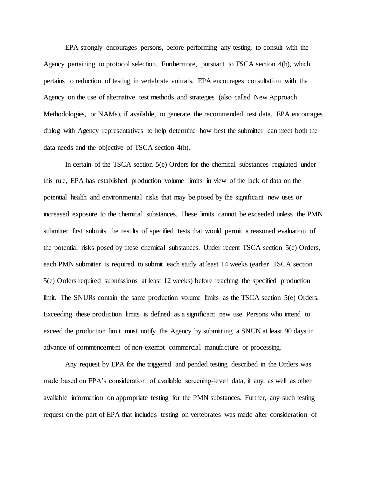EPA strongly encourages persons, before performing any testing, to consult with the Agency pertaining to protocol selection. Furthermore, pursuant to TSCA section 4(h), which pertains to reduction of testing in vertebrate animals, EPA encourages consultation with the Agency on the use of alternative test methods and strategies (also called New Approach Methodologies, or NAMs), if available, to generate the recommended test data. EPA encourages dialog with Agency representatives to help determine how best the submitter can meet both the data needs and the objective of TSCA section 4(h).

In certain of the TSCA section 5(e) Orders for the chemical substances regulated under this rule, EPA has established production volume limits in view of the lack of data on the potential health and environmental risks that may be posed by the significant new uses or increased exposure to the chemical substances. These limits cannot be exceeded unless the PMN submitter first submits the results of specified tests that would permit a reasoned evaluation of the potential risks posed by these chemical substances. Under recent TSCA section 5(e) Orders, each PMN submitter is required to submit each study at least 14 weeks (earlier TSCA section 5(e) Orders required submissions at least 12 weeks) before reaching the specified production limit. The SNURs contain the same production volume limits as the TSCA section 5(e) Orders. Exceeding these production limits is defined as a significant new use. Persons who intend to exceed the production limit must notify the Agency by submitting a SNUN at least 90 days in advance of commencement of non-exempt commercial manufacture or processing.

Any request by EPA for the triggered and pended testing described in the Orders was made based on EPA's consideration of available screening-level data, if any, as well as other available information on appropriate testing for the PMN substances. Further, any such testing request on the part of EPA that includes testing on vertebrates was made after consideration of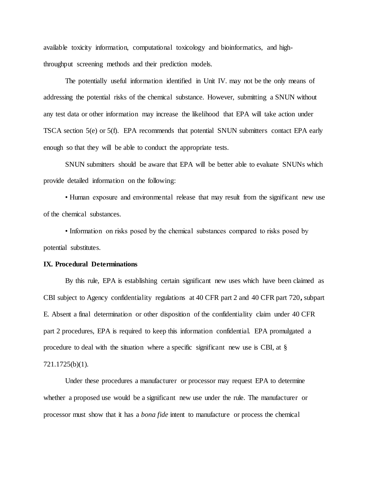available toxicity information, computational toxicology and bioinformatics, and highthroughput screening methods and their prediction models.

The potentially useful information identified in Unit IV. may not be the only means of addressing the potential risks of the chemical substance. However, submitting a SNUN without any test data or other information may increase the likelihood that EPA will take action under TSCA section 5(e) or 5(f). EPA recommends that potential SNUN submitters contact EPA early enough so that they will be able to conduct the appropriate tests.

SNUN submitters should be aware that EPA will be better able to evaluate SNUNs which provide detailed information on the following:

• Human exposure and environmental release that may result from the significant new use of the chemical substances.

• Information on risks posed by the chemical substances compared to risks posed by potential substitutes.

#### **IX. Procedural Determinations**

By this rule, EPA is establishing certain significant new uses which have been claimed as CBI subject to Agency confidentiality regulations at 40 CFR part 2 and 40 CFR part 720**,** subpart E. Absent a final determination or other disposition of the confidentiality claim under 40 CFR part 2 procedures, EPA is required to keep this information confidential. EPA promulgated a procedure to deal with the situation where a specific significant new use is CBI, at § 721.1725(b)(1).

Under these procedures a manufacturer or processor may request EPA to determine whether a proposed use would be a significant new use under the rule. The manufacturer or processor must show that it has a *bona fide* intent to manufacture or process the chemical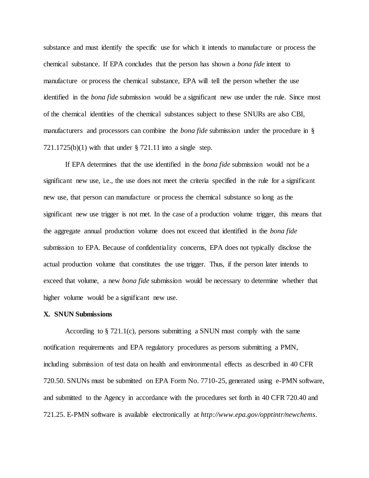substance and must identify the specific use for which it intends to manufacture or process the chemical substance. If EPA concludes that the person has shown a *bona fide* intent to manufacture or process the chemical substance, EPA will tell the person whether the use identified in the *bona fide* submission would be a significant new use under the rule. Since most of the chemical identities of the chemical substances subject to these SNURs are also CBI, manufacturers and processors can combine the *bona fide* submission under the procedure in § 721.1725(b)(1) with that under § 721.11 into a single step.

If EPA determines that the use identified in the *bona fide* submission would not be a significant new use, i.e., the use does not meet the criteria specified in the rule for a significant new use, that person can manufacture or process the chemical substance so long as the significant new use trigger is not met. In the case of a production volume trigger, this means that the aggregate annual production volume does not exceed that identified in the *bona fide* submission to EPA. Because of confidentiality concerns, EPA does not typically disclose the actual production volume that constitutes the use trigger. Thus, if the person later intends to exceed that volume, a new *bona fide* submission would be necessary to determine whether that higher volume would be a significant new use.

#### **X. SNUN Submissions**

According to § 721.1(c), persons submitting a SNUN must comply with the same notification requirements and EPA regulatory procedures as persons submitting a PMN, including submission of test data on health and environmental effects as described in 40 CFR 720.50. SNUNs must be submitted on EPA Form No. 7710-25, generated using e-PMN software, and submitted to the Agency in accordance with the procedures set forth in 40 CFR 720.40 and 721.25. E-PMN software is available electronically at *http://www.epa.gov/opptintr/newchems*.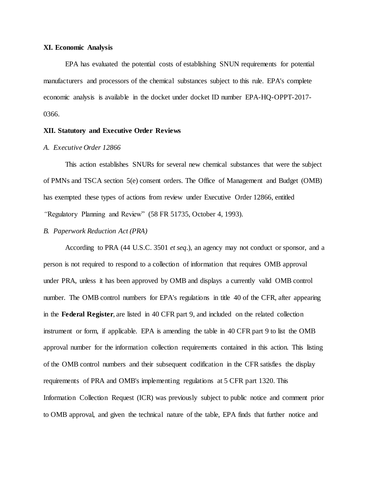## **XI. Economic Analysis**

EPA has evaluated the potential costs of establishing SNUN requirements for potential manufacturers and processors of the chemical substances subject to this rule. EPA's complete economic analysis is available in the docket under docket ID number EPA-HQ-OPPT-2017- 0366.

## **XII. Statutory and Executive Order Reviews**

# *A. Executive Order 12866*

This action establishes SNURs for several new chemical substances that were the subject of PMNs and TSCA section 5(e) consent orders. The Office of Management and Budget (OMB) has exempted these types of actions from review under Executive Order 12866, entitled *"*Regulatory Planning and Review" (58 FR 51735, October 4, 1993).

# *B. Paperwork Reduction Act (PRA)*

According to PRA (44 U.S.C. 3501 *et seq*.), an agency may not conduct or sponsor, and a person is not required to respond to a collection of information that requires OMB approval under PRA, unless it has been approved by OMB and displays a currently valid OMB control number. The OMB control numbers for EPA's regulations in title 40 of the CFR, after appearing in the **Federal Register**, are listed in 40 CFR part 9, and included on the related collection instrument or form, if applicable. EPA is amending the table in 40 CFR part 9 to list the OMB approval number for the information collection requirements contained in this action. This listing of the OMB control numbers and their subsequent codification in the CFR satisfies the display requirements of PRA and OMB's implementing regulations at 5 CFR part 1320. This Information Collection Request (ICR) was previously subject to public notice and comment prior to OMB approval, and given the technical nature of the table, EPA finds that further notice and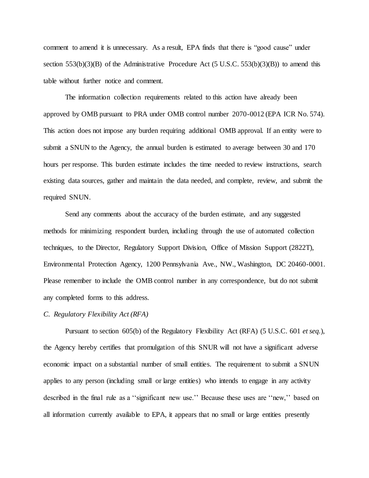comment to amend it is unnecessary. As a result, EPA finds that there is "good cause" under section 553(b)(3)(B) of the Administrative Procedure Act (5 U.S.C. 553(b)(3)(B)) to amend this table without further notice and comment.

The information collection requirements related to this action have already been approved by OMB pursuant to PRA under OMB control number 2070-0012 (EPA ICR No. 574). This action does not impose any burden requiring additional OMB approval. If an entity were to submit a SNUN to the Agency, the annual burden is estimated to average between 30 and 170 hours per response. This burden estimate includes the time needed to review instructions, search existing data sources, gather and maintain the data needed, and complete, review, and submit the required SNUN.

Send any comments about the accuracy of the burden estimate, and any suggested methods for minimizing respondent burden, including through the use of automated collection techniques, to the Director, Regulatory Support Division, Office of Mission Support (2822T), Environmental Protection Agency, 1200 Pennsylvania Ave., NW., Washington, DC 20460-0001. Please remember to include the OMB control number in any correspondence, but do not submit any completed forms to this address.

## *C. Regulatory Flexibility Act (RFA)*

Pursuant to section 605(b) of the Regulatory Flexibility Act (RFA) (5 U.S.C. 601 *et seq.*), the Agency hereby certifies that promulgation of this SNUR will not have a significant adverse economic impact on a substantial number of small entities. The requirement to submit a SNUN applies to any person (including small or large entities) who intends to engage in any activity described in the final rule as a ''significant new use.'' Because these uses are ''new,'' based on all information currently available to EPA, it appears that no small or large entities presently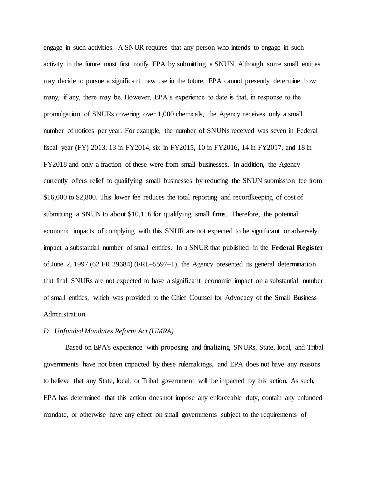engage in such activities. A SNUR requires that any person who intends to engage in such activity in the future must first notify EPA by submitting a SNUN. Although some small entities may decide to pursue a significant new use in the future, EPA cannot presently determine how many, if any, there may be. However, EPA's experience to date is that, in response to the promulgation of SNURs covering over 1,000 chemicals, the Agency receives only a small number of notices per year. For example, the number of SNUNs received was seven in Federal fiscal year (FY) 2013, 13 in FY2014, six in FY2015, 10 in FY2016, 14 in FY2017, and 18 in FY2018 and only a fraction of these were from small businesses. In addition, the Agency currently offers relief to qualifying small businesses by reducing the SNUN submission fee from \$16,000 to \$2,800. This lower fee reduces the total reporting and record keeping of cost of submitting a SNUN to about \$10,116 for qualifying small firms. Therefore, the potential economic impacts of complying with this SNUR are not expected to be significant or adversely impact a substantial number of small entities. In a SNUR that published in the **Federal Register**  of June 2, 1997 (62 FR 29684) (FRL–5597–1), the Agency presented its general determination that final SNURs are not expected to have a significant economic impact on a substantial number of small entities, which was provided to the Chief Counsel for Advocacy of the Small Business Administration.

#### *D. Unfunded Mandates Reform Act (UMRA)*

Based on EPA's experience with proposing and finalizing SNURs, State, local, and Tribal governments have not been impacted by these rulemakings, and EPA does not have any reasons to believe that any State, local, or Tribal government will be impacted by this action. As such, EPA has determined that this action does not impose any enforceable duty, contain any unfunded mandate, or otherwise have any effect on small governments subject to the requirements of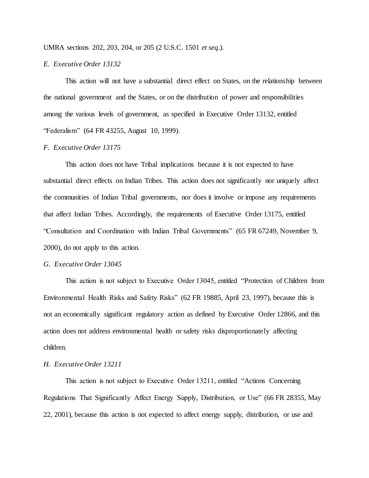UMRA sections 202, 203, 204, or 205 (2 U.S.C. 1501 *et seq*.).

# *E. Executive Order 13132*

This action will not have a substantial direct effect on States, on the relationship between the national government and the States, or on the distribution of power and responsibilities among the various levels of government, as specified in Executive Order 13132, entitled "Federalism" (64 FR 43255, August 10, 1999).

## *F. Executive Order 13175*

This action does not have Tribal implications because it is not expected to have substantial direct effects on Indian Tribes. This action does not significantly nor uniquely affect the communities of Indian Tribal governments, nor does it involve or impose any requirements that affect Indian Tribes. Accordingly, the requirements of Executive Order 13175, entitled "Consultation and Coordination with Indian Tribal Governments" (65 FR 67249, November 9, 2000), do not apply to this action.

#### *G. Executive Order 13045*

This action is not subject to Executive Order 13045, entitled "Protection of Children from Environmental Health Risks and Safety Risks" (62 FR 19885, April 23, 1997), because this is not an economically significant regulatory action as defined by Executive Order 12866, and this action does not address environmental health or safety risks disproportionately affecting children.

#### *H. Executive Order 13211*

This action is not subject to Executive Order 13211, entitled "Actions Concerning Regulations That Significantly Affect Energy Supply, Distribution, or Use" (66 FR 28355, May 22, 2001), because this action is not expected to affect energy supply, distribution, or use and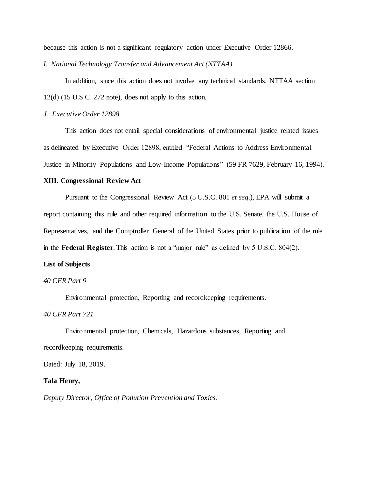because this action is not a significant regulatory action under Executive Order 12866.

*I. National Technology Transfer and Advancement Act (NTTAA)*

In addition, since this action does not involve any technical standards, NTTAA section 12(d) (15 U.S.C. 272 note), does not apply to this action.

# *J. Executive Order 12898*

This action does not entail special considerations of environmental justice related issues as delineated by Executive Order 12898, entitled "Federal Actions to Address Environmental Justice in Minority Populations and Low-Income Populations" (59 FR 7629, February 16, 1994).

## **XIII. Congressional Review Act**

Pursuant to the Congressional Review Act (5 U.S.C. 801 *et seq*.), EPA will submit a report containing this rule and other required information to the U.S. Senate, the U.S. House of Representatives, and the Comptroller General of the United States prior to publication of the rule in the **Federal Register**. This action is not a "major rule" as defined by 5 U.S.C. 804(2).

#### **List of Subjects**

# *40 CFR Part 9*

Environmental protection, Reporting and recordkeeping requirements.

# *40 CFR Part 721*

Environmental protection, Chemicals, Hazardous substances, Reporting and recordkeeping requirements.

Dated: July 18, 2019.

#### **Tala Henry,**

*Deputy Director, Office of Pollution Prevention and Toxics.*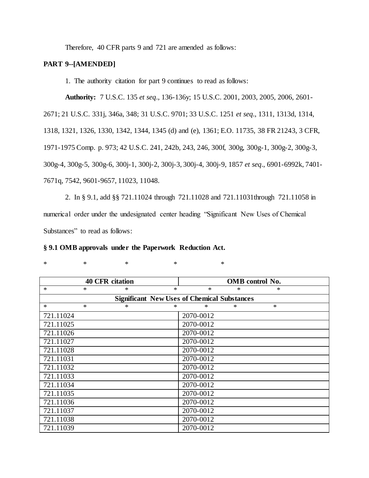Therefore, 40 CFR parts 9 and 721 are amended as follows:

# **PART 9--[AMENDED]**

1. The authority citation for part 9 continues to read as follows:

**Authority:** 7 U.S.C. 135 *et seq*., 136-136y; 15 U.S.C. 2001, 2003, 2005, 2006, 2601- 2671; 21 U.S.C. 331j, 346a, 348; 31 U.S.C. 9701; 33 U.S.C. 1251 *et seq*., 1311, 1313d, 1314, 1318, 1321, 1326, 1330, 1342, 1344, 1345 (d) and (e), 1361; E.O. 11735, 38 FR 21243, 3 CFR, 1971-1975 Comp. p. 973; 42 U.S.C. 241, 242b, 243, 246, 300f, 300g, 300g-1, 300g-2, 300g-3, 300g-4, 300g-5, 300g-6, 300j-1, 300j-2, 300j-3, 300j-4, 300j-9, 1857 *et seq*., 6901-6992k, 7401- 7671q, 7542, 9601-9657, 11023, 11048.

2. In § 9.1, add §§ 721.11024 through 721.11028 and 721.11031through 721.11058 in numerical order under the undesignated center heading "Significant New Uses of Chemical Substances" to read as follows:

| § 9.1 OMB approvals under the Paperwork Reduction Act. |  |  |
|--------------------------------------------------------|--|--|
|--------------------------------------------------------|--|--|

| ۰.<br>۰<br>1 |  |  |  |
|--------------|--|--|--|
|              |  |  |  |

 $*$  \* \* \* \* \*

| ٠ |  |
|---|--|
|   |  |
|   |  |
|   |  |
|   |  |

| <b>40 CFR citation</b> |        |           | <b>OMB</b> control No. |                                                    |   |        |  |
|------------------------|--------|-----------|------------------------|----------------------------------------------------|---|--------|--|
| $*$                    | $\ast$ | $\ast$    | $\ast$                 | $\ast$                                             | * | $\ast$ |  |
|                        |        |           |                        | <b>Significant New Uses of Chemical Substances</b> |   |        |  |
| $\ast$                 | $\ast$ | ∗         | ∗                      | *                                                  | * | $\ast$ |  |
| 721.11024              |        |           |                        | 2070-0012                                          |   |        |  |
| 721.11025              |        |           |                        | 2070-0012                                          |   |        |  |
| 721.11026              |        |           |                        | 2070-0012                                          |   |        |  |
| 721.11027              |        |           |                        | 2070-0012                                          |   |        |  |
| 721.11028              |        |           |                        | 2070-0012                                          |   |        |  |
| 721.11031              |        |           |                        | 2070-0012                                          |   |        |  |
| 721.11032              |        |           |                        | 2070-0012                                          |   |        |  |
| 721.11033              |        |           |                        | 2070-0012                                          |   |        |  |
| 721.11034              |        |           |                        | 2070-0012                                          |   |        |  |
| 721.11035              |        |           |                        | 2070-0012                                          |   |        |  |
| 721.11036              |        |           |                        | 2070-0012                                          |   |        |  |
| 721.11037              |        | 2070-0012 |                        |                                                    |   |        |  |
| 721.11038              |        |           |                        | 2070-0012                                          |   |        |  |
| 721.11039              |        |           |                        | 2070-0012                                          |   |        |  |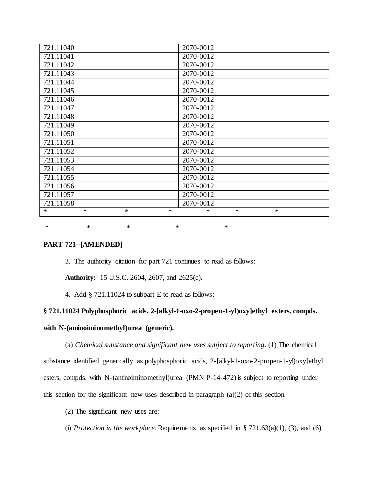| 721.11040                      | 2070-0012                  |
|--------------------------------|----------------------------|
| 721.11041                      | 2070-0012                  |
| 721.11042                      | 2070-0012                  |
| 721.11043                      | 2070-0012                  |
| 721.11044                      | 2070-0012                  |
| 721.11045                      | 2070-0012                  |
| 721.11046                      | 2070-0012                  |
| 721.11047                      | 2070-0012                  |
| 721.11048                      | 2070-0012                  |
| 721.11049                      | 2070-0012                  |
| 721.11050                      | 2070-0012                  |
| 721.11051                      | 2070-0012                  |
| $\overline{72}1.11052$         | 2070-0012                  |
| 721.11053                      | 2070-0012                  |
| 721.11054                      | 2070-0012                  |
| 721.11055                      | 2070-0012                  |
| 721.11056                      | 2070-0012                  |
| 721.11057                      | 2070-0012                  |
| 721.11058                      | 2070-0012                  |
| $\ast$<br>$*$<br>$\ast$<br>$*$ | $\ast$<br>$\ast$<br>$\ast$ |

\* \* \* \* \* \* \* \*

# **PART 721--[AMENDED]**

3. The authority citation for part 721 continues to read as follows:

**Authority:** 15 U.S.C. 2604, 2607, and 2625(c).

4. Add § 721.11024 to subpart E to read as follows:

# **§ 721.11024 Polyphosphoric acids, 2-[alkyl-1-oxo-2-propen-1-yl)oxy]ethyl esters, compds.**

# **with N-(aminoiminomethyl)urea (generic).**

(a) *Chemical substance and significant new uses subject to reporting*. (1) The chemical substance identified generically as polyphosphoric acids, 2-[alkyl-1-oxo-2-propen-1-yl)oxy]ethyl esters, compds. with N-(aminoiminomethyl)urea (PMN P-14-472) is subject to reporting under this section for the significant new uses described in paragraph (a)(2) of this section.

(2) The significant new uses are:

(i) *Protection in the workplace*. Requirements as specified in  $\S 721.63(a)(1)$ , (3), and (6)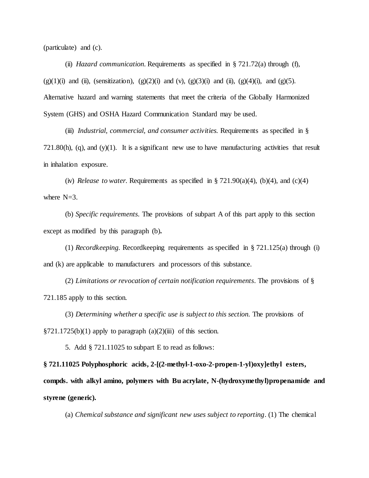(particulate) and (c).

(ii) *Hazard communication.* Requirements as specified in § 721.72(a) through (f), (g)(1)(i) and (ii), (sensitization), (g)(2)(i) and (v), (g)(3)(i) and (ii), (g)(4)(i), and (g)(5). Alternative hazard and warning statements that meet the criteria of the Globally Harmonized System (GHS) and OSHA Hazard Communication Standard may be used.

(iii) *Industrial, commercial, and consumer activities.* Requirements as specified in § 721.80(h), (q), and (y)(1). It is a significant new use to have manufacturing activities that result in inhalation exposure.

(iv) *Release to water.* Requirements as specified in  $\S 721.90(a)(4)$ , (b)(4), and (c)(4) where  $N=3$ .

(b) *Specific requirements.* The provisions of subpart A of this part apply to this section except as modified by this paragraph (b)**.**

(1) *Recordkeeping.* Recordkeeping requirements as specified in § 721.125(a) through (i) and (k) are applicable to manufacturers and processors of this substance.

(2) *Limitations or revocation of certain notification requirements.* The provisions of § 721.185 apply to this section.

(3) *Determining whether a specific use is subject to this section.* The provisions of  $\S 721.1725(b)(1)$  apply to paragraph  $(a)(2)(iii)$  of this section.

5. Add § 721.11025 to subpart E to read as follows:

**§ 721.11025 Polyphosphoric acids, 2-[(2-methyl-1-oxo-2-propen-1-yl)oxy]ethyl esters, compds. with alkyl amino, polymers with Bu acrylate, N-(hydroxymethyl)propenamide and styrene (generic).**

(a) *Chemical substance and significant new uses subject to reporting*. (1) The chemical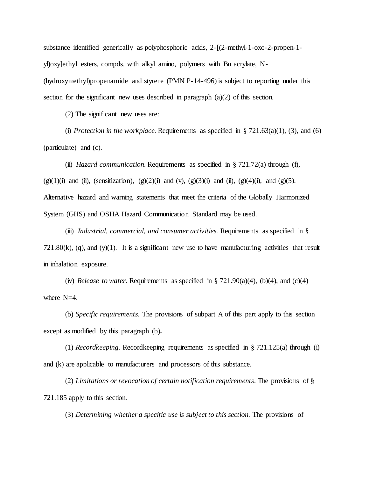substance identified generically as polyphosphoric acids, 2-[(2-methyl-1-oxo-2-propen-1 yl)oxy]ethyl esters, compds. with alkyl amino, polymers with Bu acrylate, N- (hydroxymethyl)propenamide and styrene (PMN P-14-496) is subject to reporting under this section for the significant new uses described in paragraph (a)(2) of this section.

(2) The significant new uses are:

(i) *Protection in the workplace*. Requirements as specified in  $\S 721.63(a)(1)$ , (3), and (6) (particulate) and (c).

(ii) *Hazard communication.* Requirements as specified in § 721.72(a) through (f), (g)(1)(i) and (ii), (sensitization), (g)(2)(i) and (v), (g)(3)(i) and (ii), (g)(4)(i), and (g)(5). Alternative hazard and warning statements that meet the criteria of the Globally Harmonized System (GHS) and OSHA Hazard Communication Standard may be used.

(iii) *Industrial, commercial, and consumer activities.* Requirements as specified in §  $721.80(k)$ , (q), and (y)(1). It is a significant new use to have manufacturing activities that result in inhalation exposure.

(iv) *Release to water.* Requirements as specified in  $\S 721.90(a)(4)$ , (b)(4), and (c)(4) where N=4.

(b) *Specific requirements.* The provisions of subpart A of this part apply to this section except as modified by this paragraph (b)**.**

(1) *Recordkeeping.* Recordkeeping requirements as specified in § 721.125(a) through (i) and (k) are applicable to manufacturers and processors of this substance.

(2) *Limitations or revocation of certain notification requirements.* The provisions of § 721.185 apply to this section.

(3) *Determining whether a specific use is subject to this section.* The provisions of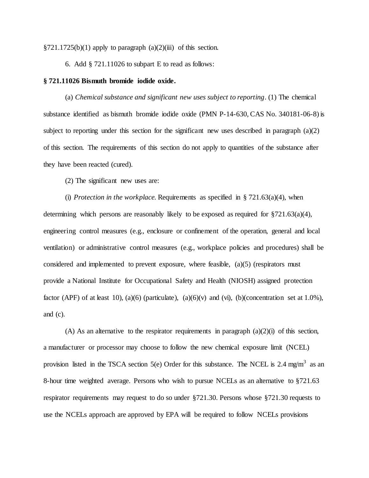$\S 721.1725(b)(1)$  apply to paragraph  $(a)(2)(iii)$  of this section.

6. Add § 721.11026 to subpart E to read as follows:

#### **§ 721.11026 Bismuth bromide iodide oxide.**

(a) *Chemical substance and significant new uses subject to reporting*. (1) The chemical substance identified as bismuth bromide iodide oxide (PMN P-14-630, CAS No. 340181-06-8) is subject to reporting under this section for the significant new uses described in paragraph  $(a)(2)$ of this section. The requirements of this section do not apply to quantities of the substance after they have been reacted (cured).

(2) The significant new uses are:

(i) *Protection in the workplace*. Requirements as specified in § 721.63(a)(4), when determining which persons are reasonably likely to be exposed as required for §721.63(a)(4), engineering control measures (e.g., enclosure or confinement of the operation, general and local ventilation) or administrative control measures (e.g., workplace policies and procedures) shall be considered and implemented to prevent exposure, where feasible, (a)(5) (respirators must provide a National Institute for Occupational Safety and Health (NIOSH) assigned protection factor (APF) of at least 10), (a)(6) (particulate), (a)(6)(v) and (vi), (b)(concentration set at 1.0%), and (c).

(A) As an alternative to the respirator requirements in paragraph  $(a)(2)(i)$  of this section, a manufacturer or processor may choose to follow the new chemical exposure limit (NCEL) provision listed in the TSCA section 5(e) Order for this substance. The NCEL is 2.4 mg/m<sup>3</sup> as an 8-hour time weighted average. Persons who wish to pursue NCELs as an alternative to §721.63 respirator requirements may request to do so under §721.30. Persons whose §721.30 requests to use the NCELs approach are approved by EPA will be required to follow NCELs provisions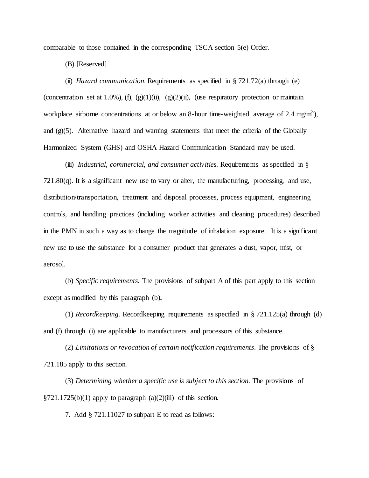comparable to those contained in the corresponding TSCA section 5(e) Order.

(B) [Reserved]

(ii) *Hazard communication.* Requirements as specified in § 721.72(a) through (e) (concentration set at 1.0%), (f), (g)(1)(ii), (g)(2)(ii), (use respiratory protection or maintain workplace airborne concentrations at or below an 8-hour time-weighted average of 2.4 mg/m<sup>3</sup>), and  $(g)(5)$ . Alternative hazard and warning statements that meet the criteria of the Globally Harmonized System (GHS) and OSHA Hazard Communication Standard may be used.

(iii) *Industrial, commercial, and consumer activities.* Requirements as specified in §  $721.80(q)$ . It is a significant new use to vary or alter, the manufacturing, processing, and use, distribution/transportation, treatment and disposal processes, process equipment, engineering controls, and handling practices (including worker activities and cleaning procedures) described in the PMN in such a way as to change the magnitude of inhalation exposure. It is a significant new use to use the substance for a consumer product that generates a dust, vapor, mist, or aerosol.

(b) *Specific requirements.* The provisions of subpart A of this part apply to this section except as modified by this paragraph (b)**.**

(1) *Recordkeeping.* Recordkeeping requirements as specified in § 721.125(a) through (d) and (f) through (i) are applicable to manufacturers and processors of this substance.

(2) *Limitations or revocation of certain notification requirements.* The provisions of § 721.185 apply to this section.

(3) *Determining whether a specific use is subject to this section.* The provisions of  $\S 721.1725(b)(1)$  apply to paragraph (a)(2)(iii) of this section.

7. Add § 721.11027 to subpart E to read as follows: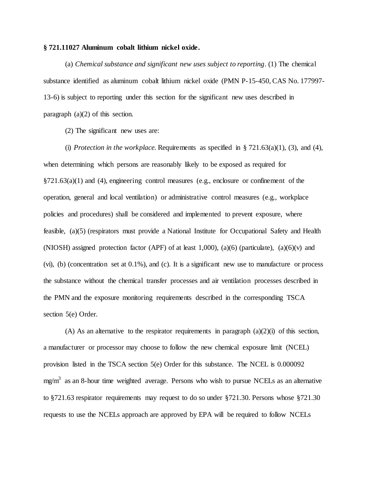## **§ 721.11027 Aluminum cobalt lithium nickel oxide.**

(a) *Chemical substance and significant new uses subject to reporting*. (1) The chemical substance identified as aluminum cobalt lithium nickel oxide (PMN P-15-450, CAS No. 177997- 13-6) is subject to reporting under this section for the significant new uses described in paragraph (a)(2) of this section.

(2) The significant new uses are:

(i) *Protection in the workplace.* Requirements as specified in  $\S 721.63(a)(1)$ , (3), and (4), when determining which persons are reasonably likely to be exposed as required for  $\S721.63(a)(1)$  and (4), engineering control measures (e.g., enclosure or confinement of the operation, general and local ventilation) or administrative control measures (e.g., workplace policies and procedures) shall be considered and implemented to prevent exposure, where feasible, (a)(5) (respirators must provide a National Institute for Occupational Safety and Health (NIOSH) assigned protection factor (APF) of at least 1,000), (a)(6) (particulate), (a)(6)(v) and (vi), (b) (concentration set at 0.1%), and (c). It is a significant new use to manufacture or process the substance without the chemical transfer processes and air ventilation processes described in the PMN and the exposure monitoring requirements described in the corresponding TSCA section 5(e) Order.

(A) As an alternative to the respirator requirements in paragraph  $(a)(2)(i)$  of this section, a manufacturer or processor may choose to follow the new chemical exposure limit (NCEL) provision listed in the TSCA section 5(e) Order for this substance. The NCEL is 0.000092 mg/m<sup>3</sup> as an 8-hour time weighted average. Persons who wish to pursue NCELs as an alternative to §721.63 respirator requirements may request to do so under §721.30. Persons whose §721.30 requests to use the NCELs approach are approved by EPA will be required to follow NCELs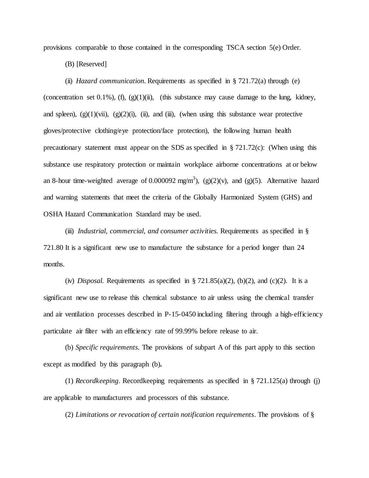provisions comparable to those contained in the corresponding TSCA section 5(e) Order.

(B) [Reserved]

(ii) *Hazard communication.* Requirements as specified in § 721.72(a) through (e) (concentration set 0.1%), (f),  $(g)(1)(ii)$ , (this substance may cause damage to the lung, kidney, and spleen),  $(g)(1)(\n{\text{vii}})$ ,  $(g)(2)(i)$ ,  $(ii)$ , and  $(iii)$ ,  $(mhen using this substance wear protective)$ gloves/protective clothing/eye protection/face protection), the following human health precautionary statement must appear on the SDS as specified in  $\S 721.72(c)$ : (When using this substance use respiratory protection or maintain workplace airborne concentrations at or below an 8-hour time-weighted average of 0.000092 mg/m<sup>3</sup>), (g)(2)(v), and (g)(5). Alternative hazard and warning statements that meet the criteria of the Globally Harmonized System (GHS) and OSHA Hazard Communication Standard may be used.

(iii) *Industrial, commercial, and consumer activities.* Requirements as specified in § 721.80 It is a significant new use to manufacture the substance for a period longer than 24 months.

(iv) *Disposal.* Requirements as specified in  $\S 721.85(a)(2)$ , (b)(2), and (c)(2). It is a significant new use to release this chemical substance to air unless using the chemical transfer and air ventilation processes described in P-15-0450 including filtering through a high-efficiency particulate air filter with an efficiency rate of 99.99% before release to air.

(b) *Specific requirements.* The provisions of subpart A of this part apply to this section except as modified by this paragraph (b)**.**

(1) *Recordkeeping*. Recordkeeping requirements as specified in § 721.125(a) through (j) are applicable to manufacturers and processors of this substance.

(2) *Limitations or revocation of certain notification requirements.* The provisions of §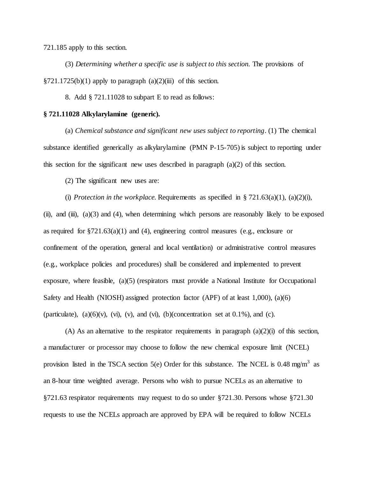721.185 apply to this section.

(3) *Determining whether a specific use is subject to this section.* The provisions of  $\S721.1725(b)(1)$  apply to paragraph  $(a)(2)(iii)$  of this section.

8. Add § 721.11028 to subpart E to read as follows:

# **§ 721.11028 Alkylarylamine (generic).**

(a) *Chemical substance and significant new uses subject to reporting*. (1) The chemical substance identified generically as alkylarylamine (PMN P-15-705) is subject to reporting under this section for the significant new uses described in paragraph  $(a)(2)$  of this section.

(2) The significant new uses are:

(i) *Protection in the workplace*. Requirements as specified in  $\S 721.63(a)(1)$ , (a)(2)(i), (ii), and (iii),  $(a)(3)$  and (4), when determining which persons are reasonably likely to be exposed as required for  $\S721.63(a)(1)$  and (4), engineering control measures (e.g., enclosure or confinement of the operation, general and local ventilation) or administrative control measures (e.g., workplace policies and procedures) shall be considered and implemented to prevent exposure, where feasible, (a)(5) (respirators must provide a National Institute for Occupational Safety and Health (NIOSH) assigned protection factor (APF) of at least 1,000), (a)(6) (particulate), (a)(6)(v), (vi), (v), and (vi), (b)(concentration set at 0.1%), and (c).

(A) As an alternative to the respirator requirements in paragraph  $(a)(2)(i)$  of this section, a manufacturer or processor may choose to follow the new chemical exposure limit (NCEL) provision listed in the TSCA section 5(e) Order for this substance. The NCEL is 0.48 mg/m<sup>3</sup> as an 8-hour time weighted average. Persons who wish to pursue NCELs as an alternative to §721.63 respirator requirements may request to do so under §721.30. Persons whose §721.30 requests to use the NCELs approach are approved by EPA will be required to follow NCELs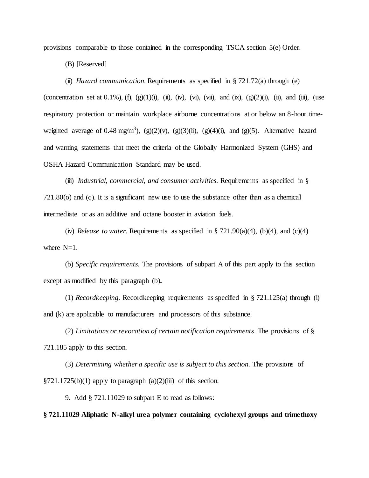provisions comparable to those contained in the corresponding TSCA section 5(e) Order.

(B) [Reserved]

(ii) *Hazard communication.* Requirements as specified in § 721.72(a) through (e) (concentration set at 0.1%), (f), (g)(1)(i), (ii), (iv), (vi), (vii), and (ix), (g)(2)(i), (ii), and (iii), (use respiratory protection or maintain workplace airborne concentrations at or below an 8-hour timeweighted average of 0.48 mg/m<sup>3</sup>), (g)(2)(v), (g)(3)(ii), (g)(4)(i), and (g)(5). Alternative hazard and warning statements that meet the criteria of the Globally Harmonized System (GHS) and OSHA Hazard Communication Standard may be used.

(iii) *Industrial, commercial, and consumer activities.* Requirements as specified in § 721.80(o) and (q). It is a significant new use to use the substance other than as a chemical intermediate or as an additive and octane booster in aviation fuels.

(iv) *Release to water.* Requirements as specified in  $\S 721.90(a)(4)$ , (b)(4), and (c)(4) where  $N=1$ .

(b) *Specific requirements.* The provisions of subpart A of this part apply to this section except as modified by this paragraph (b)**.**

(1) *Recordkeeping.* Recordkeeping requirements as specified in § 721.125(a) through (i) and (k) are applicable to manufacturers and processors of this substance.

(2) *Limitations or revocation of certain notification requirements.* The provisions of § 721.185 apply to this section.

(3) *Determining whether a specific use is subject to this section.* The provisions of  $\S 721.1725(b)(1)$  apply to paragraph  $(a)(2)(iii)$  of this section.

9. Add § 721.11029 to subpart E to read as follows:

**§ 721.11029 Aliphatic N-alkyl urea polymer containing cyclohexyl groups and trimethoxy**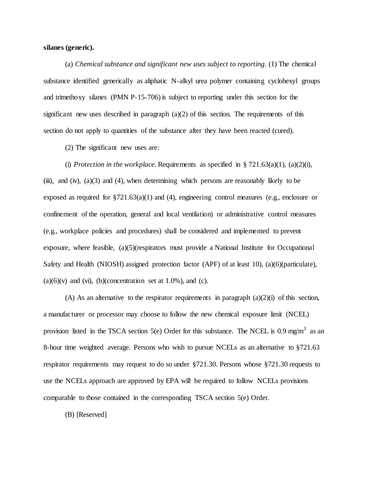# **silanes (generic).**

 (a) *Chemical substance and significant new uses subject to reporting*. (1) The chemical substance identified generically as aliphatic N-alkyl urea polymer containing cyclohexyl groups and trimethoxy silanes (PMN P-15-706) is subject to reporting under this section for the significant new uses described in paragraph  $(a)(2)$  of this section. The requirements of this section do not apply to quantities of the substance after they have been reacted (cured).

(2) The significant new uses are:

(i) *Protection in the workplace*. Requirements as specified in  $\frac{8721.63(a)(1)}{1}$ , (a)(2)(i), (iii), and (iv),  $(a)(3)$  and  $(4)$ , when determining which persons are reasonably likely to be exposed as required for §721.63(a)(1) and (4), engineering control measures (e.g., enclosure or confinement of the operation, general and local ventilation) or administrative control measures (e.g., workplace policies and procedures) shall be considered and implemented to prevent exposure, where feasible, (a)(5)(respirators must provide a National Institute for Occupational Safety and Health (NIOSH) assigned protection factor (APF) of at least 10), (a)(6)(particulate),  $(a)(6)(v)$  and  $(vi)$ ,  $(b)(concentration set at 1.0\%)$ , and  $(c)$ .

(A) As an alternative to the respirator requirements in paragraph  $(a)(2)(i)$  of this section, a manufacturer or processor may choose to follow the new chemical exposure limit (NCEL) provision listed in the TSCA section 5(e) Order for this substance. The NCEL is 0.9 mg/m<sup>3</sup> as an 8-hour time weighted average. Persons who wish to pursue NCELs as an alternative to §721.63 respirator requirements may request to do so under §721.30. Persons whose §721.30 requests to use the NCELs approach are approved by EPA will be required to follow NCELs provisions comparable to those contained in the corresponding TSCA section 5(e) Order.

(B) [Reserved]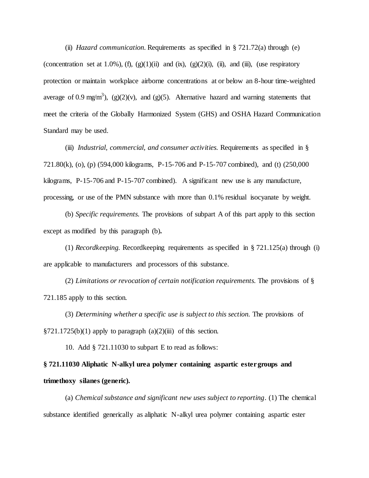(ii) *Hazard communication.* Requirements as specified in § 721.72(a) through (e) (concentration set at 1.0%), (f), (g)(1)(ii) and (ix), (g)(2)(i), (ii), and (iii), (use respiratory protection or maintain workplace airborne concentrations at or below an 8-hour time-weighted average of 0.9 mg/m<sup>3</sup>), (g)(2)(v), and (g)(5). Alternative hazard and warning statements that meet the criteria of the Globally Harmonized System (GHS) and OSHA Hazard Communication Standard may be used.

 (iii) *Industrial, commercial, and consumer activities.* Requirements as specified in § 721.80(k), (o), (p) (594,000 kilograms, P-15-706 and P-15-707 combined), and (t) (250,000 kilograms, P-15-706 and P-15-707 combined). A significant new use is any manufacture, processing, or use of the PMN substance with more than 0.1% residual isocyanate by weight.

 (b) *Specific requirements.* The provisions of subpart A of this part apply to this section except as modified by this paragraph (b)**.**

 (1) *Recordkeeping.* Recordkeeping requirements as specified in § 721.125(a) through (i) are applicable to manufacturers and processors of this substance.

 (2) *Limitations or revocation of certain notification requirements.* The provisions of § 721.185 apply to this section.

(3) *Determining whether a specific use is subject to this section.* The provisions of  $\S 721.1725(b)(1)$  apply to paragraph  $(a)(2)(iii)$  of this section.

10. Add § 721.11030 to subpart E to read as follows:

# **§ 721.11030 Aliphatic N-alkyl urea polymer containing aspartic ester groups and trimethoxy silanes (generic).**

 (a) *Chemical substance and significant new uses subject to reporting*. (1) The chemical substance identified generically as aliphatic N-alkyl urea polymer containing aspartic ester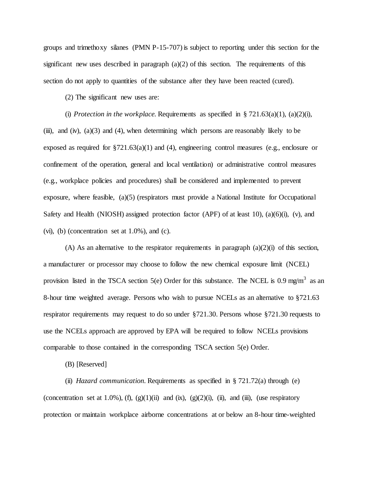groups and trimethoxy silanes (PMN P-15-707) is subject to reporting under this section for the significant new uses described in paragraph  $(a)(2)$  of this section. The requirements of this section do not apply to quantities of the substance after they have been reacted (cured).

(2) The significant new uses are:

(i) *Protection in the workplace*. Requirements as specified in  $\S 721.63(a)(1)$ , (a)(2)(i), (iii), and (iv),  $(a)(3)$  and  $(4)$ , when determining which persons are reasonably likely to be exposed as required for  $\S721.63(a)(1)$  and (4), engineering control measures (e.g., enclosure or confinement of the operation, general and local ventilation) or administrative control measures (e.g., workplace policies and procedures) shall be considered and implemented to prevent exposure, where feasible, (a)(5) (respirators must provide a National Institute for Occupational Safety and Health (NIOSH) assigned protection factor (APF) of at least 10), (a)(6)(i), (v), and (vi), (b) (concentration set at  $1.0\%$ ), and (c).

(A) As an alternative to the respirator requirements in paragraph  $(a)(2)(i)$  of this section, a manufacturer or processor may choose to follow the new chemical exposure limit (NCEL) provision listed in the TSCA section 5(e) Order for this substance. The NCEL is 0.9 mg/m<sup>3</sup> as an 8-hour time weighted average. Persons who wish to pursue NCELs as an alternative to §721.63 respirator requirements may request to do so under §721.30. Persons whose §721.30 requests to use the NCELs approach are approved by EPA will be required to follow NCELs provisions comparable to those contained in the corresponding TSCA section 5(e) Order.

(B) [Reserved]

 (ii) *Hazard communication.* Requirements as specified in § 721.72(a) through (e) (concentration set at 1.0%), (f), (g)(1)(ii) and (ix), (g)(2)(i), (ii), and (iii), (use respiratory protection or maintain workplace airborne concentrations at or below an 8-hour time-weighted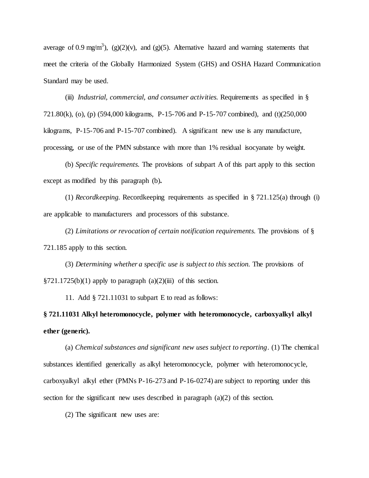average of 0.9 mg/m<sup>3</sup>), (g)(2)(v), and (g)(5). Alternative hazard and warning statements that meet the criteria of the Globally Harmonized System (GHS) and OSHA Hazard Communication Standard may be used.

 (iii) *Industrial, commercial, and consumer activities.* Requirements as specified in § 721.80(k), (o), (p) (594,000 kilograms, P-15-706 and P-15-707 combined), and (t)(250,000 kilograms, P-15-706 and P-15-707 combined). A significant new use is any manufacture, processing, or use of the PMN substance with more than 1% residual isocyanate by weight.

 (b) *Specific requirements.* The provisions of subpart A of this part apply to this section except as modified by this paragraph (b)**.**

 (1) *Recordkeeping.* Recordkeeping requirements as specified in § 721.125(a) through (i) are applicable to manufacturers and processors of this substance.

 (2) *Limitations or revocation of certain notification requirements.* The provisions of § 721.185 apply to this section.

(3) *Determining whether a specific use is subject to this section.* The provisions of  $\S 721.1725(b)(1)$  apply to paragraph  $(a)(2)(iii)$  of this section.

11. Add § 721.11031 to subpart E to read as follows:

**§ 721.11031 Alkyl heteromonocycle, polymer with heteromonocycle, carboxyalkyl alkyl ether (generic).**

(a) *Chemical substances and significant new uses subject to reporting*. (1) The chemical substances identified generically as alkyl heteromonocycle, polymer with heteromonocycle, carboxyalkyl alkyl ether (PMNs P-16-273 and P-16-0274) are subject to reporting under this section for the significant new uses described in paragraph  $(a)(2)$  of this section.

(2) The significant new uses are: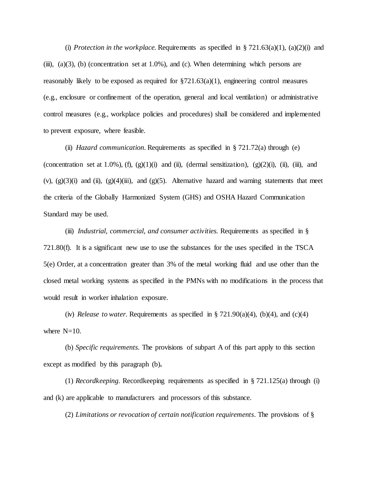(i) *Protection in the workplace*. Requirements as specified in  $\S 721.63(a)(1)$ , (a)(2)(i) and (iii), (a)(3), (b) (concentration set at  $1.0\%$ ), and (c). When determining which persons are reasonably likely to be exposed as required for  $\S721.63(a)(1)$ , engineering control measures (e.g., enclosure or confinement of the operation, general and local ventilation) or administrative control measures (e.g., workplace policies and procedures) shall be considered and implemented to prevent exposure, where feasible.

(ii) *Hazard communication.* Requirements as specified in § 721.72(a) through (e) (concentration set at 1.0%), (f), (g)(1)(i) and (ii), (dermal sensitization), (g)(2)(i), (ii), (iii), and (v),  $(g)(3)(i)$  and  $(ii)$ ,  $(g)(4)(iii)$ , and  $(g)(5)$ . Alternative hazard and warning statements that meet the criteria of the Globally Harmonized System (GHS) and OSHA Hazard Communication Standard may be used.

(iii) *Industrial, commercial, and consumer activities.* Requirements as specified in § 721.80(f). It is a significant new use to use the substances for the uses specified in the TSCA 5(e) Order, at a concentration greater than 3% of the metal working fluid and use other than the closed metal working systems as specified in the PMNs with no modifications in the process that would result in worker inhalation exposure.

(iv) *Release to water.* Requirements as specified in  $\S 721.90(a)(4)$ , (b)(4), and (c)(4) where  $N=10$ .

(b) *Specific requirements.* The provisions of subpart A of this part apply to this section except as modified by this paragraph (b)**.**

(1) *Recordkeeping.* Recordkeeping requirements as specified in § 721.125(a) through (i) and (k) are applicable to manufacturers and processors of this substance.

(2) *Limitations or revocation of certain notification requirements.* The provisions of §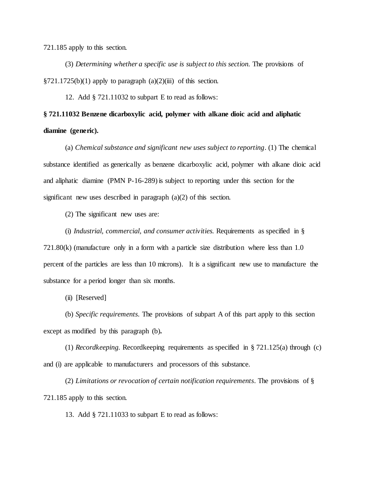721.185 apply to this section.

(3) *Determining whether a specific use is subject to this section.* The provisions of  $\S721.1725(b)(1)$  apply to paragraph  $(a)(2)(iii)$  of this section.

12. Add § 721.11032 to subpart E to read as follows:

# **§ 721.11032 Benzene dicarboxylic acid, polymer with alkane dioic acid and aliphatic diamine (generic).**

(a) *Chemical substance and significant new uses subject to reporting*. (1) The chemical substance identified as generically as benzene dicarboxylic acid, polymer with alkane dioic acid and aliphatic diamine (PMN P-16-289) is subject to reporting under this section for the significant new uses described in paragraph (a)(2) of this section.

(2) The significant new uses are:

(i) *Industrial, commercial, and consumer activities.* Requirements as specified in §

721.80(k) (manufacture only in a form with a particle size distribution where less than 1.0 percent of the particles are less than 10 microns). It is a significant new use to manufacture the substance for a period longer than six months.

(ii) [Reserved]

(b) *Specific requirements.* The provisions of subpart A of this part apply to this section except as modified by this paragraph (b)**.**

(1) *Recordkeeping.* Recordkeeping requirements as specified in § 721.125(a) through (c) and (i) are applicable to manufacturers and processors of this substance.

(2) *Limitations or revocation of certain notification requirements.* The provisions of § 721.185 apply to this section.

13. Add § 721.11033 to subpart E to read as follows: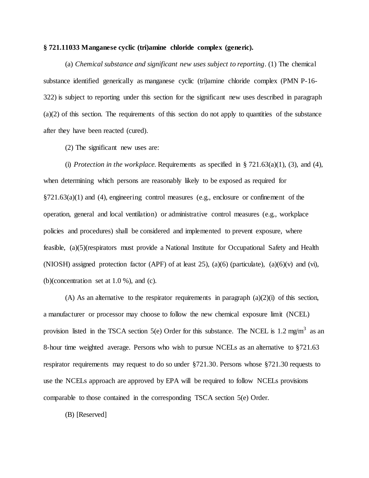### **§ 721.11033 Manganese cyclic (tri)amine chloride complex (generic).**

(a) *Chemical substance and significant new uses subject to reporting*. (1) The chemical substance identified generically as manganese cyclic (tri)amine chloride complex (PMN P-16- 322) is subject to reporting under this section for the significant new uses described in paragraph (a)(2) of this section. The requirements of this section do not apply to quantities of the substance after they have been reacted (cured).

(2) The significant new uses are:

(i) *Protection in the workplace.* Requirements as specified in  $\S 721.63(a)(1)$ , (3), and (4), when determining which persons are reasonably likely to be exposed as required for  $\S721.63(a)(1)$  and (4), engineering control measures (e.g., enclosure or confinement of the operation, general and local ventilation) or administrative control measures (e.g., workplace policies and procedures) shall be considered and implemented to prevent exposure, where feasible, (a)(5)(respirators must provide a National Institute for Occupational Safety and Health (NIOSH) assigned protection factor (APF) of at least 25), (a)(6) (particulate), (a)(6)(v) and (vi), (b)(concentration set at  $1.0\%$ ), and (c).

(A) As an alternative to the respirator requirements in paragraph  $(a)(2)(i)$  of this section, a manufacturer or processor may choose to follow the new chemical exposure limit (NCEL) provision listed in the TSCA section 5(e) Order for this substance. The NCEL is 1.2 mg/m<sup>3</sup> as an 8-hour time weighted average. Persons who wish to pursue NCELs as an alternative to §721.63 respirator requirements may request to do so under §721.30. Persons whose §721.30 requests to use the NCELs approach are approved by EPA will be required to follow NCELs provisions comparable to those contained in the corresponding TSCA section 5(e) Order.

(B) [Reserved]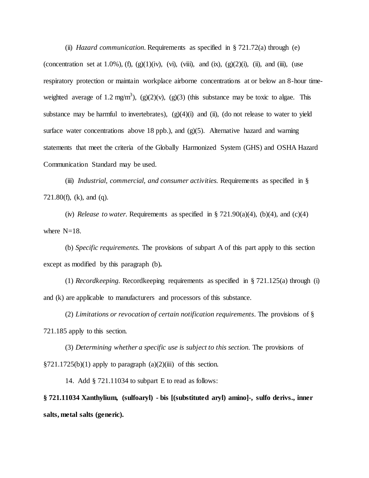(ii) *Hazard communication.* Requirements as specified in § 721.72(a) through (e) (concentration set at 1.0%), (f), (g)(1)(iv), (vi), (viii), and (ix), (g)(2)(i), (ii), and (iii), (use respiratory protection or maintain workplace airborne concentrations at or below an 8-hour timeweighted average of 1.2 mg/m<sup>3</sup>), (g)(2)(v), (g)(3) (this substance may be toxic to algae. This substance may be harmful to invertebrates),  $(g)(4)(i)$  and  $(ii)$ ,  $(d$ o not release to water to yield surface water concentrations above 18 ppb.), and  $(g)(5)$ . Alternative hazard and warning statements that meet the criteria of the Globally Harmonized System (GHS) and OSHA Hazard Communication Standard may be used.

(iii) *Industrial, commercial, and consumer activities.* Requirements as specified in § 721.80(f), (k), and (q).

(iv) *Release to water.* Requirements as specified in  $\S 721.90(a)(4)$ , (b)(4), and (c)(4) where  $N=18$ .

(b) *Specific requirements.* The provisions of subpart A of this part apply to this section except as modified by this paragraph (b)**.**

(1) *Recordkeeping.* Recordkeeping requirements as specified in § 721.125(a) through (i) and (k) are applicable to manufacturers and processors of this substance.

(2) *Limitations or revocation of certain notification requirements.* The provisions of § 721.185 apply to this section.

(3) *Determining whether a specific use is subject to this section.* The provisions of  $\S 721.1725(b)(1)$  apply to paragraph (a)(2)(iii) of this section.

14. Add § 721.11034 to subpart E to read as follows:

**§ 721.11034 Xanthylium, (sulfoaryl) - bis [(substituted aryl) amino]-, sulfo derivs., inner salts, metal salts (generic).**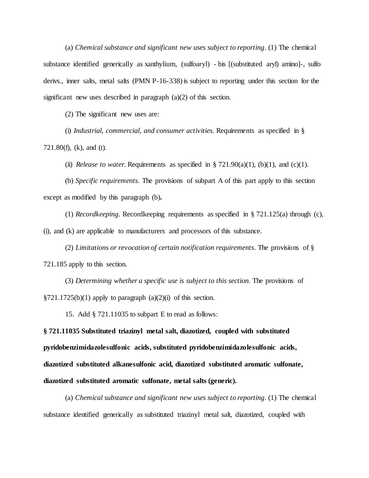(a) *Chemical substance and significant new uses subject to reporting*. (1) The chemical substance identified generically as xanthylium, (sulfoaryl) - bis [(substituted aryl) amino]-, sulfo derivs., inner salts, metal salts (PMN P-16-338) is subject to reporting under this section for the significant new uses described in paragraph (a)(2) of this section.

(2) The significant new uses are:

(i) *Industrial, commercial, and consumer activities.* Requirements as specified in § 721.80(f), (k), and (t).

(ii) *Release to water.* Requirements as specified in  $\S 721.90(a)(1)$ , (b)(1), and (c)(1).

(b) *Specific requirements.* The provisions of subpart A of this part apply to this section except as modified by this paragraph (b)**.**

(1) *Recordkeeping.* Recordkeeping requirements as specified in § 721.125(a) through (c), (i), and (k) are applicable to manufacturers and processors of this substance.

(2) *Limitations or revocation of certain notification requirements.* The provisions of § 721.185 apply to this section.

(3) *Determining whether a specific use is subject to this section.* The provisions of  $\S 721.1725(b)(1)$  apply to paragraph  $(a)(2)(i)$  of this section.

15. Add § 721.11035 to subpart E to read as follows:

**§ 721.11035 Substituted triazinyl metal salt, diazotized, coupled with substituted pyridobenzimidazolesulfonic acids, substituted pyridobenzimidazolesulfonic acids, diazotized substituted alkanesulfonic acid, diazotized substituted aromatic sulfonate, diazotized substituted aromatic sulfonate, metal salts (generic).**

(a) *Chemical substance and significant new uses subject to reporting*. (1) The chemical substance identified generically as substituted triazinyl metal salt, diazotized, coupled with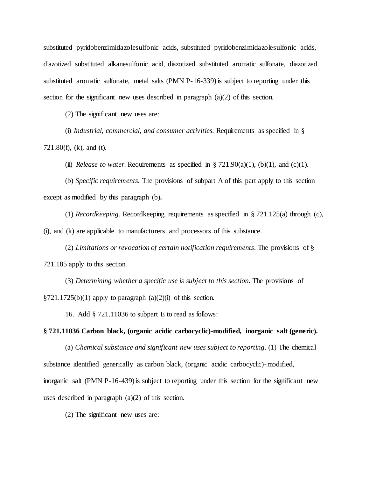substituted pyridobenzimidazolesulfonic acids, substituted pyridobenzimidazolesulfonic acids, diazotized substituted alkanesulfonic acid, diazotized substituted aromatic sulfonate, diazotized substituted aromatic sulfonate, metal salts (PMN P-16-339) is subject to reporting under this section for the significant new uses described in paragraph (a)(2) of this section.

(2) The significant new uses are:

(i) *Industrial, commercial, and consumer activities.* Requirements as specified in § 721.80(f), (k), and (t).

(ii) *Release to water.* Requirements as specified in  $\S 721.90(a)(1)$ , (b)(1), and (c)(1).

(b) *Specific requirements.* The provisions of subpart A of this part apply to this section except as modified by this paragraph (b)**.**

(1) *Recordkeeping.* Recordkeeping requirements as specified in § 721.125(a) through (c), (i), and (k) are applicable to manufacturers and processors of this substance.

(2) *Limitations or revocation of certain notification requirements.* The provisions of § 721.185 apply to this section.

(3) *Determining whether a specific use is subject to this section.* The provisions of  $\S 721.1725(b)(1)$  apply to paragraph  $(a)(2)(i)$  of this section.

16. Add § 721.11036 to subpart E to read as follows:

**§ 721.11036 Carbon black, (organic acidic carbocyclic)-modified, inorganic salt (generic).**

(a) *Chemical substance and significant new uses subject to reporting*. (1) The chemical substance identified generically as carbon black, (organic acidic carbocyclic)-modified, inorganic salt (PMN P-16-439) is subject to reporting under this section for the significant new uses described in paragraph (a)(2) of this section.

(2) The significant new uses are: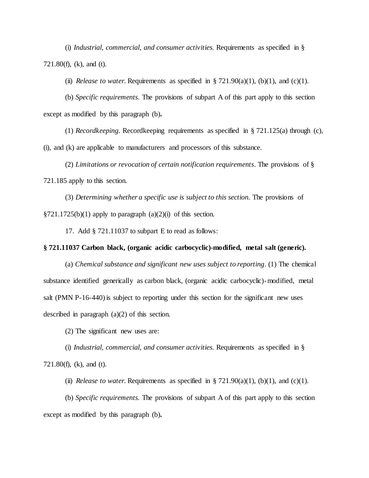(i) *Industrial, commercial, and consumer activities.* Requirements as specified in § 721.80(f), (k), and (t).

(ii) *Release to water.* Requirements as specified in  $\S 721.90(a)(1)$ , (b)(1), and (c)(1).

(b) *Specific requirements.* The provisions of subpart A of this part apply to this section except as modified by this paragraph (b)**.**

(1) *Recordkeeping.* Recordkeeping requirements as specified in § 721.125(a) through (c), (i), and (k) are applicable to manufacturers and processors of this substance.

(2) *Limitations or revocation of certain notification requirements.* The provisions of § 721.185 apply to this section.

(3) *Determining whether a specific use is subject to this section.* The provisions of  $\S 721.1725(b)(1)$  apply to paragraph  $(a)(2)(i)$  of this section.

17. Add § 721.11037 to subpart E to read as follows:

# **§ 721.11037 Carbon black, (organic acidic carbocyclic)-modified, metal salt (generic).**

(a) *Chemical substance and significant new uses subject to reporting*. (1) The chemical substance identified generically as carbon black, (organic acidic carbocyclic)-modified, metal salt (PMN P-16-440) is subject to reporting under this section for the significant new uses described in paragraph (a)(2) of this section.

(2) The significant new uses are:

(i) *Industrial, commercial, and consumer activities.* Requirements as specified in § 721.80(f), (k), and (t).

(ii) *Release to water.* Requirements as specified in § 721.90(a)(1), (b)(1), and (c)(1).

(b) *Specific requirements.* The provisions of subpart A of this part apply to this section except as modified by this paragraph (b)**.**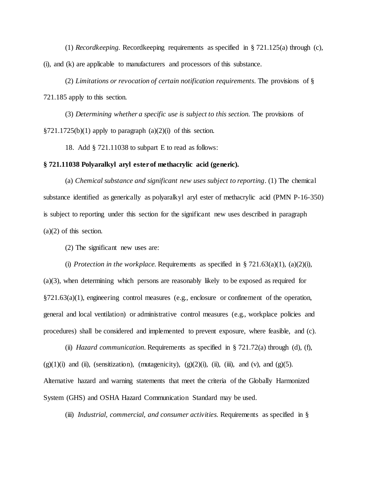(1) *Recordkeeping.* Recordkeeping requirements as specified in § 721.125(a) through (c), (i), and (k) are applicable to manufacturers and processors of this substance.

(2) *Limitations or revocation of certain notification requirements.* The provisions of § 721.185 apply to this section.

(3) *Determining whether a specific use is subject to this section.* The provisions of  $\S 721.1725(b)(1)$  apply to paragraph  $(a)(2)(i)$  of this section.

18. Add § 721.11038 to subpart E to read as follows:

## **§ 721.11038 Polyaralkyl aryl ester of methacrylic acid (generic).**

(a) *Chemical substance and significant new uses subject to reporting*. (1) The chemical substance identified as generically as polyaralkyl aryl ester of methacrylic acid (PMN P-16-350) is subject to reporting under this section for the significant new uses described in paragraph (a)(2) of this section.

(2) The significant new uses are:

(i) *Protection in the workplace*. Requirements as specified in  $\S 721.63(a)(1)$ , (a)(2)(i),

(a)(3), when determining which persons are reasonably likely to be exposed as required for  $\S721.63(a)(1)$ , engineering control measures (e.g., enclosure or confinement of the operation, general and local ventilation) or administrative control measures (e.g., workplace policies and procedures) shall be considered and implemented to prevent exposure, where feasible, and (c).

(ii) *Hazard communication.* Requirements as specified in § 721.72(a) through (d), (f),  $(g)(1)(i)$  and (ii), (sensitization), (mutagenicity),  $(g)(2)(i)$ , (ii), (iii), and (v), and (g)(5). Alternative hazard and warning statements that meet the criteria of the Globally Harmonized System (GHS) and OSHA Hazard Communication Standard may be used.

(iii) *Industrial, commercial, and consumer activities.* Requirements as specified in §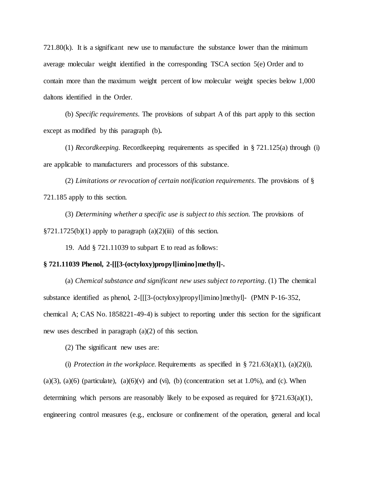721.80(k). It is a significant new use to manufacture the substance lower than the minimum average molecular weight identified in the corresponding TSCA section 5(e) Order and to contain more than the maximum weight percent of low molecular weight species below 1,000 daltons identified in the Order.

(b) *Specific requirements.* The provisions of subpart A of this part apply to this section except as modified by this paragraph (b)**.**

(1) *Recordkeeping.* Recordkeeping requirements as specified in § 721.125(a) through (i) are applicable to manufacturers and processors of this substance.

(2) *Limitations or revocation of certain notification requirements.* The provisions of § 721.185 apply to this section.

(3) *Determining whether a specific use is subject to this section.* The provisions of  $\S 721.1725(b)(1)$  apply to paragraph  $(a)(2)(iii)$  of this section.

19. Add § 721.11039 to subpart E to read as follows:

#### **§ 721.11039 Phenol, 2-[[[3-(octyloxy)propyl]imino]methyl]-.**

(a) *Chemical substance and significant new uses subject to reporting*. (1) The chemical substance identified as phenol, 2-[[[3-(octyloxy)propyl]imino]methyl]- (PMN P-16-352, chemical A; CAS No. 1858221-49-4) is subject to reporting under this section for the significant new uses described in paragraph (a)(2) of this section.

(2) The significant new uses are:

(i) *Protection in the workplace*. Requirements as specified in  $\S 721.63(a)(1)$ , (a)(2)(i),  $(a)(3)$ ,  $(a)(6)$  (particulate),  $(a)(6)(v)$  and  $(vi)$ ,  $(b)$  (concentration set at 1.0%), and (c). When determining which persons are reasonably likely to be exposed as required for  $\S721.63(a)(1)$ , engineering control measures (e.g., enclosure or confinement of the operation, general and local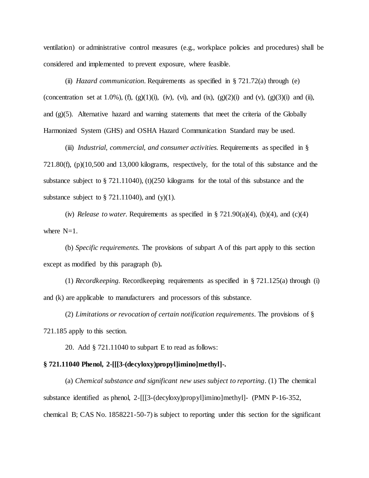ventilation) or administrative control measures (e.g., workplace policies and procedures) shall be considered and implemented to prevent exposure, where feasible.

(ii) *Hazard communication.* Requirements as specified in § 721.72(a) through (e) (concentration set at 1.0%), (f), (g)(1)(i), (iv), (vi), and (ix), (g)(2)(i) and (v), (g)(3)(i) and (ii), and  $(g)(5)$ . Alternative hazard and warning statements that meet the criteria of the Globally Harmonized System (GHS) and OSHA Hazard Communication Standard may be used.

(iii) *Industrial, commercial, and consumer activities.* Requirements as specified in § 721.80(f), (p)(10,500 and 13,000 kilograms, respectively, for the total of this substance and the substance subject to § 721.11040), (t)(250 kilograms for the total of this substance and the substance subject to  $\S$  721.11040), and (y)(1).

(iv) *Release to water.* Requirements as specified in  $\S 721.90(a)(4)$ , (b)(4), and (c)(4) where  $N=1$ .

(b) *Specific requirements.* The provisions of subpart A of this part apply to this section except as modified by this paragraph (b)**.**

(1) *Recordkeeping.* Recordkeeping requirements as specified in § 721.125(a) through (i) and (k) are applicable to manufacturers and processors of this substance.

(2) *Limitations or revocation of certain notification requirements.* The provisions of § 721.185 apply to this section.

20. Add § 721.11040 to subpart E to read as follows:

#### **§ 721.11040 Phenol, 2-[[[3-(decyloxy)propyl]imino]methyl]-.**

(a) *Chemical substance and significant new uses subject to reporting*. (1) The chemical substance identified as phenol, 2-[[[3-(decyloxy)propyl]imino]methyl]- (PMN P-16-352, chemical B; CAS No. 1858221-50-7) is subject to reporting under this section for the significant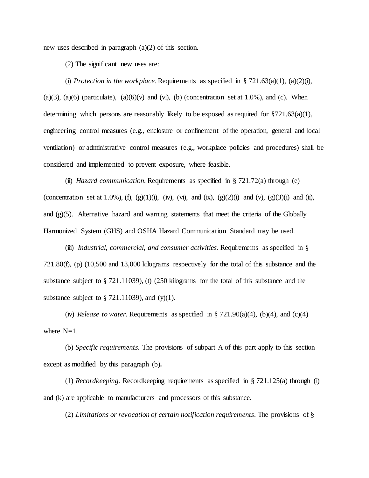new uses described in paragraph (a)(2) of this section.

(2) The significant new uses are:

(i) *Protection in the workplace.* Requirements as specified in § 721.63(a)(1), (a)(2)(i),  $(a)(3)$ ,  $(a)(6)$  (particulate),  $(a)(6)(v)$  and  $(vi)$ ,  $(b)$  (concentration set at 1.0%), and (c). When determining which persons are reasonably likely to be exposed as required for §721.63(a)(1), engineering control measures (e.g., enclosure or confinement of the operation, general and local ventilation) or administrative control measures (e.g., workplace policies and procedures) shall be considered and implemented to prevent exposure, where feasible.

(ii) *Hazard communication.* Requirements as specified in § 721.72(a) through (e) (concentration set at 1.0%), (f), (g)(1)(i), (iv), (vi), and (ix), (g)(2)(i) and (v), (g)(3)(i) and (ii), and  $(g)(5)$ . Alternative hazard and warning statements that meet the criteria of the Globally Harmonized System (GHS) and OSHA Hazard Communication Standard may be used.

(iii) *Industrial, commercial, and consumer activities.* Requirements as specified in § 721.80(f), (p) (10,500 and 13,000 kilograms respectively for the total of this substance and the substance subject to § 721.11039), (t) (250 kilograms for the total of this substance and the substance subject to  $\S$  721.11039), and (y)(1).

(iv) *Release to water.* Requirements as specified in  $\S 721.90(a)(4)$ , (b)(4), and (c)(4) where  $N=1$ .

(b) *Specific requirements.* The provisions of subpart A of this part apply to this section except as modified by this paragraph (b)**.**

(1) *Recordkeeping.* Recordkeeping requirements as specified in § 721.125(a) through (i) and (k) are applicable to manufacturers and processors of this substance.

(2) *Limitations or revocation of certain notification requirements.* The provisions of §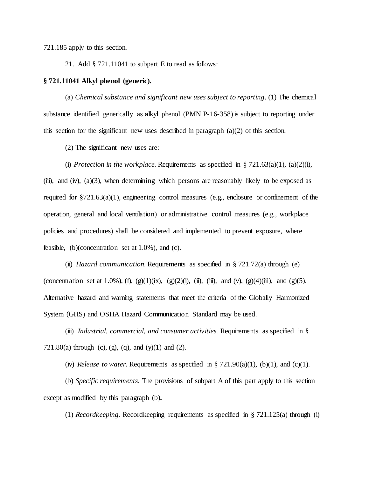721.185 apply to this section.

21. Add § 721.11041 to subpart E to read as follows:

### **§ 721.11041 Alkyl phenol (generic).**

(a) *Chemical substance and significant new uses subject to reporting*. (1) The chemical substance identified generically as **a**lkyl phenol (PMN P-16-358) is subject to reporting under this section for the significant new uses described in paragraph  $(a)(2)$  of this section.

(2) The significant new uses are:

(i) *Protection in the workplace*. Requirements as specified in  $\S 721.63(a)(1)$ , (a)(2)(i), (iii), and (iv),  $(a)(3)$ , when determining which persons are reasonably likely to be exposed as required for §721.63(a)(1), engineering control measures (e.g., enclosure or confinement of the operation, general and local ventilation) or administrative control measures (e.g., workplace policies and procedures) shall be considered and implemented to prevent exposure, where feasible,  $(b)$ (concentration set at  $1.0\%$ ), and (c).

(ii) *Hazard communication.* Requirements as specified in § 721.72(a) through (e) (concentration set at 1.0%), (f), (g)(1)(ix), (g)(2)(i), (ii), (iii), and (v), (g)(4)(iii), and (g)(5). Alternative hazard and warning statements that meet the criteria of the Globally Harmonized System (GHS) and OSHA Hazard Communication Standard may be used.

(iii) *Industrial, commercial, and consumer activities.* Requirements as specified in § 721.80(a) through (c), (g), (q), and (y)(1) and (2).

(iv) *Release to water.* Requirements as specified in  $\S 721.90(a)(1)$ , (b)(1), and (c)(1).

(b) *Specific requirements.* The provisions of subpart A of this part apply to this section except as modified by this paragraph (b)**.**

(1) *Recordkeeping.* Recordkeeping requirements as specified in § 721.125(a) through (i)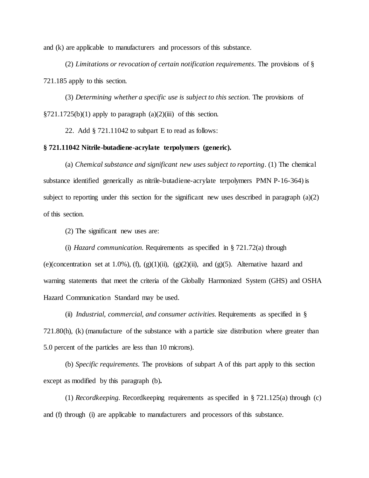and (k) are applicable to manufacturers and processors of this substance.

(2) *Limitations or revocation of certain notification requirements.* The provisions of § 721.185 apply to this section.

(3) *Determining whether a specific use is subject to this section.* The provisions of  $\S721.1725(b)(1)$  apply to paragraph (a)(2)(iii) of this section.

22. Add § 721.11042 to subpart E to read as follows:

# **§ 721.11042 Nitrile-butadiene-acrylate terpolymers (generic).**

(a) *Chemical substance and significant new uses subject to reporting*. (1) The chemical substance identified generically as nitrile-butadiene-acrylate terpolymers PMN P-16-364) is subject to reporting under this section for the significant new uses described in paragraph  $(a)(2)$ of this section.

(2) The significant new uses are:

(i) *Hazard communication.* Requirements as specified in § 721.72(a) through (e)(concentration set at 1.0%), (f), (g)(1)(ii), (g)(2)(ii), and (g)(5). Alternative hazard and warning statements that meet the criteria of the Globally Harmonized System (GHS) and OSHA Hazard Communication Standard may be used.

(ii) *Industrial, commercial, and consumer activities.* Requirements as specified in § 721.80(h), (k) (manufacture of the substance with a particle size distribution where greater than 5.0 percent of the particles are less than 10 microns).

(b) *Specific requirements.* The provisions of subpart A of this part apply to this section except as modified by this paragraph (b)**.**

(1) *Recordkeeping.* Recordkeeping requirements as specified in § 721.125(a) through (c) and (f) through (i) are applicable to manufacturers and processors of this substance.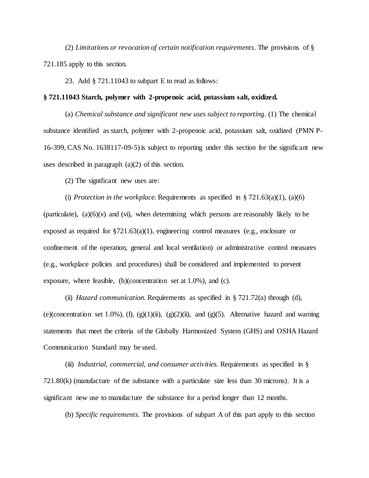(2) *Limitations or revocation of certain notification requirements.* The provisions of § 721.185 apply to this section.

23. Add § 721.11043 to subpart E to read as follows:

## **§ 721.11043 Starch, polymer with 2-propenoic acid, potassium salt, oxidized.**

(a) *Chemical substance and significant new uses subject to reporting*. (1) The chemical substance identified as starch, polymer with 2-propenoic acid, potassium salt, oxidized (PMN P-16-399, CAS No. 1638117-09-5) is subject to reporting under this section for the significant new uses described in paragraph (a)(2) of this section.

(2) The significant new uses are:

(i) *Protection in the workplace.* Requirements as specified in  $\S 721.63(a)(1)$ , (a)(6) (particulate),  $(a)(6)(v)$  and  $(vi)$ , when determining which persons are reasonably likely to be exposed as required for §721.63(a)(1), engineering control measures (e.g., enclosure or confinement of the operation, general and local ventilation) or administrative control measures (e.g., workplace policies and procedures) shall be considered and implemented to prevent exposure, where feasible, (b)(concentration set at 1.0%), and (c).

(ii) *Hazard communication.* Requirements as specified in § 721.72(a) through (d), (e)(concentration set 1.0%), (f),  $(g)(1)(ii)$ ,  $(g)(2)(ii)$ , and  $(g)(5)$ . Alternative hazard and warning statements that meet the criteria of the Globally Harmonized System (GHS) and OSHA Hazard Communication Standard may be used.

(iii) *Industrial, commercial, and consumer activities.* Requirements as specified in § 721.80(k) (manufacture of the substance with a particulate size less than 30 microns). It is a significant new use to manufacture the substance for a period longer than 12 months.

(b) *Specific requirements.* The provisions of subpart A of this part apply to this section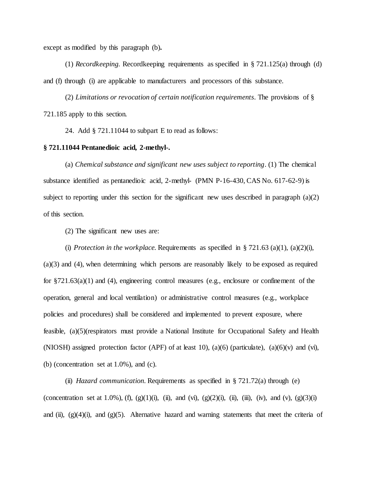except as modified by this paragraph (b)**.**

(1) *Recordkeeping.* Recordkeeping requirements as specified in § 721.125(a) through (d) and (f) through (i) are applicable to manufacturers and processors of this substance.

(2) *Limitations or revocation of certain notification requirements.* The provisions of § 721.185 apply to this section.

24. Add § 721.11044 to subpart E to read as follows:

### **§ 721.11044 Pentanedioic acid, 2-methyl-.**

(a) *Chemical substance and significant new uses subject to reporting*. (1) The chemical substance identified as pentanedioic acid, 2-methyl- (PMN P-16-430, CAS No. 617-62-9) is subject to reporting under this section for the significant new uses described in paragraph  $(a)(2)$ of this section.

(2) The significant new uses are:

(i) *Protection in the workplace*. Requirements as specified in § 721.63 (a)(1), (a)(2)(i), (a)(3) and (4), when determining which persons are reasonably likely to be exposed as required for §721.63(a)(1) and (4), engineering control measures (e.g., enclosure or confinement of the operation, general and local ventilation) or administrative control measures (e.g., workplace policies and procedures) shall be considered and implemented to prevent exposure, where feasible, (a)(5)(respirators must provide a National Institute for Occupational Safety and Health (NIOSH) assigned protection factor (APF) of at least 10), (a)(6) (particulate), (a)(6)(v) and (vi), (b) (concentration set at 1.0%), and (c).

(ii) *Hazard communication.* Requirements as specified in § 721.72(a) through (e) (concentration set at 1.0%), (f), (g)(1)(i), (ii), and (vi), (g)(2)(i), (ii), (iii), (iv), and (v), (g)(3)(i) and (ii),  $(g)(4)(i)$ , and  $(g)(5)$ . Alternative hazard and warning statements that meet the criteria of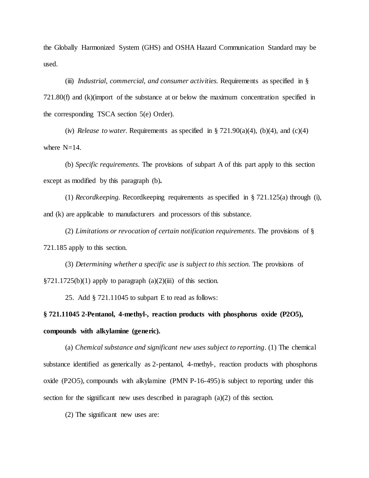the Globally Harmonized System (GHS) and OSHA Hazard Communication Standard may be used.

(iii) *Industrial, commercial, and consumer activities.* Requirements as specified in § 721.80(f) and (k)(import of the substance at or below the maximum concentration specified in the corresponding TSCA section 5(e) Order).

(iv) *Release to water.* Requirements as specified in  $\S 721.90(a)(4)$ , (b)(4), and (c)(4) where  $N=14$ .

(b) *Specific requirements.* The provisions of subpart A of this part apply to this section except as modified by this paragraph (b)**.**

(1) *Recordkeeping.* Recordkeeping requirements as specified in § 721.125(a) through (i), and (k) are applicable to manufacturers and processors of this substance.

(2) *Limitations or revocation of certain notification requirements.* The provisions of § 721.185 apply to this section.

(3) *Determining whether a specific use is subject to this section.* The provisions of  $\S 721.1725(b)(1)$  apply to paragraph  $(a)(2)(iii)$  of this section.

25. Add § 721.11045 to subpart E to read as follows:

**§ 721.11045 2-Pentanol, 4-methyl-, reaction products with phosphorus oxide (P2O5), compounds with alkylamine (generic).**

(a) *Chemical substance and significant new uses subject to reporting*. (1) The chemical substance identified as generically as 2-pentanol, 4-methyl-, reaction products with phosphorus oxide (P2O5), compounds with alkylamine (PMN P-16-495) is subject to reporting under this section for the significant new uses described in paragraph  $(a)(2)$  of this section.

(2) The significant new uses are: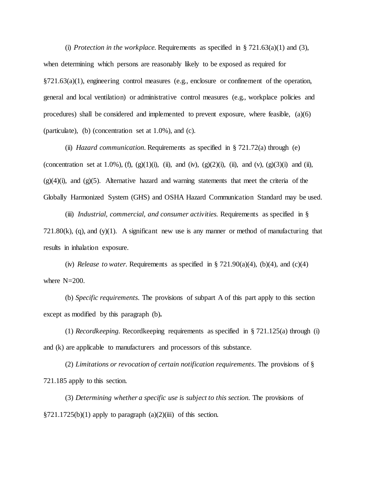(i) *Protection in the workplace.* Requirements as specified in  $\S 721.63(a)(1)$  and (3), when determining which persons are reasonably likely to be exposed as required for §721.63(a)(1), engineering control measures (e.g., enclosure or confinement of the operation, general and local ventilation) or administrative control measures (e.g., workplace policies and procedures) shall be considered and implemented to prevent exposure, where feasible, (a)(6) (particulate), (b) (concentration set at 1.0%), and (c).

(ii) *Hazard communication.* Requirements as specified in § 721.72(a) through (e) (concentration set at 1.0%), (f), (g)(1)(i), (ii), and (iv), (g)(2)(i), (ii), and (v), (g)(3)(i) and (ii),  $(g)(4)(i)$ , and  $(g)(5)$ . Alternative hazard and warning statements that meet the criteria of the Globally Harmonized System (GHS) and OSHA Hazard Communication Standard may be used.

(iii) *Industrial, commercial, and consumer activities.* Requirements as specified in §  $721.80(k)$ , (q), and (y)(1). A significant new use is any manner or method of manufacturing that results in inhalation exposure.

(iv) *Release to water.* Requirements as specified in  $\S 721.90(a)(4)$ , (b)(4), and (c)(4) where N=200.

(b) *Specific requirements.* The provisions of subpart A of this part apply to this section except as modified by this paragraph (b)**.**

(1) *Recordkeeping.* Recordkeeping requirements as specified in § 721.125(a) through (i) and (k) are applicable to manufacturers and processors of this substance.

(2) *Limitations or revocation of certain notification requirements.* The provisions of § 721.185 apply to this section.

(3) *Determining whether a specific use is subject to this section.* The provisions of  $\S721.1725(b)(1)$  apply to paragraph (a)(2)(iii) of this section.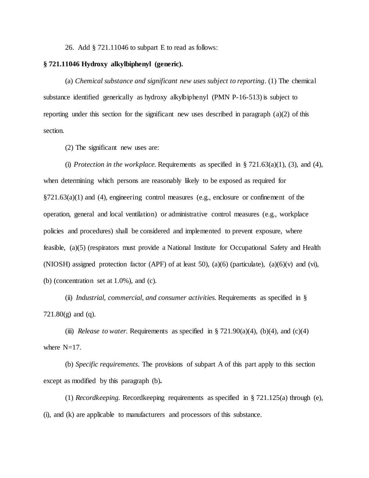26. Add § 721.11046 to subpart E to read as follows:

### **§ 721.11046 Hydroxy alkylbiphenyl (generic).**

(a) *Chemical substance and significant new uses subject to reporting*. (1) The chemical substance identified generically as hydroxy alkylbiphenyl (PMN P-16-513) is subject to reporting under this section for the significant new uses described in paragraph (a)(2) of this section.

(2) The significant new uses are:

(i) *Protection in the workplace.* Requirements as specified in  $\S 721.63(a)(1)$ , (3), and (4), when determining which persons are reasonably likely to be exposed as required for  $\S721.63(a)(1)$  and (4), engineering control measures (e.g., enclosure or confinement of the operation, general and local ventilation) or administrative control measures (e.g., workplace policies and procedures) shall be considered and implemented to prevent exposure, where feasible, (a)(5) (respirators must provide a National Institute for Occupational Safety and Health (NIOSH) assigned protection factor (APF) of at least 50), (a)(6) (particulate), (a)(6)(v) and (vi), (b) (concentration set at 1.0%), and (c).

(ii) *Industrial, commercial, and consumer activities.* Requirements as specified in § 721.80(g) and (q).

(iii) *Release to water.* Requirements as specified in  $\S 721.90(a)(4)$ , (b)(4), and (c)(4) where  $N=17$ .

(b) *Specific requirements.* The provisions of subpart A of this part apply to this section except as modified by this paragraph (b)**.**

(1) *Recordkeeping.* Recordkeeping requirements as specified in § 721.125(a) through (e), (i), and (k) are applicable to manufacturers and processors of this substance.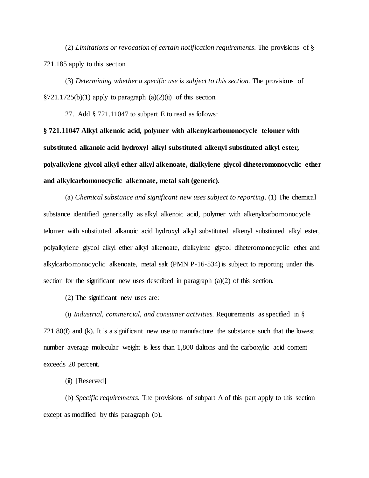(2) *Limitations or revocation of certain notification requirements.* The provisions of § 721.185 apply to this section.

(3) *Determining whether a specific use is subject to this section.* The provisions of  $\S 721.1725(b)(1)$  apply to paragraph (a)(2)(ii) of this section.

27. Add § 721.11047 to subpart E to read as follows:

**§ 721.11047 Alkyl alkenoic acid, polymer with alkenylcarbomonocycle telomer with substituted alkanoic acid hydroxyl alkyl substituted alkenyl substituted alkyl ester, polyalkylene glycol alkyl ether alkyl alkenoate, dialkylene glycol diheteromonocyclic ether and alkylcarbomonocyclic alkenoate, metal salt (generic).**

(a) *Chemical substance and significant new uses subject to reporting*. (1) The chemical substance identified generically as alkyl alkenoic acid, polymer with alkenylcarbomonocycle telomer with substituted alkanoic acid hydroxyl alkyl substituted alkenyl substituted alkyl ester, polyalkylene glycol alkyl ether alkyl alkenoate, dialkylene glycol diheteromonocyclic ether and alkylcarbomonocyclic alkenoate, metal salt (PMN P-16-534) is subject to reporting under this section for the significant new uses described in paragraph (a)(2) of this section.

(2) The significant new uses are:

(i) *Industrial, commercial, and consumer activities.* Requirements as specified in § 721.80(f) and (k). It is a significant new use to manufacture the substance such that the lowest number average molecular weight is less than 1,800 daltons and the carboxylic acid content exceeds 20 percent.

(ii) [Reserved]

(b) *Specific requirements.* The provisions of subpart A of this part apply to this section except as modified by this paragraph (b)**.**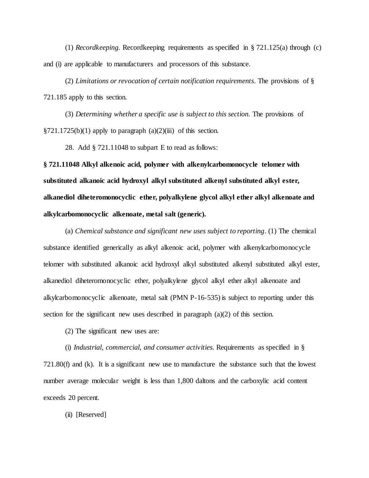(1) *Recordkeeping.* Recordkeeping requirements as specified in § 721.125(a) through (c) and (i) are applicable to manufacturers and processors of this substance.

(2) *Limitations or revocation of certain notification requirements.* The provisions of § 721.185 apply to this section.

(3) *Determining whether a specific use is subject to this section.* The provisions of  $\S 721.1725(b)(1)$  apply to paragraph  $(a)(2)(iii)$  of this section.

28. Add § 721.11048 to subpart E to read as follows:

**§ 721.11048 Alkyl alkenoic acid, polymer with alkenylcarbomonocycle telomer with substituted alkanoic acid hydroxyl alkyl substituted alkenyl substituted alkyl ester, alkanediol diheteromonocyclic ether, polyalkylene glycol alkyl ether alkyl alkenoate and alkylcarbomonocyclic alkenoate, metal salt (generic).**

(a) *Chemical substance and significant new uses subject to reporting*. (1) The chemical substance identified generically as alkyl alkenoic acid, polymer with alkenylcarbomonocycle telomer with substituted alkanoic acid hydroxyl alkyl substituted alkenyl substituted alkyl ester, alkanediol diheteromonocyclic ether, polyalkylene glycol alkyl ether alkyl alkenoate and alkylcarbomonocyclic alkenoate, metal salt (PMN P-16-535) is subject to reporting under this section for the significant new uses described in paragraph (a)(2) of this section.

(2) The significant new uses are:

(i) *Industrial, commercial, and consumer activities.* Requirements as specified in § 721.80(f) and (k). It is a significant new use to manufacture the substance such that the lowest number average molecular weight is less than 1,800 daltons and the carboxylic acid content exceeds 20 percent.

(ii) [Reserved]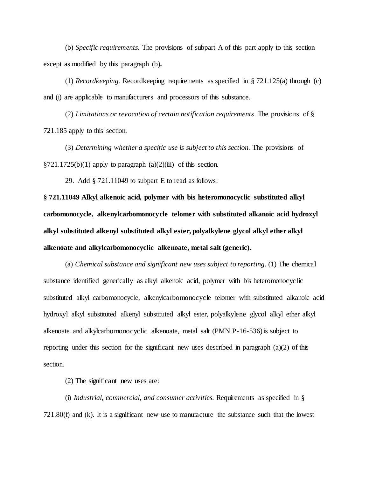(b) *Specific requirements.* The provisions of subpart A of this part apply to this section except as modified by this paragraph (b)**.**

(1) *Recordkeeping.* Recordkeeping requirements as specified in § 721.125(a) through (c) and (i) are applicable to manufacturers and processors of this substance.

(2) *Limitations or revocation of certain notification requirements.* The provisions of § 721.185 apply to this section.

(3) *Determining whether a specific use is subject to this section.* The provisions of  $\S 721.1725(b)(1)$  apply to paragraph  $(a)(2)(iii)$  of this section.

29. Add § 721.11049 to subpart E to read as follows:

**§ 721.11049 Alkyl alkenoic acid, polymer with bis heteromonocyclic substituted alkyl carbomonocycle, alkenylcarbomonocycle telomer with substituted alkanoic acid hydroxyl alkyl substituted alkenyl substituted alkyl ester, polyalkylene glycol alkyl ether alkyl alkenoate and alkylcarbomonocyclic alkenoate, metal salt (generic).**

(a) *Chemical substance and significant new uses subject to reporting*. (1) The chemical substance identified generically as alkyl alkenoic acid, polymer with bis heteromonocyclic substituted alkyl carbomonocycle, alkenylcarbomonocycle telomer with substituted alkanoic acid hydroxyl alkyl substituted alkenyl substituted alkyl ester, polyalkylene glycol alkyl ether alkyl alkenoate and alkylcarbomonocyclic alkenoate, metal salt (PMN P-16-536) is subject to reporting under this section for the significant new uses described in paragraph (a)(2) of this section.

(2) The significant new uses are:

(i) *Industrial, commercial, and consumer activities.* Requirements as specified in § 721.80(f) and (k). It is a significant new use to manufacture the substance such that the lowest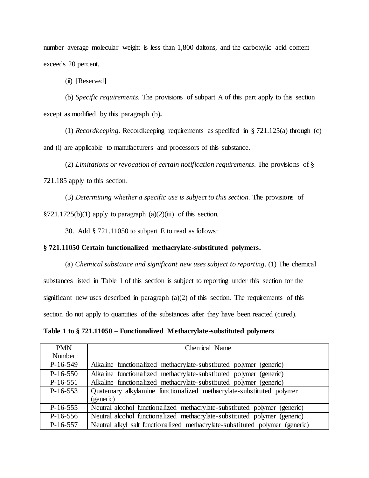number average molecular weight is less than 1,800 daltons, and the carboxylic acid content exceeds 20 percent.

(ii) [Reserved]

(b) *Specific requirements.* The provisions of subpart A of this part apply to this section except as modified by this paragraph (b)**.**

(1) *Recordkeeping.* Recordkeeping requirements as specified in § 721.125(a) through (c) and (i) are applicable to manufacturers and processors of this substance.

(2) *Limitations or revocation of certain notification requirements.* The provisions of § 721.185 apply to this section.

(3) *Determining whether a specific use is subject to this section.* The provisions of  $\S 721.1725(b)(1)$  apply to paragraph (a)(2)(iii) of this section.

30. Add § 721.11050 to subpart E to read as follows:

# **§ 721.11050 Certain functionalized methacrylate-substituted polymers.**

(a) *Chemical substance and significant new uses subject to reporting*. (1) The chemical substances listed in Table 1 of this section is subject to reporting under this section for the significant new uses described in paragraph  $(a)(2)$  of this section. The requirements of this section do not apply to quantities of the substances after they have been reacted (cured).

**Table 1 to § 721.11050 – Functionalized Methacrylate-substituted polymers**

| <b>PMN</b> | Chemical Name                                                                |
|------------|------------------------------------------------------------------------------|
| Number     |                                                                              |
| $P-16-549$ | Alkaline functionalized methacrylate-substituted polymer (generic)           |
| $P-16-550$ | Alkaline functionalized methacrylate-substituted polymer (generic)           |
| $P-16-551$ | Alkaline functionalized methacrylate-substituted polymer (generic)           |
| $P-16-553$ | Quaternary alkylamine functionalized methacrylate-substituted polymer        |
|            | (generic)                                                                    |
| $P-16-555$ | Neutral alcohol functionalized methacrylate-substituted polymer (generic)    |
| $P-16-556$ | Neutral alcohol functionalized methacrylate-substituted polymer (generic)    |
| $P-16-557$ | Neutral alkyl salt functionalized methacrylate-substituted polymer (generic) |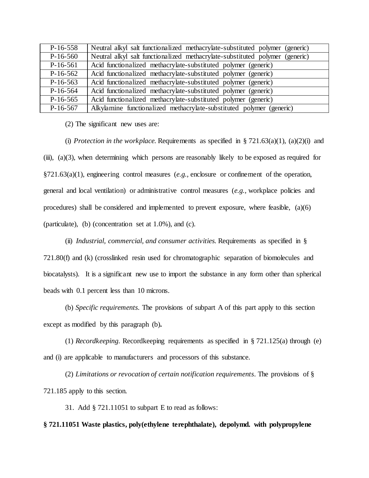| $P-16-558$ | Neutral alkyl salt functionalized methacrylate-substituted polymer (generic) |
|------------|------------------------------------------------------------------------------|
| $P-16-560$ | Neutral alkyl salt functionalized methacrylate-substituted polymer (generic) |
| $P-16-561$ | Acid functionalized methacrylate-substituted polymer (generic)               |
| $P-16-562$ | Acid functionalized methacrylate-substituted polymer (generic)               |
| $P-16-563$ | Acid functionalized methacrylate-substituted polymer (generic)               |
| $P-16-564$ | Acid functionalized methacrylate-substituted polymer (generic)               |
| $P-16-565$ | Acid functionalized methacrylate-substituted polymer (generic)               |
| $P-16-567$ | Alkylamine functionalized methacrylate-substituted polymer (generic)         |

(2) The significant new uses are:

(i) *Protection in the workplace*. Requirements as specified in  $\S 721.63(a)(1)$ , (a)(2)(i) and  $(iii)$ ,  $(a)(3)$ , when determining which persons are reasonably likely to be exposed as required for §721.63(a)(1), engineering control measures (*e.g.,* enclosure or confinement of the operation, general and local ventilation) or administrative control measures (*e.g.,* workplace policies and procedures) shall be considered and implemented to prevent exposure, where feasible, (a)(6) (particulate), (b) (concentration set at 1.0%), and (c).

(ii) *Industrial, commercial, and consumer activities.* Requirements as specified in § 721.80(f) and (k) (crosslinked resin used for chromatographic separation of biomolecules and biocatalysts). It is a significant new use to import the substance in any form other than spherical beads with 0.1 percent less than 10 microns.

(b) *Specific requirements.* The provisions of subpart A of this part apply to this section except as modified by this paragraph (b)**.**

(1) *Recordkeeping.* Recordkeeping requirements as specified in § 721.125(a) through (e) and (i) are applicable to manufacturers and processors of this substance.

(2) *Limitations or revocation of certain notification requirements.* The provisions of § 721.185 apply to this section.

31. Add § 721.11051 to subpart E to read as follows:

# **§ 721.11051 Waste plastics, poly(ethylene terephthalate), depolymd. with polypropylene**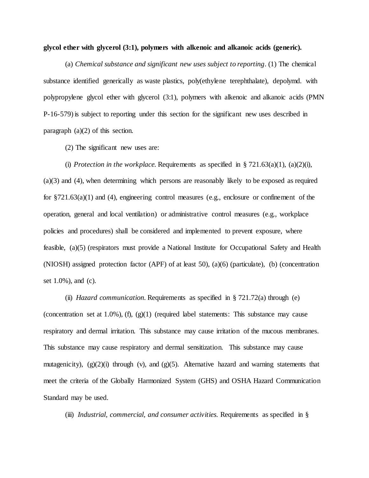#### **glycol ether with glycerol (3:1), polymers with alkenoic and alkanoic acids (generic).**

(a) *Chemical substance and significant new uses subject to reporting*. (1) The chemical substance identified generically as waste plastics, poly(ethylene terephthalate), depolymd. with polypropylene glycol ether with glycerol (3:1), polymers with alkenoic and alkanoic acids (PMN P-16-579) is subject to reporting under this section for the significant new uses described in paragraph (a)(2) of this section.

(2) The significant new uses are:

(i) *Protection in the workplace*. Requirements as specified in  $\S 721.63(a)(1)$ , (a)(2)(i), (a)(3) and (4), when determining which persons are reasonably likely to be exposed as required for  $\S721.63(a)(1)$  and (4), engineering control measures (e.g., enclosure or confinement of the operation, general and local ventilation) or administrative control measures (e.g., workplace policies and procedures) shall be considered and implemented to prevent exposure, where feasible, (a)(5) (respirators must provide a National Institute for Occupational Safety and Health (NIOSH) assigned protection factor (APF) of at least 50), (a)(6) (particulate), (b) (concentration set 1.0%), and (c).

(ii) *Hazard communication.* Requirements as specified in § 721.72(a) through (e) (concentration set at  $1.0\%$ ), (f), (g) $(1)$  (required label statements: This substance may cause respiratory and dermal irritation. This substance may cause irritation of the mucous membranes. This substance may cause respiratory and dermal sensitization. This substance may cause mutagenicity),  $(g)(2)(i)$  through  $(v)$ , and  $(g)(5)$ . Alternative hazard and warning statements that meet the criteria of the Globally Harmonized System (GHS) and OSHA Hazard Communication Standard may be used.

(iii) *Industrial, commercial, and consumer activities.* Requirements as specified in §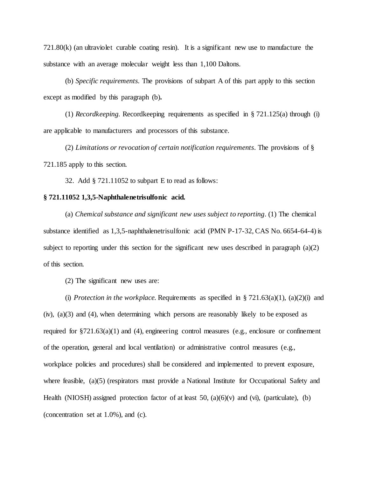721.80(k) (an ultraviolet curable coating resin). It is a significant new use to manufacture the substance with an average molecular weight less than 1,100 Daltons.

(b) *Specific requirements.* The provisions of subpart A of this part apply to this section except as modified by this paragraph (b)**.**

(1) *Recordkeeping.* Recordkeeping requirements as specified in § 721.125(a) through (i) are applicable to manufacturers and processors of this substance.

(2) *Limitations or revocation of certain notification requirements.* The provisions of § 721.185 apply to this section.

32. Add § 721.11052 to subpart E to read as follows:

# **§ 721.11052 1,3,5-Naphthalenetrisulfonic acid.**

(a) *Chemical substance and significant new uses subject to reporting*. (1) The chemical substance identified as 1,3,5-naphthalenetrisulfonic acid (PMN P-17-32, CAS No. 6654-64-4) is subject to reporting under this section for the significant new uses described in paragraph  $(a)(2)$ of this section.

(2) The significant new uses are:

(i) *Protection in the workplace*. Requirements as specified in  $\S 721.63(a)(1)$ , (a)(2)(i) and  $(iv)$ ,  $(a)(3)$  and  $(4)$ , when determining which persons are reasonably likely to be exposed as required for  $\S721.63(a)(1)$  and (4), engineering control measures (e.g., enclosure or confinement of the operation, general and local ventilation) or administrative control measures (e.g., workplace policies and procedures) shall be considered and implemented to prevent exposure, where feasible, (a)(5) (respirators must provide a National Institute for Occupational Safety and Health (NIOSH) assigned protection factor of at least  $50$ ,  $(a)(6)(v)$  and (vi), (particulate), (b) (concentration set at 1.0%), and (c).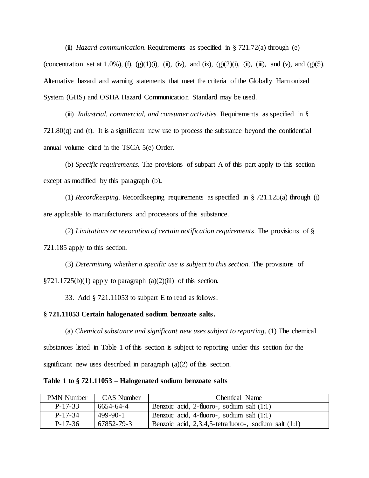(ii) *Hazard communication.* Requirements as specified in § 721.72(a) through (e) (concentration set at 1.0%), (f), (g)(1)(i), (ii), (iv), and (ix), (g)(2)(i), (ii), (iii), and (v), and (g)(5). Alternative hazard and warning statements that meet the criteria of the Globally Harmonized System (GHS) and OSHA Hazard Communication Standard may be used.

(iii) *Industrial, commercial, and consumer activities.* Requirements as specified in §  $721.80(q)$  and (t). It is a significant new use to process the substance beyond the confidential annual volume cited in the TSCA 5(e) Order.

(b) *Specific requirements.* The provisions of subpart A of this part apply to this section except as modified by this paragraph (b)**.**

(1) *Recordkeeping.* Recordkeeping requirements as specified in § 721.125(a) through (i) are applicable to manufacturers and processors of this substance.

(2) *Limitations or revocation of certain notification requirements.* The provisions of § 721.185 apply to this section.

(3) *Determining whether a specific use is subject to this section.* The provisions of  $\S 721.1725(b)(1)$  apply to paragraph  $(a)(2)(iii)$  of this section.

33. Add § 721.11053 to subpart E to read as follows:

### **§ 721.11053 Certain halogenated sodium benzoate salts.**

(a) *Chemical substance and significant new uses subject to reporting*. (1) The chemical substances listed in Table 1 of this section is subject to reporting under this section for the significant new uses described in paragraph (a)(2) of this section.

**Table 1 to § 721.11053 – Halogenated sodium benzoate salts**

| <b>PMN</b> Number | <b>CAS</b> Number | Chemical Name                                              |
|-------------------|-------------------|------------------------------------------------------------|
| $P-17-33$         | 6654-64-4         | Benzoic acid, 2-fluoro-, sodium salt $(1:1)$               |
| $P-17-34$         | $499-90-1$        | Benzoic acid, 4-fluoro-, sodium salt (1:1)                 |
| $P-17-36$         | 67852-79-3        | Benzoic acid, $2,3,4,5$ -tetrafluoro-, sodium salt $(1:1)$ |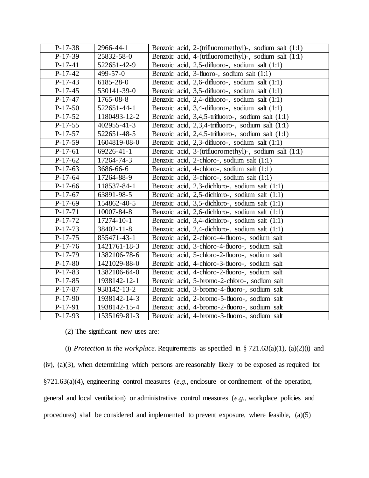| $P-17-38$ | 2966-44-1    | Benzoic acid, 2-(trifluoromethyl)-, sodium salt (1:1)   |
|-----------|--------------|---------------------------------------------------------|
| $P-17-39$ | 25832-58-0   | Benzoic acid, 4-(trifluoromethyl)-, sodium salt $(1:1)$ |
| $P-17-41$ | 522651-42-9  | Benzoic acid, 2,5-difluoro-, sodium salt (1:1)          |
| $P-17-42$ | 499-57-0     | Benzoic acid, 3-fluoro-, sodium salt (1:1)              |
| $P-17-43$ | 6185-28-0    | Benzoic acid, 2,6-difluoro-, sodium salt (1:1)          |
| $P-17-45$ | 530141-39-0  | Benzoic acid, 3,5-difluoro-, sodium salt (1:1)          |
| $P-17-47$ | 1765-08-8    | Benzoic acid, 2,4-difluoro-, sodium salt (1:1)          |
| $P-17-50$ | 522651-44-1  | Benzoic acid, 3,4-difluoro-, sodium salt (1:1)          |
| $P-17-52$ | 1180493-12-2 | Benzoic acid, 3,4,5-trifluoro-, sodium salt (1:1)       |
| $P-17-55$ | 402955-41-3  | Benzoic acid, 2,3,4-trifluoro-, sodium salt (1:1)       |
| $P-17-57$ | 522651-48-5  | Benzoic acid, 2,4,5-trifluoro-, sodium salt (1:1)       |
| $P-17-59$ | 1604819-08-0 | Benzoic acid, 2,3-difluoro-, sodium salt (1:1)          |
| $P-17-61$ | 69226-41-1   | Benzoic acid, 3-(trifluoromethyl)-, sodium salt $(1:1)$ |
| $P-17-62$ | 17264-74-3   | Benzoic acid, 2-chloro-, sodium salt (1:1)              |
| $P-17-63$ | 3686-66-6    | Benzoic acid, 4-chloro-, sodium salt (1:1)              |
| $P-17-64$ | 17264-88-9   | Benzoic acid, 3-chloro-, sodium salt (1:1)              |
| $P-17-66$ | 118537-84-1  | Benzoic acid, 2,3-dichloro-, sodium salt (1:1)          |
| $P-17-67$ | 63891-98-5   | Benzoic acid, 2,5-dichloro-, sodium salt (1:1)          |
| $P-17-69$ | 154862-40-5  | Benzoic acid, 3,5-dichloro-, sodium salt (1:1)          |
| $P-17-71$ | 10007-84-8   | Benzoic acid, 2,6-dichloro-, sodium salt (1:1)          |
| $P-17-72$ | 17274-10-1   | Benzoic acid, 3,4-dichloro-, sodium salt (1:1)          |
| $P-17-73$ | 38402-11-8   | Benzoic acid, 2,4-dichloro-, sodium salt (1:1)          |
| $P-17-75$ | 855471-43-1  | Benzoic acid, 2-chloro-4-fluoro-, sodium salt           |
| $P-17-76$ | 1421761-18-3 | Benzoic acid, 3-chloro-4-fluoro-, sodium salt           |
| $P-17-79$ | 1382106-78-6 | Benzoic acid, 5-chloro-2-fluoro-, sodium salt           |
| $P-17-80$ | 1421029-88-0 | Benzoic acid, 4-chloro-3-fluoro-, sodium salt           |
| $P-17-83$ | 1382106-64-0 | Benzoic acid, 4-chloro-2-fluoro-, sodium salt           |
| $P-17-85$ | 1938142-12-1 | Benzoic acid, 5-bromo-2-chloro-, sodium salt            |
| $P-17-87$ | 938142-13-2  | Benzoic acid, 3-bromo-4-fluoro-, sodium salt            |
| $P-17-90$ | 1938142-14-3 | Benzoic acid, 2-bromo-5-fluoro-, sodium salt            |
| $P-17-91$ | 1938142-15-4 | Benzoic acid, 4-bromo-2-fluoro-, sodium salt            |
| $P-17-93$ | 1535169-81-3 | Benzoic acid, 4-bromo-3-fluoro-, sodium salt            |

(2) The significant new uses are:

(i) *Protection in the workplace*. Requirements as specified in  $\S 721.63(a)(1)$ ,  $(a)(2)(i)$  and (iv), (a)(3), when determining which persons are reasonably likely to be exposed as required for §721.63(a)(4), engineering control measures (*e.g.,* enclosure or confinement of the operation, general and local ventilation) or administrative control measures (*e.g.,* workplace policies and procedures) shall be considered and implemented to prevent exposure, where feasible,  $(a)(5)$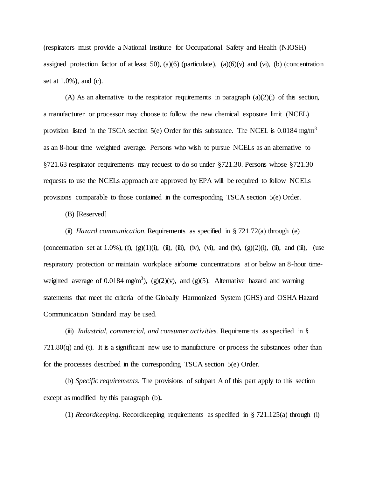(respirators must provide a National Institute for Occupational Safety and Health (NIOSH) assigned protection factor of at least 50), (a)(6) (particulate), (a)(6)(v) and (vi), (b) (concentration set at 1.0%), and (c).

(A) As an alternative to the respirator requirements in paragraph  $(a)(2)(i)$  of this section, a manufacturer or processor may choose to follow the new chemical exposure limit (NCEL) provision listed in the TSCA section 5(e) Order for this substance. The NCEL is 0.0184 mg/m<sup>3</sup> as an 8-hour time weighted average. Persons who wish to pursue NCELs as an alternative to §721.63 respirator requirements may request to do so under §721.30. Persons whose §721.30 requests to use the NCELs approach are approved by EPA will be required to follow NCELs provisions comparable to those contained in the corresponding TSCA section 5(e) Order.

(B) [Reserved]

(ii) *Hazard communication.* Requirements as specified in § 721.72(a) through (e) (concentration set at 1.0%), (f), (g)(1)(i), (ii), (iii), (iv), (vi), and (ix), (g)(2)(i), (ii), and (iii), (use respiratory protection or maintain workplace airborne concentrations at or below an 8-hour timeweighted average of 0.0184 mg/m<sup>3</sup>), (g)(2)(v), and (g)(5). Alternative hazard and warning statements that meet the criteria of the Globally Harmonized System (GHS) and OSHA Hazard Communication Standard may be used.

(iii) *Industrial, commercial, and consumer activities.* Requirements as specified in §  $721.80(q)$  and (t). It is a significant new use to manufacture or process the substances other than for the processes described in the corresponding TSCA section 5(e) Order.

(b) *Specific requirements.* The provisions of subpart A of this part apply to this section except as modified by this paragraph (b)**.**

(1) *Recordkeeping.* Recordkeeping requirements as specified in § 721.125(a) through (i)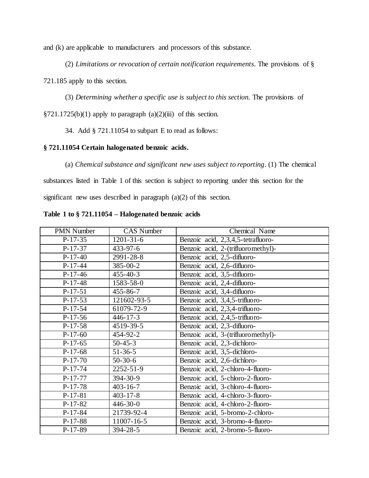and (k) are applicable to manufacturers and processors of this substance.

(2) *Limitations or revocation of certain notification requirements.* The provisions of §

721.185 apply to this section.

(3) *Determining whether a specific use is subject to this section.* The provisions of

 $\S 721.1725(b)(1)$  apply to paragraph (a)(2)(iii) of this section.

34. Add § 721.11054 to subpart E to read as follows:

# **§ 721.11054 Certain halogenated benzoic acids.**

(a) *Chemical substance and significant new uses subject to reporting*. (1) The chemical

substances listed in Table 1 of this section is subject to reporting under this section for the significant new uses described in paragraph (a)(2) of this section.

| <b>PMN Number</b> | <b>CAS Number</b> | Chemical Name                      |
|-------------------|-------------------|------------------------------------|
| $P-17-35$         | $1201 - 31 - 6$   | Benzoic acid, 2,3,4,5-tetrafluoro- |
| $P-17-37$         | $433 - 97 - 6$    | Benzoic acid, 2-(trifluoromethyl)- |
| $P-17-40$         | 2991-28-8         | Benzoic acid, 2,5-difluoro-        |
| $P-17-44$         | 385-00-2          | Benzoic acid, 2,6-difluoro-        |
| $P-17-46$         | $455 - 40 - 3$    | Benzoic acid, 3,5-difluoro-        |
| $P-17-48$         | 1583-58-0         | Benzoic acid, 2,4-difluoro-        |
| $P-17-51$         | $455 - 86 - 7$    | Benzoic acid, 3,4-difluoro-        |
| $P-17-53$         | 121602-93-5       | Benzoic acid, 3,4,5-trifluoro-     |
| $P-17-54$         | 61079-72-9        | Benzoic acid, 2,3,4-trifluoro-     |
| $P-17-56$         | $446 - 17 - 3$    | Benzoic acid, 2,4,5-trifluoro-     |
| $P-17-58$         | 4519-39-5         | Benzoic acid, 2,3-difluoro-        |
| $P-17-60$         | 454-92-2          | Benzoic acid, 3-(trifluoromethyl)- |
| $P-17-65$         | $50 - 45 - 3$     | Benzoic acid, 2,3-dichloro-        |
| $P-17-68$         | $51 - 36 - 5$     | Benzoic acid, 3,5-dichloro-        |
| $P-17-70$         | $50-30-6$         | Benzoic acid, 2,6-dichloro-        |
| $P-17-74$         | 2252-51-9         | Benzoic acid, 2-chloro-4-fluoro-   |
| $P-17-77$         | 394-30-9          | Benzoic acid, 5-chloro-2-fluoro-   |
| $P-17-78$         | $403 - 16 - 7$    | Benzoic acid, 3-chloro-4-fluoro-   |
| $P-17-81$         | $403 - 17 - 8$    | Benzoic acid, 4-chloro-3-fluoro-   |
| $P-17-82$         | $446 - 30 - 0$    | Benzoic acid, 4-chloro-2-fluoro-   |
| $P-17-84$         | 21739-92-4        | Benzoic acid, 5-bromo-2-chloro-    |
| $P-17-88$         | 11007-16-5        | Benzoic acid, 3-bromo-4-fluoro-    |
| $P-17-89$         | 394-28-5          | Benzoic acid, 2-bromo-5-fluoro-    |

**Table 1 to § 721.11054 – Halogenated benzoic acids**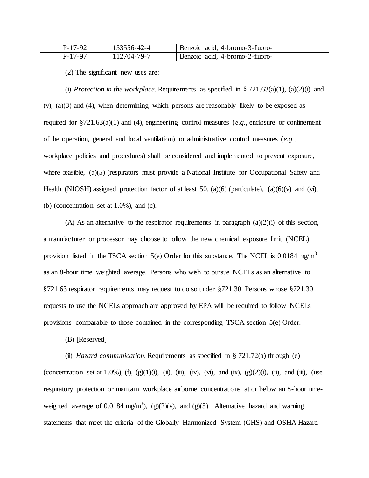| $P-17-92$ | 153556-42-4 | Benzoic acid, 4-bromo-3-fluoro- |
|-----------|-------------|---------------------------------|
| P-17-97   | 112704-79-7 | Benzoic acid. 4-bromo-2-fluoro- |

(2) The significant new uses are:

(i) *Protection in the workplace*. Requirements as specified in  $\S 721.63(a)(1)$ , (a)(2)(i) and (v), (a)(3) and (4), when determining which persons are reasonably likely to be exposed as required for §721.63(a)(1) and (4), engineering control measures (*e.g.,* enclosure or confinement of the operation, general and local ventilation) or administrative control measures (*e.g.,* workplace policies and procedures) shall be considered and implemented to prevent exposure, where feasible, (a)(5) (respirators must provide a National Institute for Occupational Safety and Health (NIOSH) assigned protection factor of at least 50, (a)(6) (particulate), (a)(6)(v) and (vi), (b) (concentration set at 1.0%), and (c).

(A) As an alternative to the respirator requirements in paragraph  $(a)(2)(i)$  of this section, a manufacturer or processor may choose to follow the new chemical exposure limit (NCEL) provision listed in the TSCA section 5(e) Order for this substance. The NCEL is 0.0184 mg/m<sup>3</sup> as an 8-hour time weighted average. Persons who wish to pursue NCELs as an alternative to §721.63 respirator requirements may request to do so under §721.30. Persons whose §721.30 requests to use the NCELs approach are approved by EPA will be required to follow NCELs provisions comparable to those contained in the corresponding TSCA section 5(e) Order.

(B) [Reserved]

(ii) *Hazard communication.* Requirements as specified in § 721.72(a) through (e)

(concentration set at 1.0%), (f), (g)(1)(i), (ii), (iii), (iv), (vi), and (ix), (g)(2)(i), (ii), and (iii), (use respiratory protection or maintain workplace airborne concentrations at or below an 8-hour timeweighted average of 0.0184 mg/m<sup>3</sup>), (g)(2)(v), and (g)(5). Alternative hazard and warning statements that meet the criteria of the Globally Harmonized System (GHS) and OSHA Hazard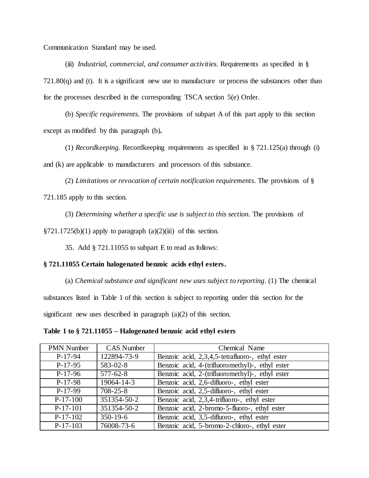Communication Standard may be used.

(iii) *Industrial, commercial, and consumer activities.* Requirements as specified in §  $721.80(q)$  and (t). It is a significant new use to manufacture or process the substances other than for the processes described in the corresponding TSCA section 5(e) Order.

(b) *Specific requirements.* The provisions of subpart A of this part apply to this section except as modified by this paragraph (b)**.**

(1) *Recordkeeping.* Recordkeeping requirements as specified in § 721.125(a) through (i) and (k) are applicable to manufacturers and processors of this substance.

(2) *Limitations or revocation of certain notification requirements.* The provisions of § 721.185 apply to this section.

(3) *Determining whether a specific use is subject to this section.* The provisions of

 $\S 721.1725(b)(1)$  apply to paragraph (a)(2)(iii) of this section.

35. Add § 721.11055 to subpart E to read as follows:

### **§ 721.11055 Certain halogenated benzoic acids ethyl esters.**

(a) *Chemical substance and significant new uses subject to reporting*. (1) The chemical substances listed in Table 1 of this section is subject to reporting under this section for the significant new uses described in paragraph (a)(2) of this section.

**Table 1 to § 721.11055 – Halogenated benzoic acid ethyl esters**

| <b>PMN Number</b> | <b>CAS</b> Number | Chemical Name                                   |
|-------------------|-------------------|-------------------------------------------------|
| $P-17-94$         | 122894-73-9       | Benzoic acid, 2,3,4,5-tetrafluoro-, ethyl ester |
| $P-17-95$         | $583 - 02 - 8$    | Benzoic acid, 4-(trifluoromethyl)-, ethyl ester |
| $P-17-96$         | $577 - 62 - 8$    | Benzoic acid, 2-(trifluoromethyl)-, ethyl ester |
| $P-17-98$         | 19064-14-3        | Benzoic acid, 2,6-difluoro-, ethyl ester        |
| $P-17-99$         | $708 - 25 - 8$    | Benzoic acid, 2,5-difluoro-, ethyl ester        |
| $P-17-100$        | 351354-50-2       | Benzoic acid, 2,3,4-trifluoro-, ethyl ester     |
| $P-17-101$        | 351354-50-2       | Benzoic acid, 2-bromo-5-fluoro-, ethyl ester    |
| $P-17-102$        | $350 - 19 - 6$    | Benzoic acid, 3,5-difluoro-, ethyl ester        |
| $P-17-103$        | 76008-73-6        | Benzoic acid, 5-bromo-2-chloro-, ethyl ester    |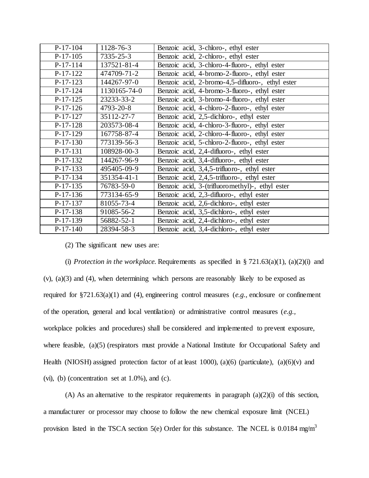| $P-17-104$ | 1128-76-3       | Benzoic acid, 3-chloro-, ethyl ester             |
|------------|-----------------|--------------------------------------------------|
| $P-17-105$ | $7335 - 25 - 3$ | Benzoic acid, 2-chloro-, ethyl ester             |
| $P-17-114$ | 137521-81-4     | Benzoic acid, 3-chloro-4-fluoro-, ethyl ester    |
| $P-17-122$ | 474709-71-2     | Benzoic acid, 4-bromo-2-fluoro-, ethyl ester     |
| $P-17-123$ | 144267-97-0     | Benzoic acid, 2-bromo-4,5-difluoro-, ethyl ester |
| $P-17-124$ | 1130165-74-0    | Benzoic acid, 4-bromo-3-fluoro-, ethyl ester     |
| $P-17-125$ | 23233-33-2      | Benzoic acid, 3-bromo-4-fluoro-, ethyl ester     |
| $P-17-126$ | 4793-20-8       | Benzoic acid, 4-chloro-2-fluoro-, ethyl ester    |
| $P-17-127$ | 35112-27-7      | Benzoic acid, 2,5-dichloro-, ethyl ester         |
| $P-17-128$ | 203573-08-4     | Benzoic acid, 4-chloro-3-fluoro-, ethyl ester    |
| $P-17-129$ | 167758-87-4     | Benzoic acid, 2-chloro-4-fluoro-, ethyl ester    |
| $P-17-130$ | 773139-56-3     | Benzoic acid, 5-chloro-2-fluoro-, ethyl ester    |
| $P-17-131$ | 108928-00-3     | Benzoic acid, 2,4-difluoro-, ethyl ester         |
| $P-17-132$ | 144267-96-9     | Benzoic acid, 3,4-difluoro-, ethyl ester         |
| $P-17-133$ | 495405-09-9     | Benzoic acid, 3,4,5-trifluoro-, ethyl ester      |
| $P-17-134$ | 351354-41-1     | Benzoic acid, 2,4,5-trifluoro-, ethyl ester      |
| $P-17-135$ | 76783-59-0      | Benzoic acid, 3-(trifluoromethyl)-, ethyl ester  |
| $P-17-136$ | 773134-65-9     | Benzoic acid, 2,3-difluoro-, ethyl ester         |
| $P-17-137$ | 81055-73-4      | Benzoic acid, 2,6-dichloro-, ethyl ester         |
| $P-17-138$ | 91085-56-2      | Benzoic acid, 3,5-dichloro-, ethyl ester         |
| $P-17-139$ | 56882-52-1      | Benzoic acid, 2,4-dichloro-, ethyl ester         |
| $P-17-140$ | 28394-58-3      | Benzoic acid, 3,4-dichloro-, ethyl ester         |

(2) The significant new uses are:

(i) *Protection in the workplace*. Requirements as specified in  $\S 721.63(a)(1)$ ,  $(a)(2)(i)$  and (v), (a)(3) and (4), when determining which persons are reasonably likely to be exposed as required for §721.63(a)(1) and (4), engineering control measures (*e.g.,* enclosure or confinement of the operation, general and local ventilation) or administrative control measures (*e.g.,* workplace policies and procedures) shall be considered and implemented to prevent exposure, where feasible, (a)(5) (respirators must provide a National Institute for Occupational Safety and Health (NIOSH) assigned protection factor of at least 1000), (a)(6) (particulate), (a)(6)(v) and (vi), (b) (concentration set at  $1.0\%$ ), and (c).

(A) As an alternative to the respirator requirements in paragraph  $(a)(2)(i)$  of this section, a manufacturer or processor may choose to follow the new chemical exposure limit (NCEL) provision listed in the TSCA section 5(e) Order for this substance. The NCEL is 0.0184 mg/m<sup>3</sup>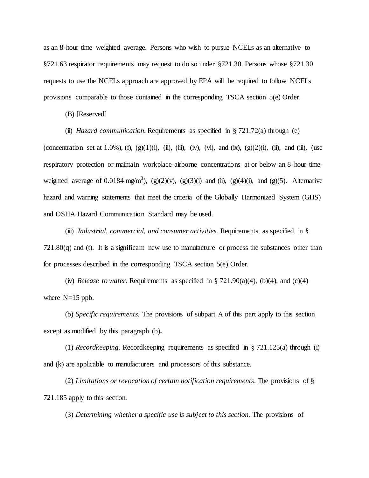as an 8-hour time weighted average. Persons who wish to pursue NCELs as an alternative to §721.63 respirator requirements may request to do so under §721.30. Persons whose §721.30 requests to use the NCELs approach are approved by EPA will be required to follow NCELs provisions comparable to those contained in the corresponding TSCA section 5(e) Order.

(B) [Reserved]

(ii) *Hazard communication.* Requirements as specified in § 721.72(a) through (e)

(concentration set at 1.0%), (f), (g)(1)(i), (ii), (iii), (iv), (vi), and (ix), (g)(2)(i), (ii), and (iii), (use respiratory protection or maintain workplace airborne concentrations at or below an 8-hour timeweighted average of 0.0184 mg/m<sup>3</sup>), (g)(2)(v), (g)(3)(i) and (ii), (g)(4)(i), and (g)(5). Alternative hazard and warning statements that meet the criteria of the Globally Harmonized System (GHS) and OSHA Hazard Communication Standard may be used.

(iii) *Industrial, commercial, and consumer activities.* Requirements as specified in §  $721.80(q)$  and (t). It is a significant new use to manufacture or process the substances other than for processes described in the corresponding TSCA section 5(e) Order.

(iv) *Release to water.* Requirements as specified in  $\S 721.90(a)(4)$ , (b)(4), and (c)(4) where  $N=15$  ppb.

(b) *Specific requirements.* The provisions of subpart A of this part apply to this section except as modified by this paragraph (b)**.**

(1) *Recordkeeping.* Recordkeeping requirements as specified in § 721.125(a) through (i) and (k) are applicable to manufacturers and processors of this substance.

(2) *Limitations or revocation of certain notification requirements.* The provisions of § 721.185 apply to this section.

(3) *Determining whether a specific use is subject to this section.* The provisions of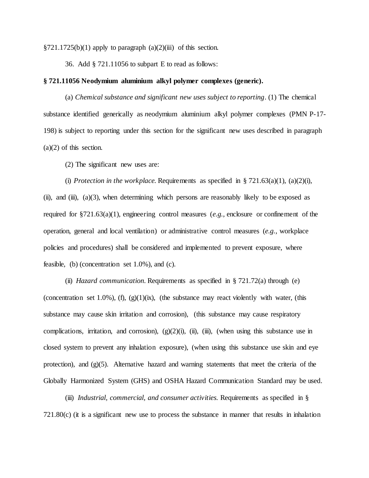$\S721.1725(b)(1)$  apply to paragraph  $(a)(2)(iii)$  of this section.

36. Add § 721.11056 to subpart E to read as follows:

## **§ 721.11056 Neodymium aluminium alkyl polymer complexes (generic).**

(a) *Chemical substance and significant new uses subject to reporting*. (1) The chemical substance identified generically as *n*eodymium aluminium alkyl polymer complexes (PMN P-17- 198) is subject to reporting under this section for the significant new uses described in paragraph (a)(2) of this section.

(2) The significant new uses are:

(i) *Protection in the workplace*. Requirements as specified in  $\S 721.63(a)(1)$ ,  $(a)(2)(i)$ , (ii), and (iii),  $(a)(3)$ , when determining which persons are reasonably likely to be exposed as required for §721.63(a)(1), engineering control measures (*e.g.,* enclosure or confinement of the operation, general and local ventilation) or administrative control measures (*e.g.,* workplace policies and procedures) shall be considered and implemented to prevent exposure, where feasible, (b) (concentration set  $1.0\%$ ), and (c).

(ii) *Hazard communication.* Requirements as specified in § 721.72(a) through (e) (concentration set 1.0%), (f),  $(g)(1)(ix)$ , (the substance may react violently with water, (this substance may cause skin irritation and corrosion), (this substance may cause respiratory complications, irritation, and corrosion),  $(g)(2)(i)$ ,  $(ii)$ ,  $(iii)$ ,  $(jii)$ ,  $(ki)$  when using this substance use in closed system to prevent any inhalation exposure), (when using this substance use skin and eye protection), and  $(g)(5)$ . Alternative hazard and warning statements that meet the criteria of the Globally Harmonized System (GHS) and OSHA Hazard Communication Standard may be used.

(iii) *Industrial, commercial, and consumer activities.* Requirements as specified in §  $721.80(c)$  (it is a significant new use to process the substance in manner that results in inhalation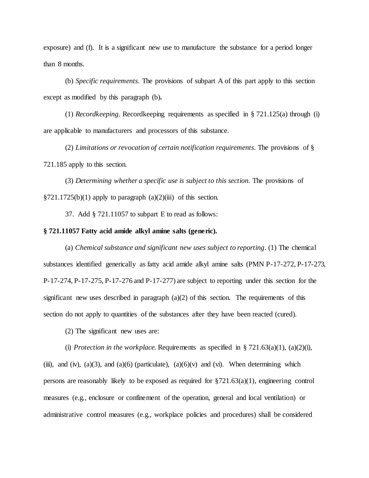exposure) and (f). It is a significant new use to manufacture the substance for a period longer than 8 months.

(b) *Specific requirements.* The provisions of subpart A of this part apply to this section except as modified by this paragraph (b)**.**

(1) *Recordkeeping.* Recordkeeping requirements as specified in § 721.125(a) through (i) are applicable to manufacturers and processors of this substance.

(2) *Limitations or revocation of certain notification requirements.* The provisions of § 721.185 apply to this section.

(3) *Determining whether a specific use is subject to this section.* The provisions of  $\S 721.1725(b)(1)$  apply to paragraph (a)(2)(iii) of this section.

37. Add § 721.11057 to subpart E to read as follows:

## **§ 721.11057 Fatty acid amide alkyl amine salts (generic).**

(a) *Chemical substance and significant new uses subject to reporting*. (1) The chemical substances identified generically as fatty acid amide alkyl amine salts (PMN P-17-272, P-17-273, P-17-274, P-17-275, P-17-276 and P-17-277) are subject to reporting under this section for the significant new uses described in paragraph  $(a)(2)$  of this section. The requirements of this section do not apply to quantities of the substances after they have been reacted (cured).

(2) The significant new uses are:

(i) *Protection in the workplace*. Requirements as specified in  $\S 721.63(a)(1)$ , (a)(2)(i), (iii), and (iv), (a)(3), and (a)(6) (particulate), (a)(6)(v) and (vi). When determining which persons are reasonably likely to be exposed as required for  $\S721.63(a)(1)$ , engineering control measures (e.g., enclosure or confinement of the operation, general and local ventilation) or administrative control measures (e.g., workplace policies and procedures) shall be considered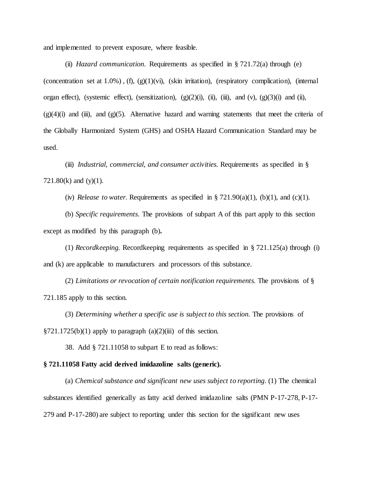and implemented to prevent exposure, where feasible.

(ii) *Hazard communication.* Requirements as specified in § 721.72(a) through (e) (concentration set at  $1.0\%$ ), (f), (g)(1)(vi), (skin irritation), (respiratory complication), (internal organ effect), (systemic effect), (sensitization),  $(g)(2)(i)$ ,  $(ii)$ ,  $(iii)$ , and  $(v)$ ,  $(g)(3)(i)$  and  $(ii)$ ,  $(g)(4)(i)$  and  $(ii)$ , and  $(g)(5)$ . Alternative hazard and warning statements that meet the criteria of the Globally Harmonized System (GHS) and OSHA Hazard Communication Standard may be used.

(iii) *Industrial, commercial, and consumer activities.* Requirements as specified in § 721.80 $(k)$  and  $(y)(1)$ .

(iv) *Release to water.* Requirements as specified in § 721.90(a)(1), (b)(1), and (c)(1).

(b) *Specific requirements.* The provisions of subpart A of this part apply to this section except as modified by this paragraph (b)**.**

(1) *Recordkeeping.* Recordkeeping requirements as specified in § 721.125(a) through (i) and (k) are applicable to manufacturers and processors of this substance.

(2) *Limitations or revocation of certain notification requirements.* The provisions of § 721.185 apply to this section.

(3) *Determining whether a specific use is subject to this section.* The provisions of  $\S 721.1725(b)(1)$  apply to paragraph  $(a)(2)(iii)$  of this section.

38. Add § 721.11058 to subpart E to read as follows:

#### **§ 721.11058 Fatty acid derived imidazoline salts (generic).**

(a) *Chemical substance and significant new uses subject to reporting*. (1) The chemical substances identified generically as fatty acid derived imidazoline salts (PMN P-17-278, P-17- 279 and P-17-280) are subject to reporting under this section for the significant new uses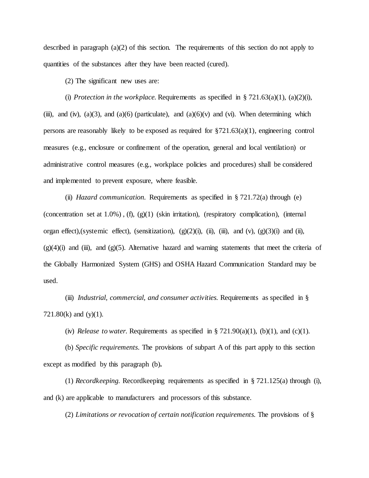described in paragraph (a)(2) of this section. The requirements of this section do not apply to quantities of the substances after they have been reacted (cured).

(2) The significant new uses are:

(i) *Protection in the workplace*. Requirements as specified in  $\S 721.63(a)(1)$ , (a)(2)(i), (iii), and (iv), (a)(3), and (a)(6) (particulate), and (a)(6)(v) and (vi). When determining which persons are reasonably likely to be exposed as required for  $\S721.63(a)(1)$ , engineering control measures (e.g., enclosure or confinement of the operation, general and local ventilation) or administrative control measures (e.g., workplace policies and procedures) shall be considered and implemented to prevent exposure, where feasible.

(ii) *Hazard communication.* Requirements as specified in § 721.72(a) through (e) (concentration set at  $1.0\%$ ), (f), (g)(1) (skin irritation), (respiratory complication), (internal organ effect),(systemic effect), (sensitization),  $(g)(2)(i)$ ,  $(ii)$ ,  $(iii)$ , and  $(v)$ ,  $(g)(3)(i)$  and  $(ii)$ ,  $(g)(4)(i)$  and (iii), and  $(g)(5)$ . Alternative hazard and warning statements that meet the criteria of the Globally Harmonized System (GHS) and OSHA Hazard Communication Standard may be used.

(iii) *Industrial, commercial, and consumer activities.* Requirements as specified in § 721.80(k) and (y)(1).

(iv) *Release to water.* Requirements as specified in § 721.90(a)(1), (b)(1), and (c)(1).

(b) *Specific requirements.* The provisions of subpart A of this part apply to this section except as modified by this paragraph (b)**.**

(1) *Recordkeeping.* Recordkeeping requirements as specified in § 721.125(a) through (i), and (k) are applicable to manufacturers and processors of this substance.

(2) *Limitations or revocation of certain notification requirements.* The provisions of §